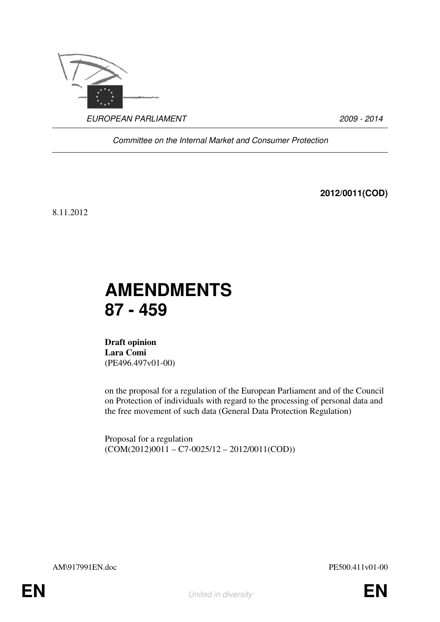

Committee on the Internal Market and Consumer Protection

**2012/0011(COD)**

8.11.2012

# **AMENDMENTS 87 - 459**

**Draft opinion Lara Comi** (PE496.497v01-00)

on the proposal for a regulation of the European Parliament and of the Council on Protection of individuals with regard to the processing of personal data and the free movement of such data (General Data Protection Regulation)

Proposal for a regulation  $(COM(2012)0011 - C7 - 0025/12 - 2012/0011(COD))$ 

AM\917991EN.doc PE500.411v01-00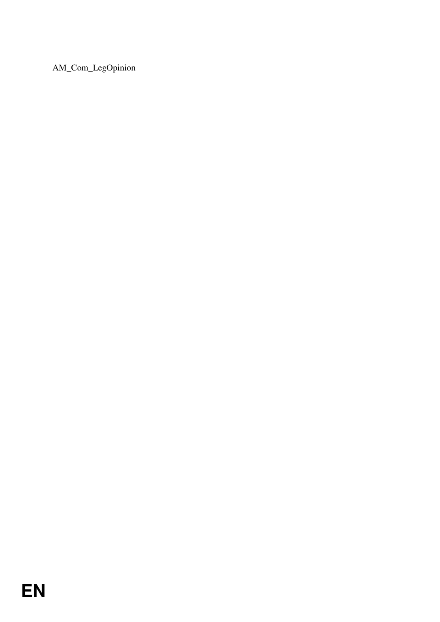AM\_Com\_LegOpinion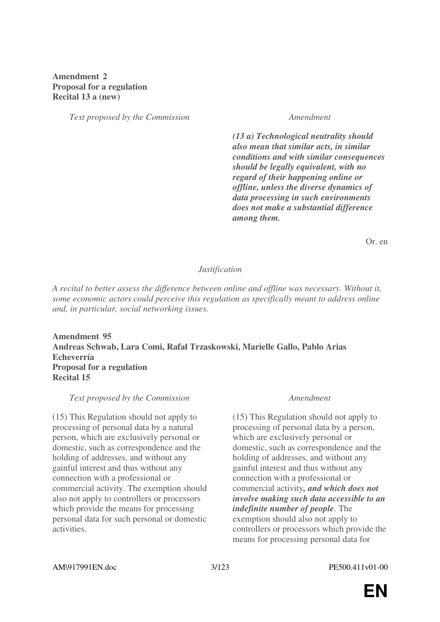# **Amendment 2 Proposal for a regulation Recital 13 a (new)**

*Text proposed by the Commission* Amendment

*(13 a) Technological neutrality should also mean that similar acts, in similar conditions and with similar consequences should be legally equivalent, with no regard of their happening online or offline, unless the diverse dynamics of data processing in such environments does not make a substantial difference among them.*

Or. en

# *Justification*

*A recital to better assess the difference between online and offline was necessary. Without it, some economic actors could perceive this regulation as specifically meant to address online and, in particular, social networking issues.*

**Amendment 95 Andreas Schwab, Lara Comi, Rafał Trzaskowski, Marielle Gallo, Pablo Arias Echeverría Proposal for a regulation Recital 15**

# *Text proposed by the Commission* Amendment

(15) This Regulation should not apply to processing of personal data by a natural person, which are exclusively personal or domestic, such as correspondence and the holding of addresses, and without any gainful interest and thus without any connection with a professional or commercial activity. The exemption should also not apply to controllers or processors which provide the means for processing personal data for such personal or domestic activities.

(15) This Regulation should not apply to processing of personal data by a person, which are exclusively personal or domestic, such as correspondence and the holding of addresses, and without any gainful interest and thus without any connection with a professional or commercial activity*, and which does not involve making such data accessible to an indefinite number of people*. The exemption should also not apply to controllers or processors which provide the means for processing personal data for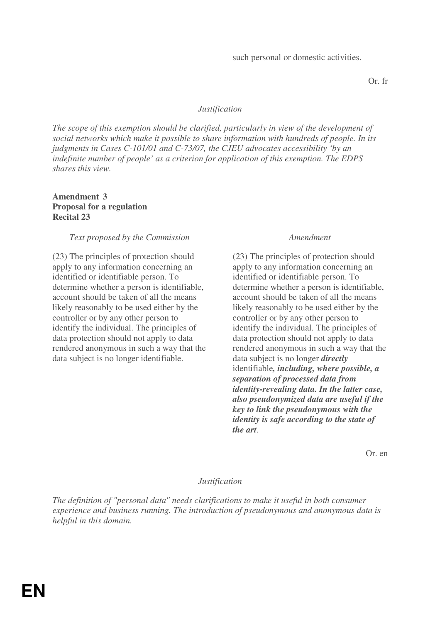Or. fr

# *Justification*

*The scope of this exemption should be clarified, particularly in view of the development of social networks which make it possible to share information with hundreds of people. In its judgments in Cases C-101/01 and C-73/07, the CJEU advocates accessibility 'by an indefinite number of people' as a criterion for application of this exemption. The EDPS shares this view.*

# **Amendment 3 Proposal for a regulation Recital 23**

# *Text proposed by the Commission Amendment*

(23) The principles of protection should apply to any information concerning an identified or identifiable person. To determine whether a person is identifiable, account should be taken of all the means likely reasonably to be used either by the controller or by any other person to identify the individual. The principles of data protection should not apply to data rendered anonymous in such a way that the data subject is no longer identifiable.

(23) The principles of protection should apply to any information concerning an identified or identifiable person. To determine whether a person is identifiable, account should be taken of all the means likely reasonably to be used either by the controller or by any other person to identify the individual. The principles of data protection should not apply to data rendered anonymous in such a way that the data subject is no longer *directly*  identifiable*, including, where possible, a separation of processed data from identity-revealing data. In the latter case, also pseudonymized data are useful if the key to link the pseudonymous with the identity is safe according to the state of the art*.

Or. en

# *Justification*

*The definition of "personal data" needs clarifications to make it useful in both consumer experience and business running. The introduction of pseudonymous and anonymous data is helpful in this domain.*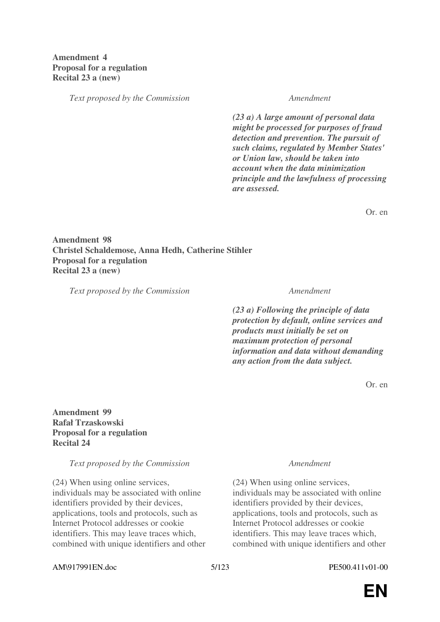# **Amendment 4 Proposal for a regulation Recital 23 a (new)**

*Text proposed by the Commission Amendment*

*(23 a) A large amount of personal data might be processed for purposes of fraud detection and prevention. The pursuit of such claims, regulated by Member States' or Union law, should be taken into account when the data minimization principle and the lawfulness of processing are assessed.*

Or. en

# **Amendment 98 Christel Schaldemose, Anna Hedh, Catherine Stihler Proposal for a regulation Recital 23 a (new)**

*Text proposed by the Commission* Amendment

*(23 a) Following the principle of data protection by default, online services and products must initially be set on maximum protection of personal information and data without demanding any action from the data subject.*

Or. en

# **Amendment 99 Rafał Trzaskowski Proposal for a regulation Recital 24**

# *Text proposed by the Commission Amendment*

(24) When using online services, individuals may be associated with online identifiers provided by their devices, applications, tools and protocols, such as Internet Protocol addresses or cookie identifiers. This may leave traces which, combined with unique identifiers and other

(24) When using online services, individuals may be associated with online identifiers provided by their devices, applications, tools and protocols, such as Internet Protocol addresses or cookie identifiers. This may leave traces which, combined with unique identifiers and other

AM\917991EN.doc 5/123 PE500.411v01-00

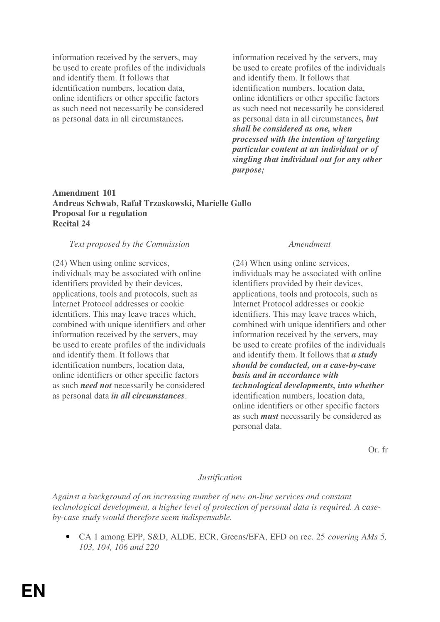information received by the servers, may be used to create profiles of the individuals and identify them. It follows that identification numbers, location data, online identifiers or other specific factors as such need not necessarily be considered as personal data in all circumstances*.*

information received by the servers, may be used to create profiles of the individuals and identify them. It follows that identification numbers, location data, online identifiers or other specific factors as such need not necessarily be considered as personal data in all circumstances*, but shall be considered as one, when processed with the intention of targeting particular content at an individual or of singling that individual out for any other purpose;*

# **Amendment 101 Andreas Schwab, Rafał Trzaskowski, Marielle Gallo Proposal for a regulation Recital 24**

### *Text proposed by the Commission* Amendment

(24) When using online services, individuals may be associated with online identifiers provided by their devices, applications, tools and protocols, such as Internet Protocol addresses or cookie identifiers. This may leave traces which, combined with unique identifiers and other information received by the servers, may be used to create profiles of the individuals and identify them. It follows that identification numbers, location data, online identifiers or other specific factors as such *need not* necessarily be considered as personal data *in all circumstances*.

(24) When using online services, individuals may be associated with online identifiers provided by their devices, applications, tools and protocols, such as Internet Protocol addresses or cookie identifiers. This may leave traces which, combined with unique identifiers and other information received by the servers, may be used to create profiles of the individuals and identify them. It follows that *a study should be conducted, on a case-by-case basis and in accordance with technological developments, into whether*  identification numbers, location data, online identifiers or other specific factors as such *must* necessarily be considered as personal data.

Or. fr

# *Justification*

*Against a background of an increasing number of new on-line services and constant technological development, a higher level of protection of personal data is required. A caseby-case study would therefore seem indispensable.*

• CA 1 among EPP, S&D, ALDE, ECR, Greens/EFA, EFD on rec. 25 *covering AMs 5, 103, 104, 106 and 220*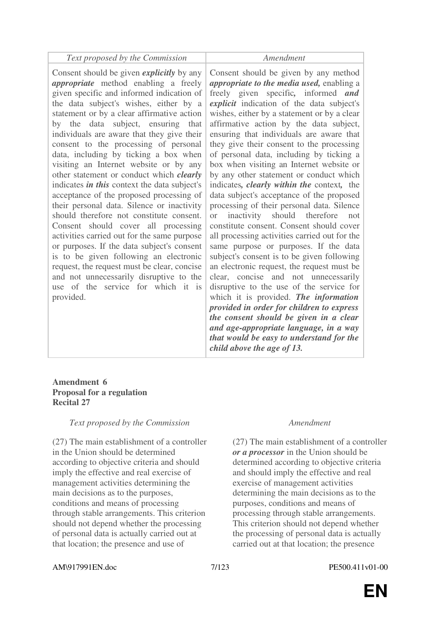| Text proposed by the Commission |  |  |  |  |
|---------------------------------|--|--|--|--|
|---------------------------------|--|--|--|--|

Consent should be given *explicitly* by any *appropriate* method enabling a freely given specific and informed indication of the data subject's wishes, either by a statement or by a clear affirmative action by the data subject, ensuring that individuals are aware that they give their consent to the processing of personal data, including by ticking a box when visiting an Internet website or by any other statement or conduct which *clearly*  indicates *in this* context the data subject's acceptance of the proposed processing of their personal data. Silence or inactivity should therefore not constitute consent. Consent should cover all processing activities carried out for the same purpose or purposes. If the data subject's consent is to be given following an electronic request, the request must be clear, concise and not unnecessarily disruptive to the use of the service for which it is provided.

### *Amendment*

Consent should be given by any method *appropriate to the media used,* enabling a freely given specific*,* informed *and explicit* indication of the data subject's wishes, either by a statement or by a clear affirmative action by the data subject, ensuring that individuals are aware that they give their consent to the processing of personal data, including by ticking a box when visiting an Internet website or by any other statement or conduct which indicates*, clearly within the* context*,* the data subject's acceptance of the proposed processing of their personal data. Silence or inactivity should therefore not constitute consent. Consent should cover all processing activities carried out for the same purpose or purposes. If the data subject's consent is to be given following an electronic request, the request must be clear, concise and not unnecessarily disruptive to the use of the service for which it is provided. *The information provided in order for children to express the consent should be given in a clear and age-appropriate language, in a way that would be easy to understand for the child above the age of 13.*

# **Amendment 6 Proposal for a regulation Recital 27**

# *Text proposed by the Commission* Amendment

(27) The main establishment of a controller in the Union should be determined according to objective criteria and should imply the effective and real exercise of management activities determining the main decisions as to the purposes, conditions and means of processing through stable arrangements. This criterion should not depend whether the processing of personal data is actually carried out at that location; the presence and use of

(27) The main establishment of a controller *or a processor* in the Union should be determined according to objective criteria and should imply the effective and real exercise of management activities determining the main decisions as to the purposes, conditions and means of processing through stable arrangements. This criterion should not depend whether the processing of personal data is actually carried out at that location; the presence

### AM\917991EN.doc 7/123 PE500.411v01-00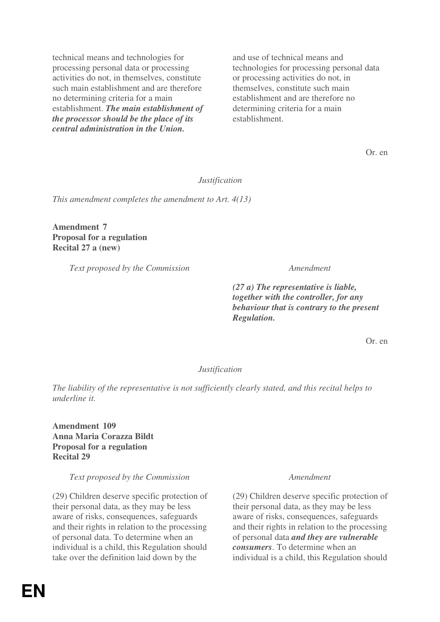technical means and technologies for processing personal data or processing activities do not, in themselves, constitute such main establishment and are therefore no determining criteria for a main establishment. *The main establishment of the processor should be the place of its central administration in the Union.*

and use of technical means and technologies for processing personal data or processing activities do not, in themselves, constitute such main establishment and are therefore no determining criteria for a main establishment.

Or. en

*Justification*

*This amendment completes the amendment to Art. 4(13)*

**Amendment 7 Proposal for a regulation Recital 27 a (new)**

*Text proposed by the Commission* Amendment

*(27 a) The representative is liable, together with the controller, for any behaviour that is contrary to the present Regulation.*

Or. en

### *Justification*

*The liability of the representative is not sufficiently clearly stated, and this recital helps to underline it.*

**Amendment 109 Anna Maria Corazza Bildt Proposal for a regulation Recital 29**

*Text proposed by the Commission* Amendment

(29) Children deserve specific protection of their personal data, as they may be less aware of risks, consequences, safeguards and their rights in relation to the processing of personal data. To determine when an individual is a child, this Regulation should take over the definition laid down by the

(29) Children deserve specific protection of their personal data, as they may be less aware of risks, consequences, safeguards and their rights in relation to the processing of personal data *and they are vulnerable consumers*. To determine when an individual is a child, this Regulation should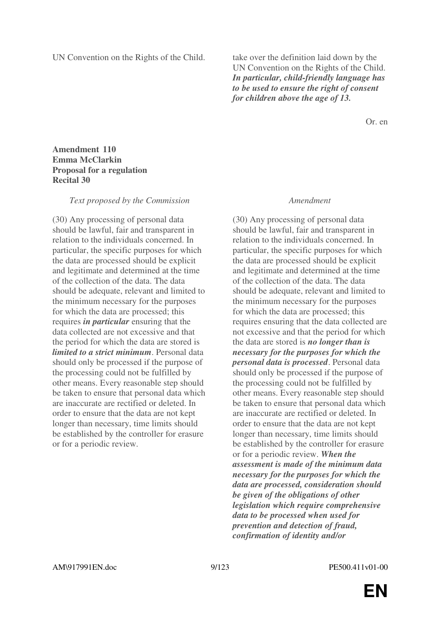UN Convention on the Rights of the Child. take over the definition laid down by the

UN Convention on the Rights of the Child. *In particular, child-friendly language has to be used to ensure the right of consent for children above the age of 13.*

Or. en

# **Amendment 110 Emma McClarkin Proposal for a regulation Recital 30**

### *Text proposed by the Commission* and *Amendment*

(30) Any processing of personal data should be lawful, fair and transparent in relation to the individuals concerned. In particular, the specific purposes for which the data are processed should be explicit and legitimate and determined at the time of the collection of the data. The data should be adequate, relevant and limited to the minimum necessary for the purposes for which the data are processed; this requires *in particular* ensuring that the data collected are not excessive and that the period for which the data are stored is *limited to a strict minimum*. Personal data should only be processed if the purpose of the processing could not be fulfilled by other means. Every reasonable step should be taken to ensure that personal data which are inaccurate are rectified or deleted. In order to ensure that the data are not kept longer than necessary, time limits should be established by the controller for erasure or for a periodic review.

(30) Any processing of personal data should be lawful, fair and transparent in relation to the individuals concerned. In particular, the specific purposes for which the data are processed should be explicit and legitimate and determined at the time of the collection of the data. The data should be adequate, relevant and limited to the minimum necessary for the purposes for which the data are processed; this requires ensuring that the data collected are not excessive and that the period for which the data are stored is *no longer than is necessary for the purposes for which the personal data is processed*. Personal data should only be processed if the purpose of the processing could not be fulfilled by other means. Every reasonable step should be taken to ensure that personal data which are inaccurate are rectified or deleted. In order to ensure that the data are not kept longer than necessary, time limits should be established by the controller for erasure or for a periodic review. *When the assessment is made of the minimum data necessary for the purposes for which the data are processed, consideration should be given of the obligations of other legislation which require comprehensive data to be processed when used for prevention and detection of fraud, confirmation of identity and/or*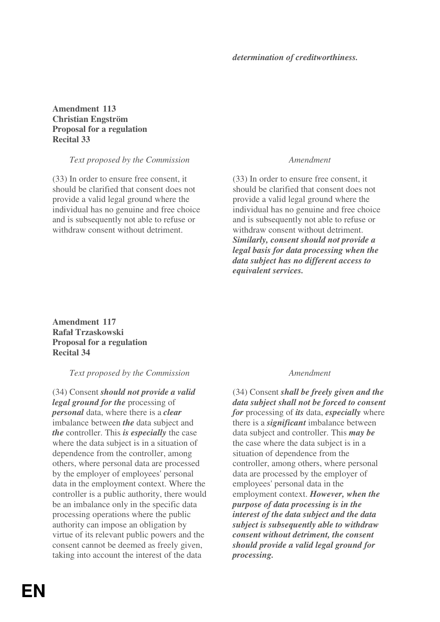# *determination of creditworthiness.*

# **Amendment 113 Christian Engström Proposal for a regulation Recital 33**

### *Text proposed by the Commission Amendment*

(33) In order to ensure free consent, it should be clarified that consent does not provide a valid legal ground where the individual has no genuine and free choice and is subsequently not able to refuse or withdraw consent without detriment.

 $(33)$  In order to ensure free consent, it should be clarified that consent does not provide a valid legal ground where the individual has no genuine and free choice and is subsequently not able to refuse or withdraw consent without detriment. *Similarly, consent should not provide a legal basis for data processing when the data subject has no different access to equivalent services.* 

**Amendment 117 Rafał Trzaskowski Proposal for a regulation Recital 34**

### *Text proposed by the Commission* Amendment

(34) Consent *should not provide a valid legal ground for the* processing of *personal* data, where there is a *clear*  imbalance between *the* data subject and *the* controller. This *is especially* the case where the data subject is in a situation of dependence from the controller, among others, where personal data are processed by the employer of employees' personal data in the employment context. Where the controller is a public authority, there would be an imbalance only in the specific data processing operations where the public authority can impose an obligation by virtue of its relevant public powers and the consent cannot be deemed as freely given, taking into account the interest of the data

(34) Consent *shall be freely given and the data subject shall not be forced to consent for* processing of *its* data, *especially* where there is a *significant* imbalance between data subject and controller. This *may be*  the case where the data subject is in a situation of dependence from the controller, among others, where personal data are processed by the employer of employees' personal data in the employment context. *However, when the purpose of data processing is in the interest of the data subject and the data subject is subsequently able to withdraw consent without detriment, the consent should provide a valid legal ground for processing.*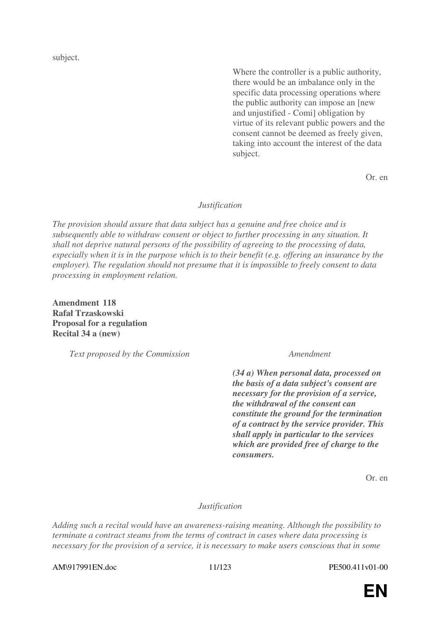subject.

Where the controller is a public authority, there would be an imbalance only in the specific data processing operations where the public authority can impose an [new and unjustified - Comi] obligation by virtue of its relevant public powers and the consent cannot be deemed as freely given, taking into account the interest of the data subject.

Or. en

### *Justification*

*The provision should assure that data subject has a genuine and free choice and is subsequently able to withdraw consent or object to further processing in any situation. It shall not deprive natural persons of the possibility of agreeing to the processing of data, especially when it is in the purpose which is to their benefit (e.g. offering an insurance by the employer). The regulation should not presume that it is impossible to freely consent to data processing in employment relation.*

**Amendment 118 Rafał Trzaskowski Proposal for a regulation Recital 34 a (new)**

*Text proposed by the Commission* Amendment

*(34 a) When personal data, processed on the basis of a data subject's consent are necessary for the provision of a service, the withdrawal of the consent can constitute the ground for the termination of a contract by the service provider. This shall apply in particular to the services which are provided free of charge to the consumers.*

Or. en

# *Justification*

*Adding such a recital would have an awareness-raising meaning. Although the possibility to terminate a contract steams from the terms of contract in cases where data processing is necessary for the provision of a service, it is necessary to make users conscious that in some* 

AM\917991EN.doc 11/123 PE500.411v01-00

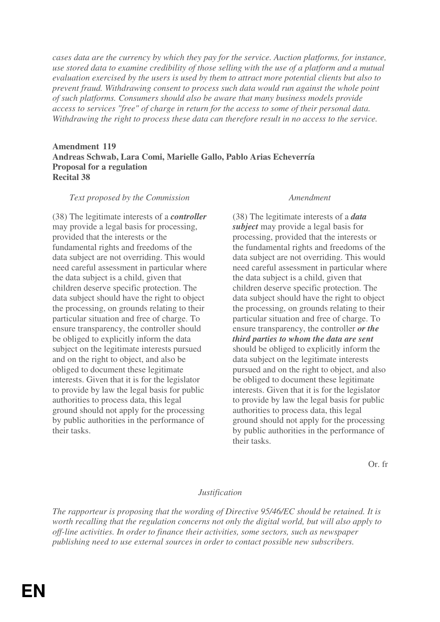*cases data are the currency by which they pay for the service. Auction platforms, for instance, use stored data to examine credibility of those selling with the use of a platform and a mutual evaluation exercised by the users is used by them to attract more potential clients but also to prevent fraud. Withdrawing consent to process such data would run against the whole point of such platforms. Consumers should also be aware that many business models provide access to services "free" of charge in return for the access to some of their personal data. Withdrawing the right to process these data can therefore result in no access to the service.*

# **Amendment 119 Andreas Schwab, Lara Comi, Marielle Gallo, Pablo Arias Echeverría Proposal for a regulation Recital 38**

# *Text proposed by the Commission Amendment*

(38) The legitimate interests of a *controller*  may provide a legal basis for processing, provided that the interests or the fundamental rights and freedoms of the data subject are not overriding. This would need careful assessment in particular where the data subject is a child, given that children deserve specific protection. The data subject should have the right to object the processing, on grounds relating to their particular situation and free of charge. To ensure transparency, the controller should be obliged to explicitly inform the data subject on the legitimate interests pursued and on the right to object, and also be obliged to document these legitimate interests. Given that it is for the legislator to provide by law the legal basis for public authorities to process data, this legal ground should not apply for the processing by public authorities in the performance of their tasks.

(38) The legitimate interests of a *data subject* may provide a legal basis for processing, provided that the interests or the fundamental rights and freedoms of the data subject are not overriding. This would need careful assessment in particular where the data subject is a child, given that children deserve specific protection. The data subject should have the right to object the processing, on grounds relating to their particular situation and free of charge. To ensure transparency, the controller *or the third parties to whom the data are sent*  should be obliged to explicitly inform the data subject on the legitimate interests pursued and on the right to object, and also be obliged to document these legitimate interests. Given that it is for the legislator to provide by law the legal basis for public authorities to process data, this legal ground should not apply for the processing by public authorities in the performance of their tasks.

Or. fr

# *Justification*

*The rapporteur is proposing that the wording of Directive 95/46/EC should be retained. It is worth recalling that the regulation concerns not only the digital world, but will also apply to off-line activities. In order to finance their activities, some sectors, such as newspaper publishing need to use external sources in order to contact possible new subscribers.*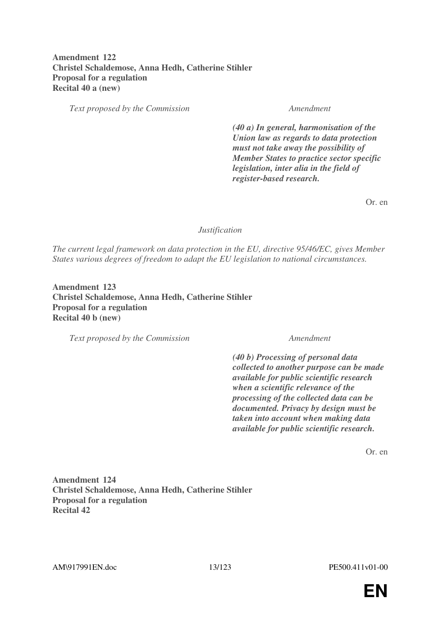# **Amendment 122 Christel Schaldemose, Anna Hedh, Catherine Stihler Proposal for a regulation Recital 40 a (new)**

*Text proposed by the Commission Amendment*

*(40 a) In general, harmonisation of the Union law as regards to data protection must not take away the possibility of Member States to practice sector specific legislation, inter alia in the field of register-based research.*

Or. en

*Justification*

*The current legal framework on data protection in the EU, directive 95/46/EC, gives Member States various degrees of freedom to adapt the EU legislation to national circumstances.*

**Amendment 123 Christel Schaldemose, Anna Hedh, Catherine Stihler Proposal for a regulation Recital 40 b (new)**

*Text proposed by the Commission Amendment*

*(40 b) Processing of personal data collected to another purpose can be made available for public scientific research when a scientific relevance of the processing of the collected data can be documented. Privacy by design must be taken into account when making data available for public scientific research.*

Or. en

**Amendment 124 Christel Schaldemose, Anna Hedh, Catherine Stihler Proposal for a regulation Recital 42**

AM\917991EN.doc 13/123 PE500.411v01-00

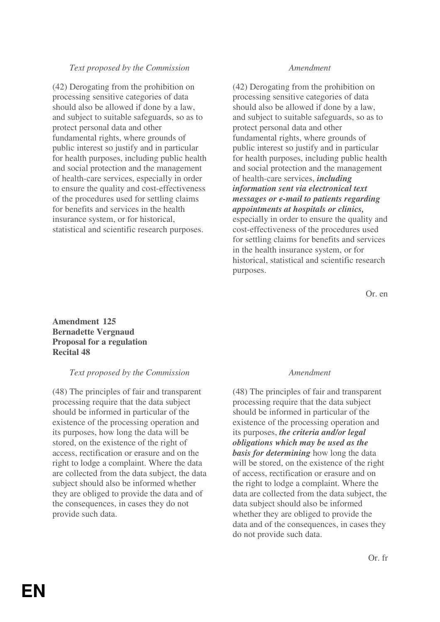# *Text proposed by the Commission Amendment*

(42) Derogating from the prohibition on processing sensitive categories of data should also be allowed if done by a law, and subject to suitable safeguards, so as to protect personal data and other fundamental rights, where grounds of public interest so justify and in particular for health purposes, including public health and social protection and the management of health-care services, especially in order to ensure the quality and cost-effectiveness of the procedures used for settling claims for benefits and services in the health insurance system, or for historical, statistical and scientific research purposes.

(42) Derogating from the prohibition on processing sensitive categories of data should also be allowed if done by a law, and subject to suitable safeguards, so as to protect personal data and other fundamental rights, where grounds of public interest so justify and in particular for health purposes, including public health and social protection and the management of health-care services, *including information sent via electronical text messages or e-mail to patients regarding appointments at hospitals or clinics,*  especially in order to ensure the quality and cost-effectiveness of the procedures used for settling claims for benefits and services in the health insurance system, or for historical, statistical and scientific research purposes.

Or. en

# **Amendment 125 Bernadette Vergnaud Proposal for a regulation Recital 48**

# *Text proposed by the Commission* Amendment

(48) The principles of fair and transparent processing require that the data subject should be informed in particular of the existence of the processing operation and its purposes, how long the data will be stored, on the existence of the right of access, rectification or erasure and on the right to lodge a complaint. Where the data are collected from the data subject, the data subject should also be informed whether they are obliged to provide the data and of the consequences, in cases they do not provide such data.

(48) The principles of fair and transparent processing require that the data subject should be informed in particular of the existence of the processing operation and its purposes, *the criteria and/or legal obligations which may be used as the basis for determining* how long the data will be stored, on the existence of the right of access, rectification or erasure and on the right to lodge a complaint. Where the data are collected from the data subject, the data subject should also be informed whether they are obliged to provide the data and of the consequences, in cases they do not provide such data.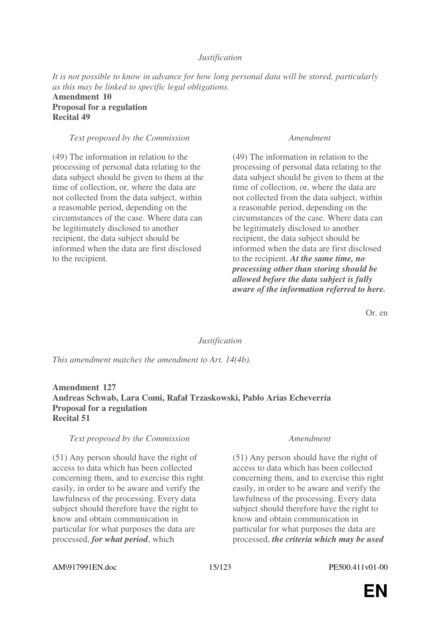# *Justification*

*It is not possible to know in advance for how long personal data will be stored, particularly as this may be linked to specific legal obligations.*

**Amendment 10 Proposal for a regulation Recital 49**

### *Text proposed by the Commission* Amendment

(49) The information in relation to the processing of personal data relating to the data subject should be given to them at the time of collection, or, where the data are not collected from the data subject, within a reasonable period, depending on the circumstances of the case. Where data can be legitimately disclosed to another recipient, the data subject should be informed when the data are first disclosed to the recipient.

(49) The information in relation to the processing of personal data relating to the data subject should be given to them at the time of collection, or, where the data are not collected from the data subject, within a reasonable period, depending on the circumstances of the case. Where data can be legitimately disclosed to another recipient, the data subject should be informed when the data are first disclosed to the recipient. *At the same time, no processing other than storing should be allowed before the data subject is fully aware of the information referred to here.*

Or. en

### *Justification*

*This amendment matches the amendment to Art. 14(4b).*

# **Amendment 127 Andreas Schwab, Lara Comi, Rafał Trzaskowski, Pablo Arias Echeverría Proposal for a regulation Recital 51**

### *Text proposed by the Commission* Amendment

(51) Any person should have the right of access to data which has been collected concerning them, and to exercise this right easily, in order to be aware and verify the lawfulness of the processing. Every data subject should therefore have the right to know and obtain communication in particular for what purposes the data are processed, *for what period*, which

(51) Any person should have the right of access to data which has been collected concerning them, and to exercise this right easily, in order to be aware and verify the lawfulness of the processing. Every data subject should therefore have the right to know and obtain communication in particular for what purposes the data are processed, *the criteria which may be used* 

### AM\917991EN.doc 15/123 PE500.411v01-00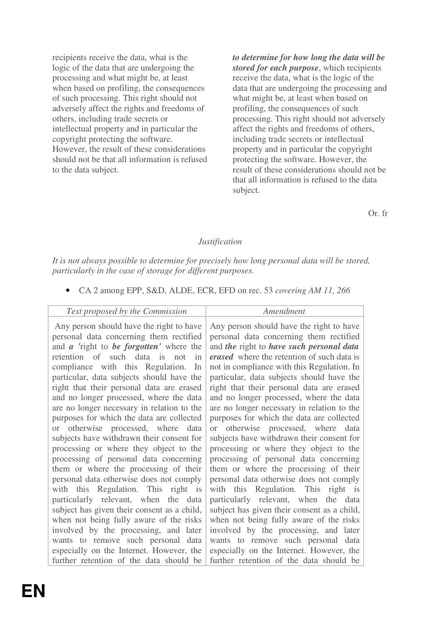recipients receive the data, what is the logic of the data that are undergoing the processing and what might be, at least when based on profiling, the consequences of such processing. This right should not adversely affect the rights and freedoms of others, including trade secrets or intellectual property and in particular the copyright protecting the software. However, the result of these considerations should not be that all information is refused to the data subject.

*to determine for how long the data will be stored for each purpose*, which recipients receive the data, what is the logic of the data that are undergoing the processing and what might be, at least when based on profiling, the consequences of such processing. This right should not adversely affect the rights and freedoms of others, including trade secrets or intellectual property and in particular the copyright protecting the software. However, the result of these considerations should not be that all information is refused to the data subject.

Or. fr

# *Justification*

*It is not always possible to determine for precisely how long personal data will be stored, particularly in the case of storage for different purposes.*

| Text proposed by the Commission                                                                                                                                                                                                                                                                                                                                                                                                                                                                                                                                                                                                                                                                                                                              | Amendment                                                                                                                                                                                                                                                                                                                                                                                                                                                                                                                                                                                                                                                                                                                                                            |  |  |
|--------------------------------------------------------------------------------------------------------------------------------------------------------------------------------------------------------------------------------------------------------------------------------------------------------------------------------------------------------------------------------------------------------------------------------------------------------------------------------------------------------------------------------------------------------------------------------------------------------------------------------------------------------------------------------------------------------------------------------------------------------------|----------------------------------------------------------------------------------------------------------------------------------------------------------------------------------------------------------------------------------------------------------------------------------------------------------------------------------------------------------------------------------------------------------------------------------------------------------------------------------------------------------------------------------------------------------------------------------------------------------------------------------------------------------------------------------------------------------------------------------------------------------------------|--|--|
| Any person should have the right to have<br>personal data concerning them rectified<br>and <i>a</i> 'right to <i>be forgotten'</i> where the<br>retention of such data is not<br>in<br>compliance with this Regulation. In<br>particular, data subjects should have the<br>right that their personal data are erased<br>and no longer processed, where the data<br>are no longer necessary in relation to the<br>purposes for which the data are collected<br>or otherwise processed, where data<br>subjects have withdrawn their consent for<br>processing or where they object to the<br>processing of personal data concerning<br>them or where the processing of their<br>personal data otherwise does not comply<br>with this Regulation. This right is | Any person should have the right to have<br>personal data concerning them rectified<br>and the right to have such personal data<br><b>erased</b> where the retention of such data is<br>not in compliance with this Regulation. In<br>particular, data subjects should have the<br>right that their personal data are erased<br>and no longer processed, where the data<br>are no longer necessary in relation to the<br>purposes for which the data are collected<br>or otherwise processed, where data<br>subjects have withdrawn their consent for<br>processing or where they object to the<br>processing of personal data concerning<br>them or where the processing of their<br>personal data otherwise does not comply<br>with this Regulation. This right is |  |  |
| particularly relevant, when the data                                                                                                                                                                                                                                                                                                                                                                                                                                                                                                                                                                                                                                                                                                                         | particularly relevant, when the data                                                                                                                                                                                                                                                                                                                                                                                                                                                                                                                                                                                                                                                                                                                                 |  |  |
| subject has given their consent as a child,                                                                                                                                                                                                                                                                                                                                                                                                                                                                                                                                                                                                                                                                                                                  | subject has given their consent as a child,                                                                                                                                                                                                                                                                                                                                                                                                                                                                                                                                                                                                                                                                                                                          |  |  |
| when not being fully aware of the risks                                                                                                                                                                                                                                                                                                                                                                                                                                                                                                                                                                                                                                                                                                                      | when not being fully aware of the risks                                                                                                                                                                                                                                                                                                                                                                                                                                                                                                                                                                                                                                                                                                                              |  |  |
| involved by the processing, and later                                                                                                                                                                                                                                                                                                                                                                                                                                                                                                                                                                                                                                                                                                                        | involved by the processing, and later                                                                                                                                                                                                                                                                                                                                                                                                                                                                                                                                                                                                                                                                                                                                |  |  |
| wants to remove such personal data                                                                                                                                                                                                                                                                                                                                                                                                                                                                                                                                                                                                                                                                                                                           | wants to remove such personal data                                                                                                                                                                                                                                                                                                                                                                                                                                                                                                                                                                                                                                                                                                                                   |  |  |
| especially on the Internet. However, the<br>further retention of the data should be                                                                                                                                                                                                                                                                                                                                                                                                                                                                                                                                                                                                                                                                          | especially on the Internet. However, the<br>further retention of the data should be                                                                                                                                                                                                                                                                                                                                                                                                                                                                                                                                                                                                                                                                                  |  |  |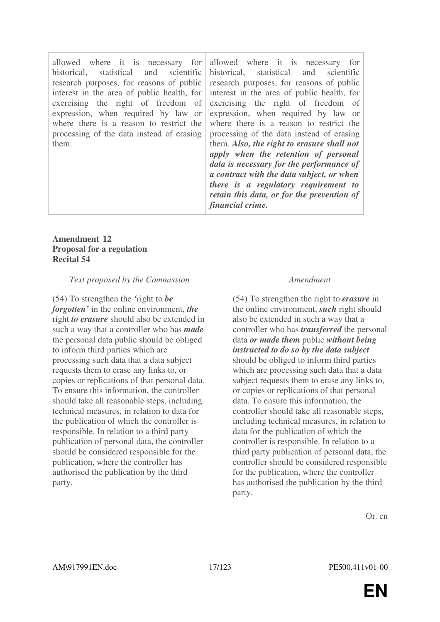allowed where it is necessary for historical, statistical and scientific research purposes, for reasons of public interest in the area of public health, for exercising the right of freedom of expression, when required by law or where there is a reason to restrict the processing of the data instead of erasing them.

allowed where it is necessary for historical, statistical and scientific research purposes, for reasons of public interest in the area of public health, for exercising the right of freedom of expression, when required by law or where there is a reason to restrict the processing of the data instead of erasing them. *Also, the right to erasure shall not apply when the retention of personal data is necessary for the performance of a contract with the data subject, or when there is a regulatory requirement to retain this data, or for the prevention of financial crime.* 

# **Amendment 12 Proposal for a regulation Recital 54**

# *Text proposed by the Commission* Amendment

(54) To strengthen the *'*right to *be forgotten'* in the online environment, *the*  right *to erasure* should also be extended in such a way that a controller who has *made*  the personal data public should be obliged to inform third parties which are processing such data that a data subject requests them to erase any links to, or copies or replications of that personal data. To ensure this information, the controller should take all reasonable steps, including technical measures, in relation to data for the publication of which the controller is responsible. In relation to a third party publication of personal data, the controller should be considered responsible for the publication, where the controller has authorised the publication by the third party.

(54) To strengthen the right to *erasure* in the online environment, *such* right should also be extended in such a way that a controller who has *transferred* the personal data *or made them* public *without being instructed to do so by the data subject*  should be obliged to inform third parties which are processing such data that a data subject requests them to erase any links to, or copies or replications of that personal data. To ensure this information, the controller should take all reasonable steps, including technical measures, in relation to data for the publication of which the controller is responsible. In relation to a third party publication of personal data, the controller should be considered responsible for the publication, where the controller has authorised the publication by the third party.

Or. en

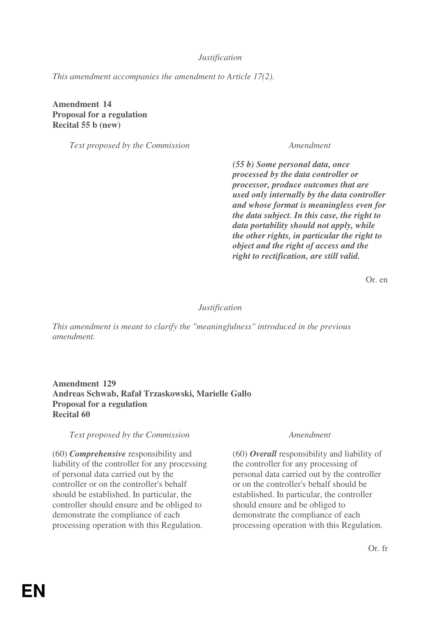# *Justification*

*This amendment accompanies the amendment to Article 17(2).*

**Amendment 14 Proposal for a regulation Recital 55 b (new)**

*Text proposed by the Commission* Amendment

*(55 b) Some personal data, once processed by the data controller or processor, produce outcomes that are used only internally by the data controller and whose format is meaningless even for the data subject. In this case, the right to data portability should not apply, while the other rights, in particular the right to object and the right of access and the right to rectification, are still valid.*

Or. en

### *Justification*

*This amendment is meant to clarify the "meaningfulness" introduced in the previous amendment.*

**Amendment 129 Andreas Schwab, Rafał Trzaskowski, Marielle Gallo Proposal for a regulation Recital 60**

### *Text proposed by the Commission Amendment*

(60) *Comprehensive* responsibility and liability of the controller for any processing of personal data carried out by the controller or on the controller's behalf should be established. In particular, the controller should ensure and be obliged to demonstrate the compliance of each processing operation with this Regulation.

(60) *Overall* responsibility and liability of the controller for any processing of personal data carried out by the controller or on the controller's behalf should be established. In particular, the controller should ensure and be obliged to demonstrate the compliance of each processing operation with this Regulation.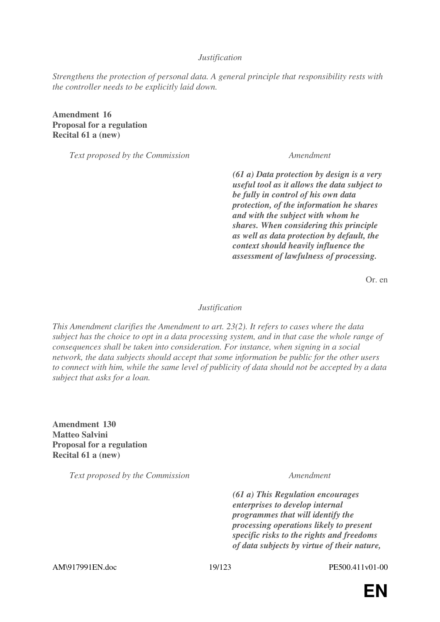# *Justification*

*Strengthens the protection of personal data. A general principle that responsibility rests with the controller needs to be explicitly laid down.*

**Amendment 16 Proposal for a regulation Recital 61 a (new)**

*Text proposed by the Commission* Amendment

*(61 a) Data protection by design is a very useful tool as it allows the data subject to be fully in control of his own data protection, of the information he shares and with the subject with whom he shares. When considering this principle as well as data protection by default, the context should heavily influence the assessment of lawfulness of processing.*

Or. en

### *Justification*

*This Amendment clarifies the Amendment to art. 23(2). It refers to cases where the data subject has the choice to opt in a data processing system, and in that case the whole range of consequences shall be taken into consideration. For instance, when signing in a social network, the data subjects should accept that some information be public for the other users to connect with him, while the same level of publicity of data should not be accepted by a data subject that asks for a loan.*

**Amendment 130 Matteo Salvini Proposal for a regulation Recital 61 a (new)**

*Text proposed by the Commission* Amendment

*(61 a) This Regulation encourages enterprises to develop internal programmes that will identify the processing operations likely to present specific risks to the rights and freedoms of data subjects by virtue of their nature,* 

AM\917991EN.doc 19/123 PE500.411v01-00

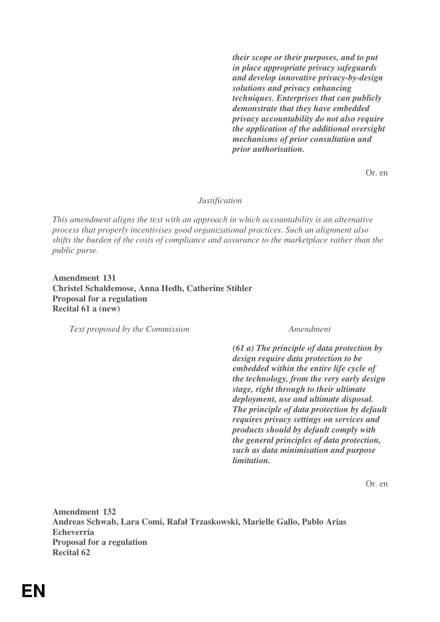*their scope or their purposes, and to put in place appropriate privacy safeguards and develop innovative privacy-by-design solutions and privacy enhancing techniques. Enterprises that can publicly demonstrate that they have embedded privacy accountability do not also require the application of the additional oversight mechanisms of prior consultation and prior authorisation.* 

Or. en

### *Justification*

*This amendment aligns the text with an approach in which accountability is an alternative process that properly incentivises good organizational practices. Such an alignment also shifts the burden of the costs of compliance and assurance to the marketplace rather than the public purse.*

**Amendment 131 Christel Schaldemose, Anna Hedh, Catherine Stihler Proposal for a regulation Recital 61 a (new)**

*Text proposed by the Commission Amendment*

*(61 a) The principle of data protection by design require data protection to be embedded within the entire life cycle of the technology, from the very early design stage, right through to their ultimate deployment, use and ultimate disposal. The principle of data protection by default requires privacy settings on services and products should by default comply with the general principles of data protection, such as data minimisation and purpose limitation.*

Or. en

**Amendment 132 Andreas Schwab, Lara Comi, Rafał Trzaskowski, Marielle Gallo, Pablo Arias Echeverría Proposal for a regulation Recital 62**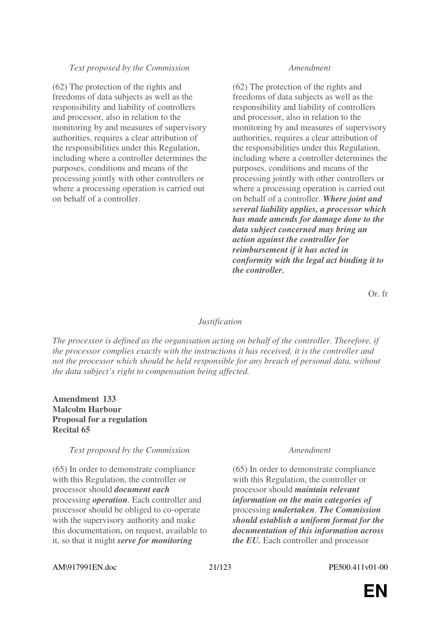# *Text proposed by the Commission* Amendment

(62) The protection of the rights and freedoms of data subjects as well as the responsibility and liability of controllers and processor, also in relation to the monitoring by and measures of supervisory authorities, requires a clear attribution of the responsibilities under this Regulation, including where a controller determines the purposes, conditions and means of the processing jointly with other controllers or where a processing operation is carried out on behalf of a controller.

(62) The protection of the rights and freedoms of data subjects as well as the responsibility and liability of controllers and processor, also in relation to the monitoring by and measures of supervisory authorities, requires a clear attribution of the responsibilities under this Regulation, including where a controller determines the purposes, conditions and means of the processing jointly with other controllers or where a processing operation is carried out on behalf of a controller. *Where joint and several liability applies, a processor which has made amends for damage done to the data subject concerned may bring an action against the controller for reimbursement if it has acted in conformity with the legal act binding it to the controller.*

Or. fr

# *Justification*

*The processor is defined as the organisation acting on behalf of the controller. Therefore, if the processor complies exactly with the instructions it has received, it is the controller and not the processor which should be held responsible for any breach of personal data, without the data subject's right to compensation being affected.*

**Amendment 133 Malcolm Harbour Proposal for a regulation Recital 65**

# *Text proposed by the Commission* Amendment

(65) In order to demonstrate compliance with this Regulation, the controller or processor should *document each*  processing *operation*. Each controller and processor should be obliged to co-operate with the supervisory authority and make this documentation, on request, available to it, so that it might *serve for monitoring* 

(65) In order to demonstrate compliance with this Regulation, the controller or processor should *maintain relevant information on the main categories of*  processing *undertaken*. *The Commission should establish a uniform format for the documentation of this information across the EU.* Each controller and processor

AM\917991EN.doc 21/123 PE500.411v01-00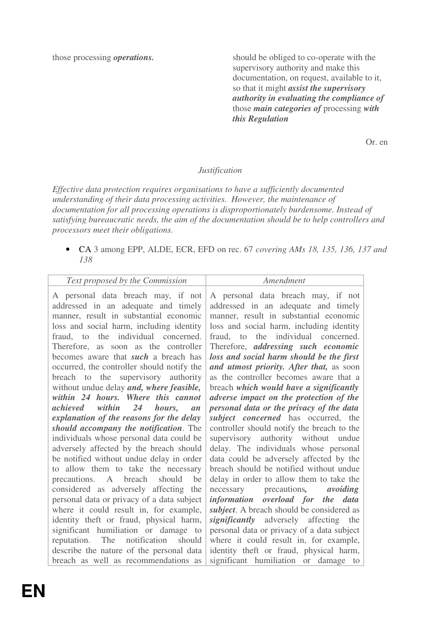those processing *operations.* should be obliged to co-operate with the supervisory authority and make this documentation, on request, available to it, so that it might *assist the supervisory authority in evaluating the compliance of*  those *main categories of* processing *with this Regulation*

Or. en

# *Justification*

*Effective data protection requires organisations to have a sufficiently documented understanding of their data processing activities. However, the maintenance of documentation for all processing operations is disproportionately burdensome. Instead of satisfying bureaucratic needs, the aim of the documentation should be to help controllers and processors meet their obligations.*

• CA 3 among EPP, ALDE, ECR, EFD on rec. 67 *covering AMs 18, 135, 136, 137 and 138*

| Text proposed by the Commission                                                                                                                                                                                                                                                                                                                                                                                                | Amendment                                                                                                                                                                                                                                                                                                                                                                                                                         |  |  |
|--------------------------------------------------------------------------------------------------------------------------------------------------------------------------------------------------------------------------------------------------------------------------------------------------------------------------------------------------------------------------------------------------------------------------------|-----------------------------------------------------------------------------------------------------------------------------------------------------------------------------------------------------------------------------------------------------------------------------------------------------------------------------------------------------------------------------------------------------------------------------------|--|--|
| A personal data breach may, if not<br>addressed in an adequate and timely<br>manner, result in substantial economic<br>loss and social harm, including identity<br>fraud, to the individual concerned.<br>Therefore, as soon as the controller<br>becomes aware that <i>such</i> a breach has<br>occurred, the controller should notify the<br>breach to the supervisory authority<br>without undue delay and, where feasible, | A personal data breach may, if not<br>addressed in an adequate and timely<br>manner, result in substantial economic<br>loss and social harm, including identity<br>fraud, to the individual concerned.<br>Therefore, <i>addressing</i> such economic<br>loss and social harm should be the first<br>and utmost priority. After that, as soon<br>as the controller becomes aware that a<br>breach which would have a significantly |  |  |
| within 24 hours. Where this cannot                                                                                                                                                                                                                                                                                                                                                                                             | adverse impact on the protection of the                                                                                                                                                                                                                                                                                                                                                                                           |  |  |
| achieved within 24 hours,<br>an                                                                                                                                                                                                                                                                                                                                                                                                | personal data or the privacy of the data                                                                                                                                                                                                                                                                                                                                                                                          |  |  |
| explanation of the reasons for the delay                                                                                                                                                                                                                                                                                                                                                                                       | <i>subject concerned</i> has occurred, the                                                                                                                                                                                                                                                                                                                                                                                        |  |  |
| should accompany the notification. The<br>individuals whose personal data could be<br>adversely affected by the breach should<br>be notified without undue delay in order<br>to allow them to take the necessary<br>precautions. A breach<br>should<br>be<br>considered as adversely affecting the<br>personal data or privacy of a data subject<br>where it could result in, for example,                                     | controller should notify the breach to the<br>supervisory authority without undue<br>delay. The individuals whose personal<br>data could be adversely affected by the<br>breach should be notified without undue<br>delay in order to allow them to take the<br>necessary precautions, <i>avoiding</i><br>information overload for the<br>data<br><i>subject</i> . A breach should be considered as                               |  |  |
| identity theft or fraud, physical harm,                                                                                                                                                                                                                                                                                                                                                                                        | significantly adversely affecting the                                                                                                                                                                                                                                                                                                                                                                                             |  |  |
| significant humiliation or damage to<br>reputation. The notification<br>should<br>describe the nature of the personal data<br>breach as well as recommendations as                                                                                                                                                                                                                                                             | personal data or privacy of a data subject<br>where it could result in, for example,<br>identity theft or fraud, physical harm,<br>significant humiliation or damage to                                                                                                                                                                                                                                                           |  |  |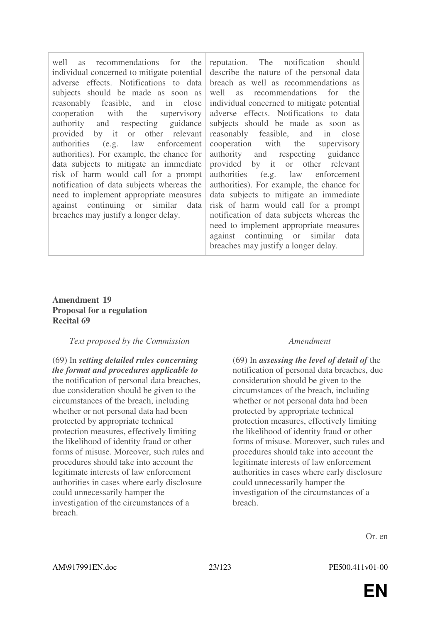well as recommendations for the individual concerned to mitigate potential adverse effects. Notifications to data subjects should be made as soon as reasonably feasible, and in close cooperation with the supervisory authority and respecting guidance provided by it or other relevant authorities (e.g. law enforcement authorities). For example, the chance for data subjects to mitigate an immediate risk of harm would call for a prompt notification of data subjects whereas the need to implement appropriate measures against continuing or similar data breaches may justify a longer delay.

reputation. The notification should describe the nature of the personal data breach as well as recommendations as well as recommendations for the individual concerned to mitigate potential adverse effects. Notifications to data subjects should be made as soon as reasonably feasible, and in close cooperation with the supervisory authority and respecting guidance provided by it or other relevant authorities (e.g. law enforcement authorities). For example, the chance for data subjects to mitigate an immediate risk of harm would call for a prompt notification of data subjects whereas the need to implement appropriate measures against continuing or similar data breaches may justify a longer delay.

# **Amendment 19 Proposal for a regulation Recital 69**

# *Text proposed by the Commission* Amendment

(69) In *setting detailed rules concerning the format and procedures applicable to*  the notification of personal data breaches, due consideration should be given to the circumstances of the breach, including whether or not personal data had been protected by appropriate technical protection measures, effectively limiting the likelihood of identity fraud or other forms of misuse. Moreover, such rules and procedures should take into account the legitimate interests of law enforcement authorities in cases where early disclosure could unnecessarily hamper the investigation of the circumstances of a breach.

(69) In *assessing the level of detail of* the notification of personal data breaches, due consideration should be given to the circumstances of the breach, including whether or not personal data had been protected by appropriate technical protection measures, effectively limiting the likelihood of identity fraud or other forms of misuse. Moreover, such rules and procedures should take into account the legitimate interests of law enforcement authorities in cases where early disclosure could unnecessarily hamper the investigation of the circumstances of a breach.

Or. en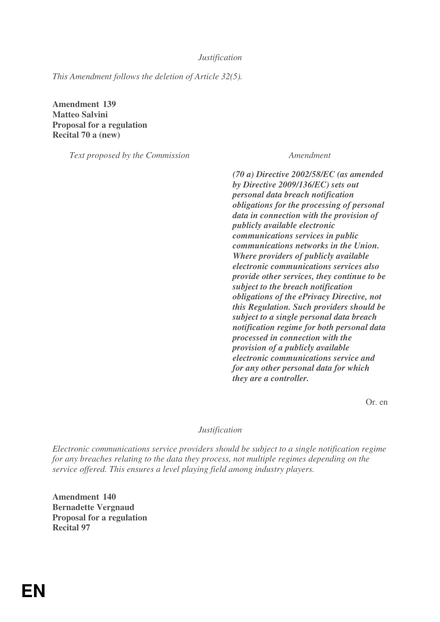*This Amendment follows the deletion of Article 32(5).*

**Amendment 139 Matteo Salvini Proposal for a regulation Recital 70 a (new)**

*Text proposed by the Commission* Amendment

*(70 a) Directive 2002/58/EC (as amended by Directive 2009/136/EC) sets out personal data breach notification obligations for the processing of personal data in connection with the provision of publicly available electronic communications services in public communications networks in the Union. Where providers of publicly available electronic communications services also provide other services, they continue to be subject to the breach notification obligations of the ePrivacy Directive, not this Regulation. Such providers should be subject to a single personal data breach notification regime for both personal data processed in connection with the provision of a publicly available electronic communications service and for any other personal data for which they are a controller.* 

Or. en

### *Justification*

*Electronic communications service providers should be subject to a single notification regime for any breaches relating to the data they process, not multiple regimes depending on the service offered. This ensures a level playing field among industry players.*

**Amendment 140 Bernadette Vergnaud Proposal for a regulation Recital 97**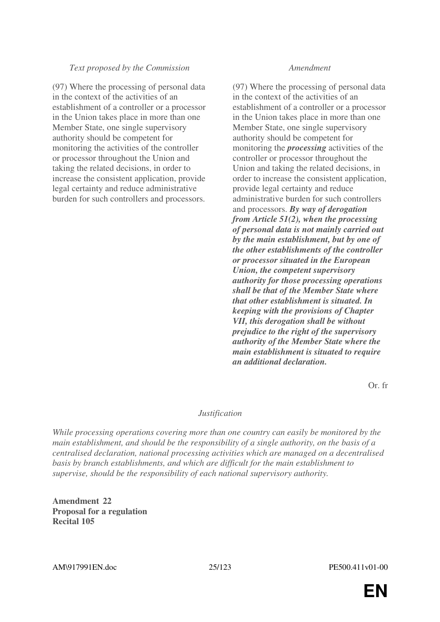# *Text proposed by the Commission* Amendment

(97) Where the processing of personal data in the context of the activities of an establishment of a controller or a processor in the Union takes place in more than one Member State, one single supervisory authority should be competent for monitoring the activities of the controller or processor throughout the Union and taking the related decisions, in order to increase the consistent application, provide legal certainty and reduce administrative burden for such controllers and processors.

(97) Where the processing of personal data in the context of the activities of an establishment of a controller or a processor in the Union takes place in more than one Member State, one single supervisory authority should be competent for monitoring the *processing* activities of the controller or processor throughout the Union and taking the related decisions, in order to increase the consistent application, provide legal certainty and reduce administrative burden for such controllers and processors. *By way of derogation from Article 51(2), when the processing of personal data is not mainly carried out by the main establishment, but by one of the other establishments of the controller or processor situated in the European Union, the competent supervisory authority for those processing operations shall be that of the Member State where that other establishment is situated. In keeping with the provisions of Chapter VII, this derogation shall be without prejudice to the right of the supervisory authority of the Member State where the main establishment is situated to require an additional declaration.*

Or. fr

# *Justification*

*While processing operations covering more than one country can easily be monitored by the main establishment, and should be the responsibility of a single authority, on the basis of a centralised declaration, national processing activities which are managed on a decentralised basis by branch establishments, and which are difficult for the main establishment to supervise, should be the responsibility of each national supervisory authority.*

**Amendment 22 Proposal for a regulation Recital 105**

AM\917991EN.doc 25/123 PE500.411v01-00

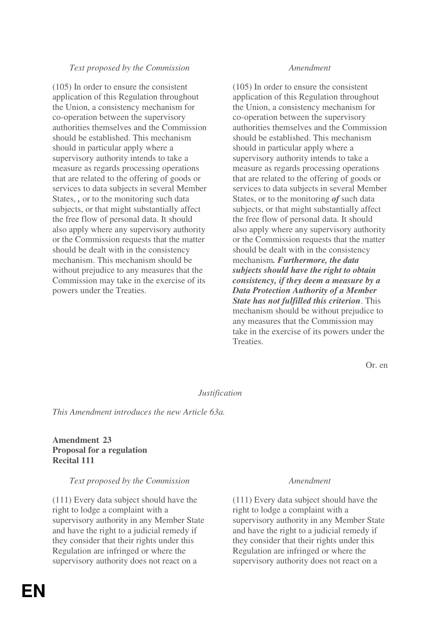# *Text proposed by the Commission* Amendment

(105) In order to ensure the consistent application of this Regulation throughout the Union, a consistency mechanism for co-operation between the supervisory authorities themselves and the Commission should be established. This mechanism should in particular apply where a supervisory authority intends to take a measure as regards processing operations that are related to the offering of goods or services to data subjects in several Member States, *,* or to the monitoring such data subjects, or that might substantially affect the free flow of personal data. It should also apply where any supervisory authority or the Commission requests that the matter should be dealt with in the consistency mechanism. This mechanism should be without prejudice to any measures that the Commission may take in the exercise of its powers under the Treaties.

(105) In order to ensure the consistent application of this Regulation throughout the Union, a consistency mechanism for co-operation between the supervisory authorities themselves and the Commission should be established. This mechanism should in particular apply where a supervisory authority intends to take a measure as regards processing operations that are related to the offering of goods or services to data subjects in several Member States, or to the monitoring *of* such data subjects, or that might substantially affect the free flow of personal data. It should also apply where any supervisory authority or the Commission requests that the matter should be dealt with in the consistency mechanism*. Furthermore, the data subjects should have the right to obtain consistency, if they deem a measure by a Data Protection Authority of a Member State has not fulfilled this criterion*. This mechanism should be without prejudice to any measures that the Commission may take in the exercise of its powers under the Treaties.

Or. en

# *Justification*

*This Amendment introduces the new Article 63a.*

# **Amendment 23 Proposal for a regulation Recital 111**

# *Text proposed by the Commission Amendment*

(111) Every data subject should have the right to lodge a complaint with a supervisory authority in any Member State and have the right to a judicial remedy if they consider that their rights under this Regulation are infringed or where the supervisory authority does not react on a

(111) Every data subject should have the right to lodge a complaint with a supervisory authority in any Member State and have the right to a judicial remedy if they consider that their rights under this Regulation are infringed or where the supervisory authority does not react on a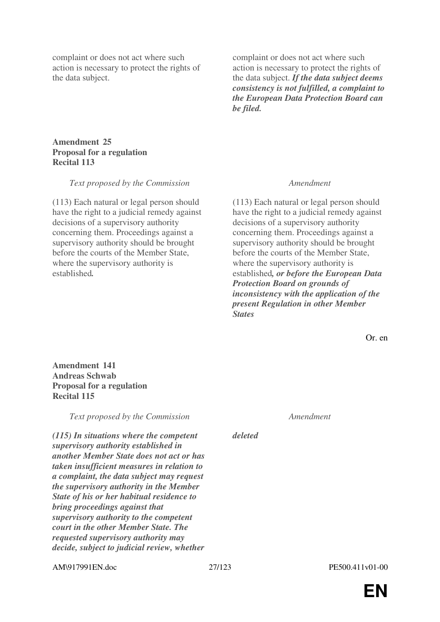complaint or does not act where such action is necessary to protect the rights of the data subject.

complaint or does not act where such action is necessary to protect the rights of the data subject. *If the data subject deems consistency is not fulfilled, a complaint to the European Data Protection Board can be filed.*

# **Amendment 25 Proposal for a regulation Recital 113**

*Text proposed by the Commission* Amendment

(113) Each natural or legal person should have the right to a judicial remedy against decisions of a supervisory authority concerning them. Proceedings against a supervisory authority should be brought before the courts of the Member State, where the supervisory authority is established*.*

(113) Each natural or legal person should have the right to a judicial remedy against decisions of a supervisory authority concerning them. Proceedings against a supervisory authority should be brought before the courts of the Member State, where the supervisory authority is established*, or before the European Data Protection Board on grounds of inconsistency with the application of the present Regulation in other Member States*

Or. en

**Amendment 141 Andreas Schwab Proposal for a regulation Recital 115**

*Text proposed by the Commission* Amendment

*(115) In situations where the competent supervisory authority established in another Member State does not act or has taken insufficient measures in relation to a complaint, the data subject may request the supervisory authority in the Member State of his or her habitual residence to bring proceedings against that supervisory authority to the competent court in the other Member State. The requested supervisory authority may decide, subject to judicial review, whether* 

AM\917991EN.doc 27/123 PE500.411v01-00

*deleted*

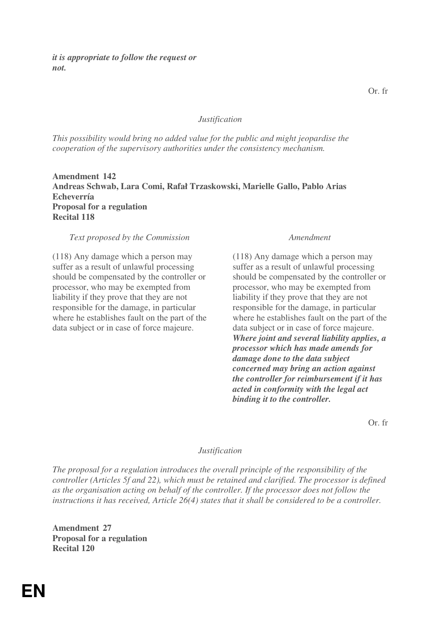### *Justification*

*This possibility would bring no added value for the public and might jeopardise the cooperation of the supervisory authorities under the consistency mechanism.*

# **Amendment 142 Andreas Schwab, Lara Comi, Rafał Trzaskowski, Marielle Gallo, Pablo Arias Echeverría Proposal for a regulation Recital 118**

### *Text proposed by the Commission Amendment*

(118) Any damage which a person may suffer as a result of unlawful processing should be compensated by the controller or processor, who may be exempted from liability if they prove that they are not responsible for the damage, in particular where he establishes fault on the part of the data subject or in case of force majeure.

(118) Any damage which a person may suffer as a result of unlawful processing should be compensated by the controller or processor, who may be exempted from liability if they prove that they are not responsible for the damage, in particular where he establishes fault on the part of the data subject or in case of force majeure. *Where joint and several liability applies, a processor which has made amends for damage done to the data subject concerned may bring an action against the controller for reimbursement if it has acted in conformity with the legal act binding it to the controller.*

Or. fr

### *Justification*

*The proposal for a regulation introduces the overall principle of the responsibility of the controller (Articles 5f and 22), which must be retained and clarified. The processor is defined as the organisation acting on behalf of the controller. If the processor does not follow the instructions it has received, Article 26(4) states that it shall be considered to be a controller.*

**Amendment 27 Proposal for a regulation Recital 120**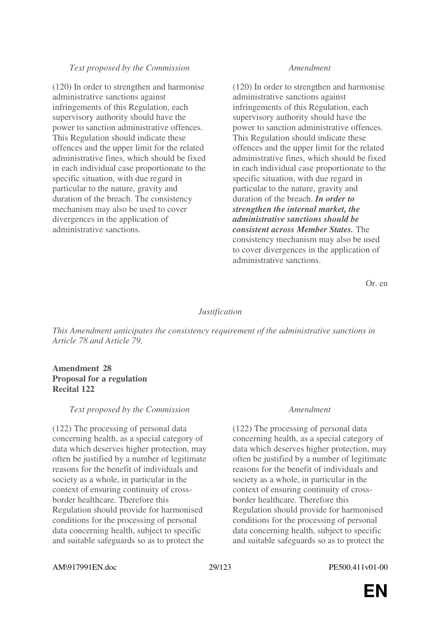### *Text proposed by the Commission* Amendment

(120) In order to strengthen and harmonise administrative sanctions against infringements of this Regulation, each supervisory authority should have the power to sanction administrative offences. This Regulation should indicate these offences and the upper limit for the related administrative fines, which should be fixed in each individual case proportionate to the specific situation, with due regard in particular to the nature, gravity and duration of the breach. The consistency mechanism may also be used to cover divergences in the application of administrative sanctions.

(120) In order to strengthen and harmonise administrative sanctions against infringements of this Regulation, each supervisory authority should have the power to sanction administrative offences. This Regulation should indicate these offences and the upper limit for the related administrative fines, which should be fixed in each individual case proportionate to the specific situation, with due regard in particular to the nature, gravity and duration of the breach. *In order to strengthen the internal market, the administrative sanctions should be consistent across Member States.* The consistency mechanism may also be used to cover divergences in the application of administrative sanctions.

Or. en

# *Justification*

*This Amendment anticipates the consistency requirement of the administrative sanctions in Article 78 and Article 79.*

# **Amendment 28 Proposal for a regulation Recital 122**

### *Text proposed by the Commission* Amendment

(122) The processing of personal data concerning health, as a special category of data which deserves higher protection, may often be justified by a number of legitimate reasons for the benefit of individuals and society as a whole, in particular in the context of ensuring continuity of crossborder healthcare. Therefore this Regulation should provide for harmonised conditions for the processing of personal data concerning health, subject to specific and suitable safeguards so as to protect the

(122) The processing of personal data concerning health, as a special category of data which deserves higher protection, may often be justified by a number of legitimate reasons for the benefit of individuals and society as a whole, in particular in the context of ensuring continuity of crossborder healthcare. Therefore this Regulation should provide for harmonised conditions for the processing of personal data concerning health, subject to specific and suitable safeguards so as to protect the

### AM\917991EN.doc 29/123 PE500.411v01-00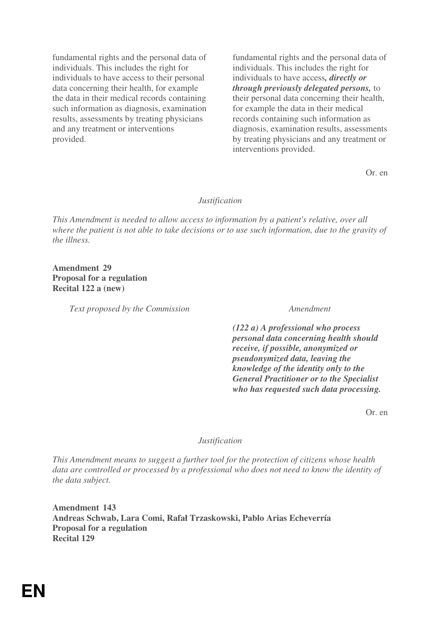fundamental rights and the personal data of individuals. This includes the right for individuals to have access to their personal data concerning their health, for example the data in their medical records containing such information as diagnosis, examination results, assessments by treating physicians and any treatment or interventions provided.

fundamental rights and the personal data of individuals. This includes the right for individuals to have access*, directly or through previously delegated persons,* to their personal data concerning their health, for example the data in their medical records containing such information as diagnosis, examination results, assessments by treating physicians and any treatment or interventions provided.

Or. en

# *Justification*

*This Amendment is needed to allow access to information by a patient's relative, over all where the patient is not able to take decisions or to use such information, due to the gravity of the illness.*

**Amendment 29 Proposal for a regulation Recital 122 a (new)**

*Text proposed by the Commission* Amendment

*(122 a) A professional who process personal data concerning health should receive, if possible, anonymized or pseudonymized data, leaving the knowledge of the identity only to the General Practitioner or to the Specialist who has requested such data processing.*

Or. en

# *Justification*

*This Amendment means to suggest a further tool for the protection of citizens whose health data are controlled or processed by a professional who does not need to know the identity of the data subject.*

**Amendment 143 Andreas Schwab, Lara Comi, Rafał Trzaskowski, Pablo Arias Echeverría Proposal for a regulation Recital 129**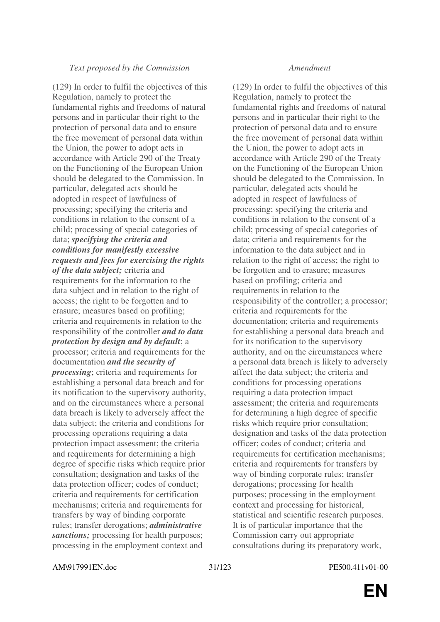### *Text proposed by the Commission* Amendment

(129) In order to fulfil the objectives of this Regulation, namely to protect the fundamental rights and freedoms of natural persons and in particular their right to the protection of personal data and to ensure the free movement of personal data within the Union, the power to adopt acts in accordance with Article 290 of the Treaty on the Functioning of the European Union should be delegated to the Commission. In particular, delegated acts should be adopted in respect of lawfulness of processing; specifying the criteria and conditions in relation to the consent of a child; processing of special categories of data; *specifying the criteria and conditions for manifestly excessive requests and fees for exercising the rights of the data subject;* criteria and

requirements for the information to the data subject and in relation to the right of access; the right to be forgotten and to erasure; measures based on profiling; criteria and requirements in relation to the responsibility of the controller *and to data protection by design and by default*; a processor; criteria and requirements for the documentation *and the security of processing*; criteria and requirements for establishing a personal data breach and for its notification to the supervisory authority, and on the circumstances where a personal data breach is likely to adversely affect the data subject; the criteria and conditions for processing operations requiring a data protection impact assessment; the criteria and requirements for determining a high degree of specific risks which require prior consultation; designation and tasks of the data protection officer; codes of conduct; criteria and requirements for certification mechanisms; criteria and requirements for transfers by way of binding corporate rules; transfer derogations; *administrative sanctions;* processing for health purposes; processing in the employment context and

(129) In order to fulfil the objectives of this Regulation, namely to protect the fundamental rights and freedoms of natural persons and in particular their right to the protection of personal data and to ensure the free movement of personal data within the Union, the power to adopt acts in accordance with Article 290 of the Treaty on the Functioning of the European Union should be delegated to the Commission. In particular, delegated acts should be adopted in respect of lawfulness of processing; specifying the criteria and conditions in relation to the consent of a child; processing of special categories of data; criteria and requirements for the information to the data subject and in relation to the right of access; the right to be forgotten and to erasure; measures based on profiling; criteria and requirements in relation to the responsibility of the controller; a processor; criteria and requirements for the documentation; criteria and requirements for establishing a personal data breach and for its notification to the supervisory authority, and on the circumstances where a personal data breach is likely to adversely affect the data subject; the criteria and conditions for processing operations requiring a data protection impact assessment; the criteria and requirements for determining a high degree of specific risks which require prior consultation; designation and tasks of the data protection officer; codes of conduct; criteria and requirements for certification mechanisms; criteria and requirements for transfers by way of binding corporate rules; transfer derogations; processing for health purposes; processing in the employment context and processing for historical, statistical and scientific research purposes. It is of particular importance that the Commission carry out appropriate consultations during its preparatory work,

### AM\917991EN.doc 31/123 PE500.411v01-00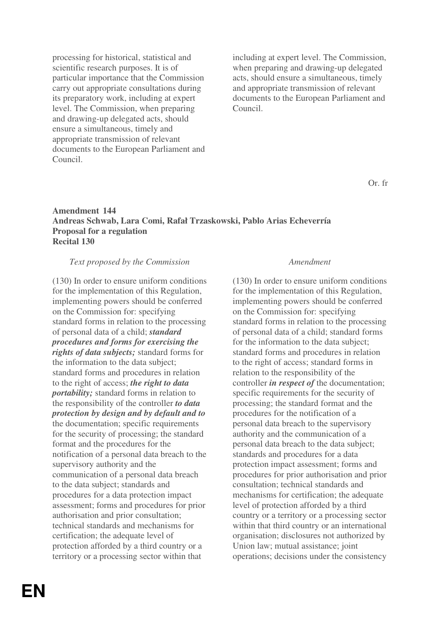processing for historical, statistical and scientific research purposes. It is of particular importance that the Commission carry out appropriate consultations during its preparatory work, including at expert level. The Commission, when preparing and drawing-up delegated acts, should ensure a simultaneous, timely and appropriate transmission of relevant documents to the European Parliament and Council.

including at expert level. The Commission, when preparing and drawing-up delegated acts, should ensure a simultaneous, timely and appropriate transmission of relevant documents to the European Parliament and Council.

Or. fr

# **Amendment 144 Andreas Schwab, Lara Comi, Rafał Trzaskowski, Pablo Arias Echeverría Proposal for a regulation Recital 130**

### *Text proposed by the Commission Amendment*

(130) In order to ensure uniform conditions for the implementation of this Regulation, implementing powers should be conferred on the Commission for: specifying standard forms in relation to the processing of personal data of a child; *standard procedures and forms for exercising the rights of data subjects;* standard forms for the information to the data subject; standard forms and procedures in relation to the right of access; *the right to data portability;* standard forms in relation to the responsibility of the controller *to data protection by design and by default and to*  the documentation; specific requirements for the security of processing; the standard format and the procedures for the notification of a personal data breach to the supervisory authority and the communication of a personal data breach to the data subject; standards and procedures for a data protection impact assessment; forms and procedures for prior authorisation and prior consultation; technical standards and mechanisms for certification; the adequate level of protection afforded by a third country or a territory or a processing sector within that

(130) In order to ensure uniform conditions for the implementation of this Regulation, implementing powers should be conferred on the Commission for: specifying standard forms in relation to the processing of personal data of a child; standard forms for the information to the data subject; standard forms and procedures in relation to the right of access; standard forms in relation to the responsibility of the controller *in respect of* the documentation; specific requirements for the security of processing; the standard format and the procedures for the notification of a personal data breach to the supervisory authority and the communication of a personal data breach to the data subject; standards and procedures for a data protection impact assessment; forms and procedures for prior authorisation and prior consultation; technical standards and mechanisms for certification; the adequate level of protection afforded by a third country or a territory or a processing sector within that third country or an international organisation; disclosures not authorized by Union law; mutual assistance; joint operations; decisions under the consistency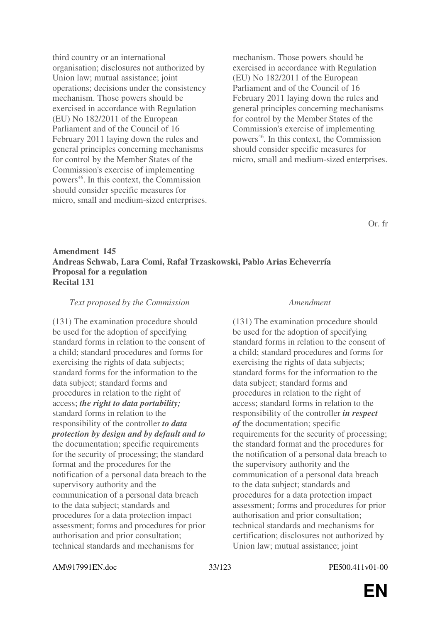third country or an international organisation; disclosures not authorized by Union law; mutual assistance; joint operations; decisions under the consistency mechanism. Those powers should be exercised in accordance with Regulation (EU) No 182/2011 of the European Parliament and of the Council of 16 February 2011 laying down the rules and general principles concerning mechanisms for control by the Member States of the Commission's exercise of implementing powers<sup>46</sup>. In this context, the Commission should consider specific measures for micro, small and medium-sized enterprises.

mechanism. Those powers should be exercised in accordance with Regulation (EU) No 182/2011 of the European Parliament and of the Council of 16 February 2011 laying down the rules and general principles concerning mechanisms for control by the Member States of the Commission's exercise of implementing powers<sup>46</sup>. In this context, the Commission should consider specific measures for micro, small and medium-sized enterprises.

Or. fr

# **Amendment 145 Andreas Schwab, Lara Comi, Rafał Trzaskowski, Pablo Arias Echeverría Proposal for a regulation Recital 131**

### *Text proposed by the Commission Amendment*

(131) The examination procedure should be used for the adoption of specifying standard forms in relation to the consent of a child; standard procedures and forms for exercising the rights of data subjects; standard forms for the information to the data subject; standard forms and procedures in relation to the right of access; *the right to data portability;*  standard forms in relation to the responsibility of the controller *to data protection by design and by default and to*  the documentation; specific requirements for the security of processing; the standard format and the procedures for the notification of a personal data breach to the supervisory authority and the communication of a personal data breach to the data subject; standards and procedures for a data protection impact assessment; forms and procedures for prior authorisation and prior consultation; technical standards and mechanisms for

(131) The examination procedure should be used for the adoption of specifying standard forms in relation to the consent of a child; standard procedures and forms for exercising the rights of data subjects; standard forms for the information to the data subject; standard forms and procedures in relation to the right of access; standard forms in relation to the responsibility of the controller *in respect of* the documentation; specific requirements for the security of processing; the standard format and the procedures for the notification of a personal data breach to the supervisory authority and the communication of a personal data breach to the data subject; standards and procedures for a data protection impact assessment; forms and procedures for prior authorisation and prior consultation; technical standards and mechanisms for certification; disclosures not authorized by Union law; mutual assistance; joint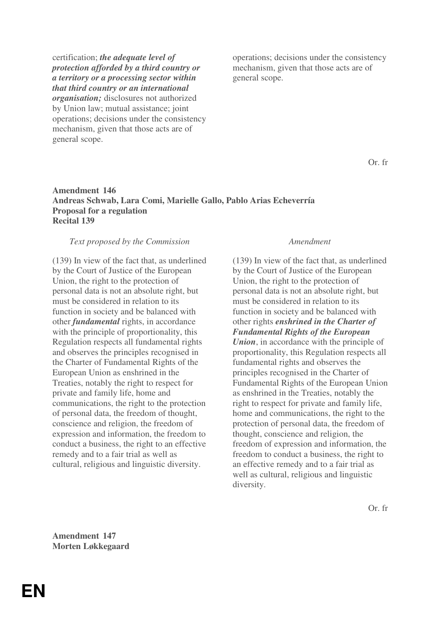certification; *the adequate level of protection afforded by a third country or a territory or a processing sector within that third country or an international organisation;* disclosures not authorized by Union law; mutual assistance; joint operations; decisions under the consistency mechanism, given that those acts are of general scope.

operations; decisions under the consistency mechanism, given that those acts are of general scope.

Or. fr

# **Amendment 146 Andreas Schwab, Lara Comi, Marielle Gallo, Pablo Arias Echeverría Proposal for a regulation Recital 139**

### *Text proposed by the Commission Amendment*

(139) In view of the fact that, as underlined by the Court of Justice of the European Union, the right to the protection of personal data is not an absolute right, but must be considered in relation to its function in society and be balanced with other *fundamental* rights, in accordance with the principle of proportionality, this Regulation respects all fundamental rights and observes the principles recognised in the Charter of Fundamental Rights of the European Union as enshrined in the Treaties, notably the right to respect for private and family life, home and communications, the right to the protection of personal data, the freedom of thought, conscience and religion, the freedom of expression and information, the freedom to conduct a business, the right to an effective remedy and to a fair trial as well as cultural, religious and linguistic diversity.

(139) In view of the fact that, as underlined by the Court of Justice of the European Union, the right to the protection of personal data is not an absolute right, but must be considered in relation to its function in society and be balanced with other rights *enshrined in the Charter of Fundamental Rights of the European Union*, in accordance with the principle of proportionality, this Regulation respects all fundamental rights and observes the principles recognised in the Charter of Fundamental Rights of the European Union as enshrined in the Treaties, notably the right to respect for private and family life, home and communications, the right to the protection of personal data, the freedom of thought, conscience and religion, the freedom of expression and information, the freedom to conduct a business, the right to an effective remedy and to a fair trial as well as cultural, religious and linguistic diversity.

Or. fr

**Amendment 147 Morten Løkkegaard**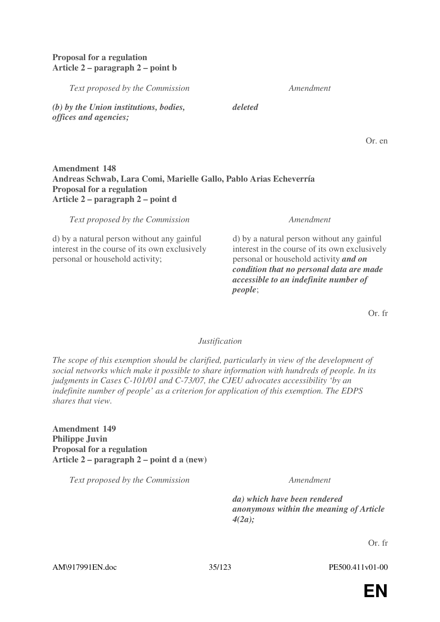# **Proposal for a regulation Article 2 – paragraph 2 – point b**

*Text proposed by the Commission Amendment*

*(b) by the Union institutions, bodies, offices and agencies;*

*deleted*

Or. en

# **Amendment 148 Andreas Schwab, Lara Comi, Marielle Gallo, Pablo Arias Echeverría Proposal for a regulation Article 2 – paragraph 2 – point d**

*Text proposed by the Commission Amendment*

d) by a natural person without any gainful interest in the course of its own exclusively personal or household activity;

d) by a natural person without any gainful interest in the course of its own exclusively personal or household activity *and on condition that no personal data are made accessible to an indefinite number of people*;

Or. fr

# *Justification*

*The scope of this exemption should be clarified, particularly in view of the development of social networks which make it possible to share information with hundreds of people. In its judgments in Cases C-101/01 and C-73/07, the CJEU advocates accessibility 'by an indefinite number of people' as a criterion for application of this exemption. The EDPS shares that view.*

**Amendment 149 Philippe Juvin Proposal for a regulation Article 2 – paragraph 2 – point d a (new)**

*Text proposed by the Commission* Amendment

*da) which have been rendered anonymous within the meaning of Article 4(2a);*

Or. fr

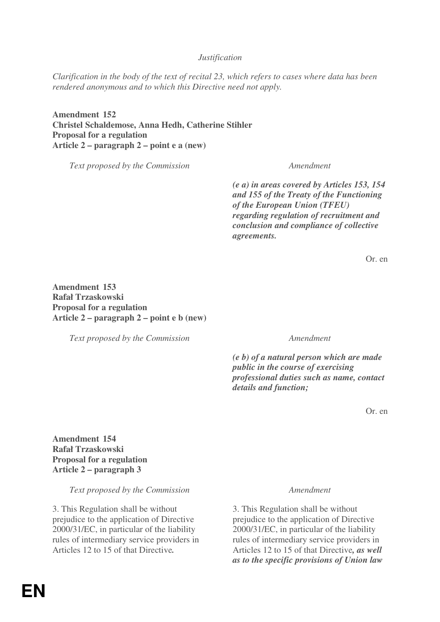# *Justification*

*Clarification in the body of the text of recital 23, which refers to cases where data has been rendered anonymous and to which this Directive need not apply.*

**Amendment 152 Christel Schaldemose, Anna Hedh, Catherine Stihler Proposal for a regulation Article 2 – paragraph 2 – point e a (new)**

*Text proposed by the Commission Amendment*

*(e a) in areas covered by Articles 153, 154 and 155 of the Treaty of the Functioning of the European Union (TFEU) regarding regulation of recruitment and conclusion and compliance of collective agreements.*

Or. en

**Amendment 153 Rafał Trzaskowski Proposal for a regulation Article 2 – paragraph 2 – point e b (new)**

*Text proposed by the Commission Amendment*

*(e b) of a natural person which are made public in the course of exercising professional duties such as name, contact details and function;*

Or. en

**Amendment 154 Rafał Trzaskowski Proposal for a regulation Article 2 – paragraph 3**

*Text proposed by the Commission Amendment*

3. This Regulation shall be without prejudice to the application of Directive 2000/31/EC, in particular of the liability rules of intermediary service providers in Articles 12 to 15 of that Directive*.*

3. This Regulation shall be without prejudice to the application of Directive 2000/31/EC, in particular of the liability rules of intermediary service providers in Articles 12 to 15 of that Directive*, as well as to the specific provisions of Union law*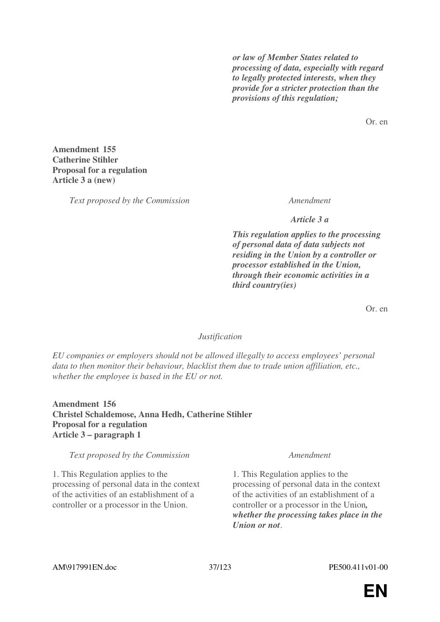*or law of Member States related to processing of data, especially with regard to legally protected interests, when they provide for a stricter protection than the provisions of this regulation;*

Or. en

**Amendment 155 Catherine Stihler Proposal for a regulation Article 3 a (new)**

*Text proposed by the Commission* Amendment

*Article 3 a*

*This regulation applies to the processing of personal data of data subjects not residing in the Union by a controller or processor established in the Union, through their economic activities in a third country(ies)*

Or. en

# *Justification*

*EU companies or employers should not be allowed illegally to access employees' personal data to then monitor their behaviour, blacklist them due to trade union affiliation, etc., whether the employee is based in the EU or not.*

**Amendment 156 Christel Schaldemose, Anna Hedh, Catherine Stihler Proposal for a regulation Article 3 – paragraph 1**

*Text proposed by the Commission* Amendment

1. This Regulation applies to the processing of personal data in the context of the activities of an establishment of a controller or a processor in the Union.

1. This Regulation applies to the processing of personal data in the context of the activities of an establishment of a controller or a processor in the Union*, whether the processing takes place in the Union or not*.

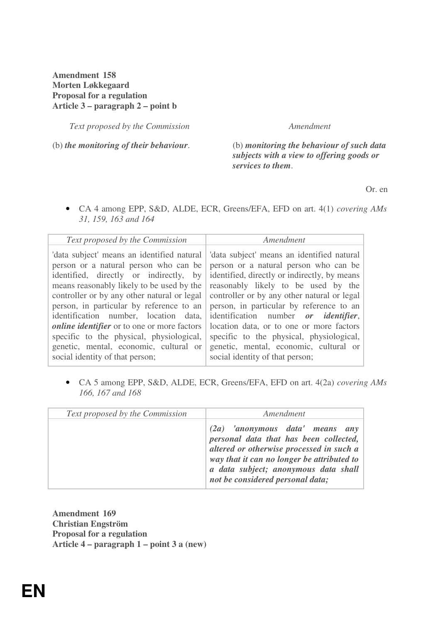# **Amendment 158 Morten Løkkegaard Proposal for a regulation Article 3 – paragraph 2 – point b**

*Text proposed by the Commission* Amendment

(b) *the monitoring of their behaviour*. (b) *monitoring the behaviour of such data subjects with a view to offering goods or services to them*.

Or. en

• CA 4 among EPP, S&D, ALDE, ECR, Greens/EFA, EFD on art. 4(1) *covering AMs 31, 159, 163 and 164*

• CA 5 among EPP, S&D, ALDE, ECR, Greens/EFA, EFD on art. 4(2a) *covering AMs 166, 167 and 168*

| Text proposed by the Commission | Amendment                                                                                                                                                                                                                                             |
|---------------------------------|-------------------------------------------------------------------------------------------------------------------------------------------------------------------------------------------------------------------------------------------------------|
|                                 | 'anonymous data' means<br>(2a)<br>any<br>personal data that has been collected,<br>altered or otherwise processed in such a<br>way that it can no longer be attributed to<br>a data subject; anonymous data shall<br>not be considered personal data; |

**Amendment 169 Christian Engström Proposal for a regulation Article 4 – paragraph 1 – point 3 a (new)**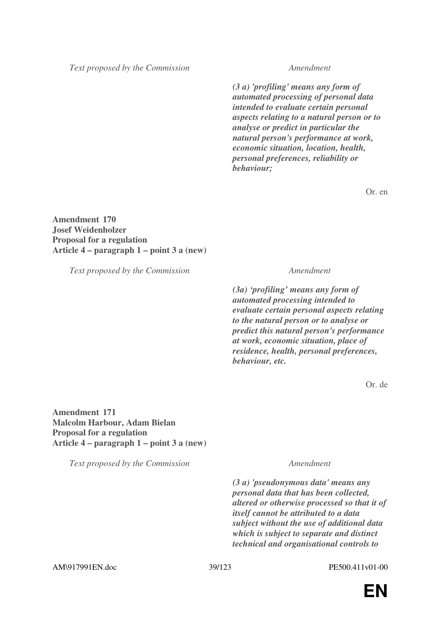*Text proposed by the Commission* Amendment

*(3 a) 'profiling' means any form of automated processing of personal data intended to evaluate certain personal aspects relating to a natural person or to analyse or predict in particular the natural person's performance at work, economic situation, location, health, personal preferences, reliability or behaviour;*

Or. en

### **Amendment 170 Josef Weidenholzer Proposal for a regulation Article 4 – paragraph 1 – point 3 a (new)**

*Text proposed by the Commission* Amendment

*(3a) 'profiling' means any form of automated processing intended to evaluate certain personal aspects relating to the natural person or to analyse or predict this natural person's performance at work, economic situation, place of residence, health, personal preferences, behaviour, etc.*

Or. de

**Amendment 171 Malcolm Harbour, Adam Bielan Proposal for a regulation Article 4 – paragraph 1 – point 3 a (new)**

*Text proposed by the Commission Amendment*

*(3 a) 'pseudonymous data' means any personal data that has been collected, altered or otherwise processed so that it of itself cannot be attributed to a data subject without the use of additional data which is subject to separate and distinct technical and organisational controls to* 

AM\917991EN.doc 39/123 PE500.411v01-00

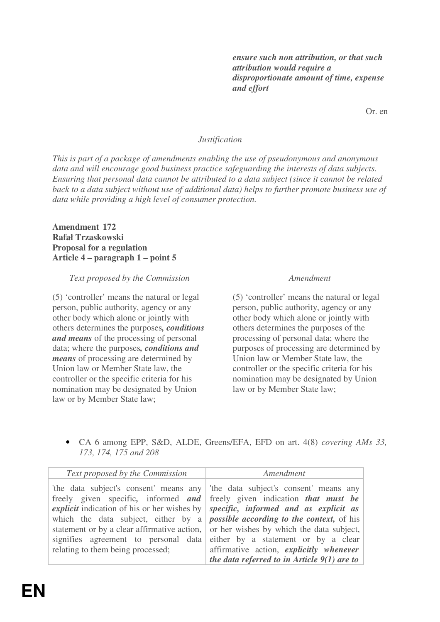*ensure such non attribution, or that such attribution would require a disproportionate amount of time, expense and effort*

Or. en

### *Justification*

*This is part of a package of amendments enabling the use of pseudonymous and anonymous data and will encourage good business practice safeguarding the interests of data subjects. Ensuring that personal data cannot be attributed to a data subject (since it cannot be related back to a data subject without use of additional data) helps to further promote business use of data while providing a high level of consumer protection.*

**Amendment 172 Rafał Trzaskowski Proposal for a regulation Article 4 – paragraph 1 – point 5**

### *Text proposed by the Commission Amendment*

(5) 'controller' means the natural or legal person, public authority, agency or any other body which alone or jointly with others determines the purposes*, conditions and means* of the processing of personal data; where the purposes*, conditions and means* of processing are determined by Union law or Member State law, the controller or the specific criteria for his nomination may be designated by Union law or by Member State law;

(5) 'controller' means the natural or legal person, public authority, agency or any other body which alone or jointly with others determines the purposes of the processing of personal data; where the purposes of processing are determined by Union law or Member State law, the controller or the specific criteria for his nomination may be designated by Union law or by Member State law;

• CA 6 among EPP, S&D, ALDE, Greens/EFA, EFD on art. 4(8) *covering AMs 33, 173, 174, 175 and 208*

| Text proposed by the Commission                                                                                                                                                                                                                                                                                                                                                                                                                                                                                                                                       | Amendment                                                                                       |
|-----------------------------------------------------------------------------------------------------------------------------------------------------------------------------------------------------------------------------------------------------------------------------------------------------------------------------------------------------------------------------------------------------------------------------------------------------------------------------------------------------------------------------------------------------------------------|-------------------------------------------------------------------------------------------------|
| 'the data subject's consent' means any the data subject's consent' means any<br>freely given specific, informed and freely given indication that must be<br><i>explicit</i> indication of his or her wishes by <i>specific</i> , <i>informed</i> and as explicit as<br>which the data subject, either by a <i>possible according to the context</i> , of his<br>statement or by a clear affirmative action, or her wishes by which the data subject,<br>signifies agreement to personal data either by a statement or by a clear<br>relating to them being processed; | affirmative action, <i>explicitly</i> whenever<br>the data referred to in Article $9(1)$ are to |
|                                                                                                                                                                                                                                                                                                                                                                                                                                                                                                                                                                       |                                                                                                 |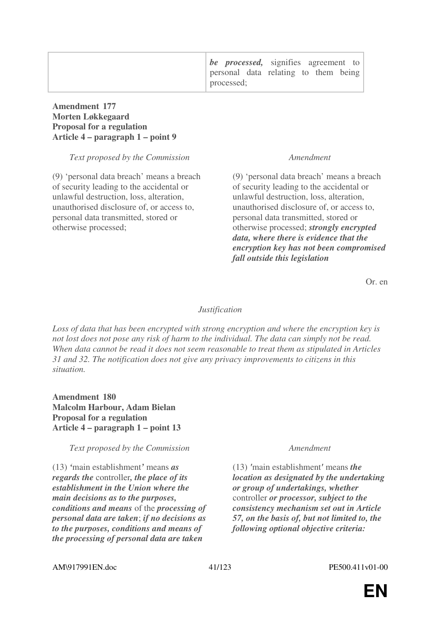### **Amendment 177 Morten Løkkegaard Proposal for a regulation Article 4 – paragraph 1 – point 9**

*Text proposed by the Commission* Amendment

(9) 'personal data breach' means a breach of security leading to the accidental or unlawful destruction, loss, alteration, unauthorised disclosure of, or access to, personal data transmitted, stored or otherwise processed;

(9) 'personal data breach' means a breach of security leading to the accidental or unlawful destruction, loss, alteration, unauthorised disclosure of, or access to, personal data transmitted, stored or otherwise processed; *strongly encrypted data, where there is evidence that the encryption key has not been compromised fall outside this legislation*

Or. en

# *Justification*

*Loss of data that has been encrypted with strong encryption and where the encryption key is not lost does not pose any risk of harm to the individual. The data can simply not be read. When data cannot be read it does not seem reasonable to treat them as stipulated in Articles 31 and 32. The notification does not give any privacy improvements to citizens in this situation.*

**Amendment 180 Malcolm Harbour, Adam Bielan Proposal for a regulation Article 4 – paragraph 1 – point 13**

*Text proposed by the Commission* Amendment

(13) *'*main establishment*'* means *as regards the* controller*, the place of its establishment in the Union where the main decisions as to the purposes, conditions and means* of the *processing of personal data are taken*; *if no decisions as to the purposes, conditions and means of the processing of personal data are taken* 

(13) *'*main establishment*'* means *the location as designated by the undertaking or group of undertakings, whether*  controller *or processor, subject to the consistency mechanism set out in Article 57, on the basis of, but not limited to, the following optional objective criteria:*

AM\917991EN.doc 41/123 PE500.411v01-00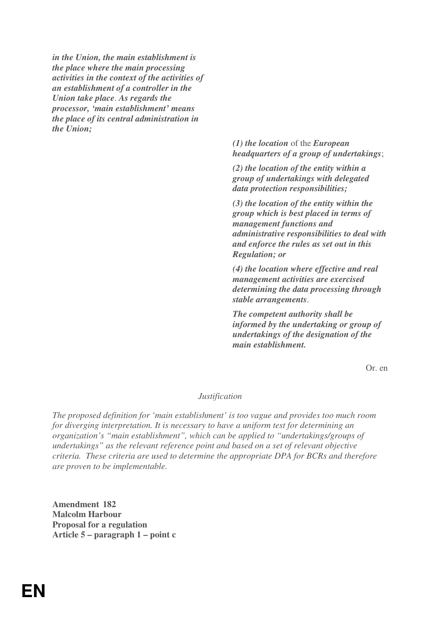*in the Union, the main establishment is the place where the main processing activities in the context of the activities of an establishment of a controller in the Union take place*. *As regards the processor, 'main establishment' means the place of its central administration in the Union;*

> *(1) the location* of the *European headquarters of a group of undertakings*;

*(2) the location of the entity within a group of undertakings with delegated data protection responsibilities;*

*(3) the location of the entity within the group which is best placed in terms of management functions and administrative responsibilities to deal with and enforce the rules as set out in this Regulation; or*

*(4) the location where effective and real management activities are exercised determining the data processing through stable arrangements*.

*The competent authority shall be informed by the undertaking or group of undertakings of the designation of the main establishment.*

Or. en

# *Justification*

*The proposed definition for 'main establishment' is too vague and provides too much room for diverging interpretation. It is necessary to have a uniform test for determining an organization's "main establishment", which can be applied to "undertakings/groups of undertakings" as the relevant reference point and based on a set of relevant objective criteria. These criteria are used to determine the appropriate DPA for BCRs and therefore are proven to be implementable.*

**Amendment 182 Malcolm Harbour Proposal for a regulation Article 5 – paragraph 1 – point c**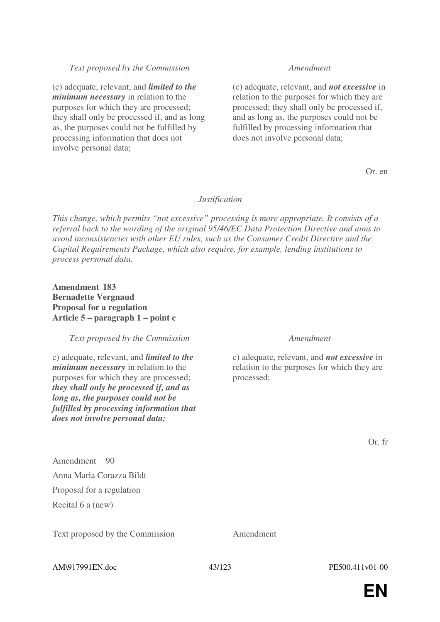Amendment 90

Recital 6 a (new)

Anna Maria Corazza Bildt Proposal for a regulation

# *Text proposed by the Commission* Amendment

(c) adequate, relevant, and *not excessive* in relation to the purposes for which they are processed; they shall only be processed if, and as long as, the purposes could not be fulfilled by processing information that does not involve personal data;

Or. en

# *Justification*

*This change, which permits "not excessive" processing is more appropriate. It consists of a referral back to the wording of the original 95/46/EC Data Protection Directive and aims to avoid inconsistencies with other EU rules, such as the Consumer Credit Directive and the Capital Requirements Package, which also require, for example, lending institutions to process personal data.*

**Amendment 183 Bernadette Vergnaud Proposal for a regulation Article 5 – paragraph 1 – point c**

(c) adequate, relevant, and *limited to the minimum necessary* in relation to the purposes for which they are processed; they shall only be processed if, and as long as, the purposes could not be fulfilled by processing information that does not

involve personal data;

*Text proposed by the Commission Amendment*

c) adequate, relevant, and *limited to the minimum necessary* in relation to the purposes for which they are processed; *they shall only be processed if, and as long as, the purposes could not be fulfilled by processing information that does not involve personal data;*

c) adequate, relevant, and *not excessive* in relation to the purposes for which they are processed;

Or. fr

Text proposed by the Commission Amendment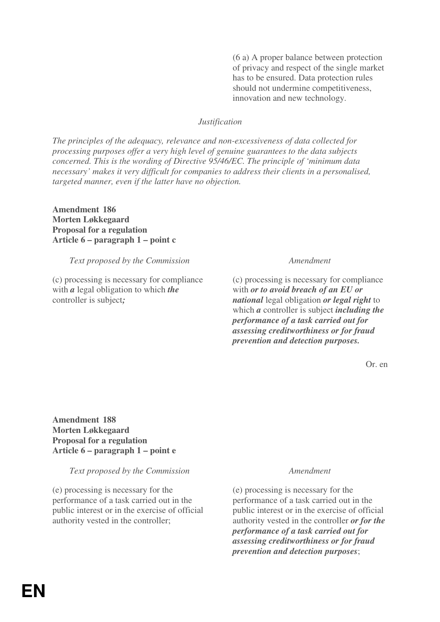(6 a) A proper balance between protection of privacy and respect of the single market has to be ensured. Data protection rules should not undermine competitiveness, innovation and new technology.

### *Justification*

*The principles of the adequacy, relevance and non-excessiveness of data collected for processing purposes offer a very high level of genuine guarantees to the data subjects concerned. This is the wording of Directive 95/46/EC. The principle of 'minimum data necessary' makes it very difficult for companies to address their clients in a personalised, targeted manner, even if the latter have no objection.* 

**Amendment 186 Morten Løkkegaard Proposal for a regulation Article 6 – paragraph 1 – point c**

*Text proposed by the Commission* Amendment

(c) processing is necessary for compliance with *a* legal obligation to which *the*  controller is subject*;*

(c) processing is necessary for compliance with *or to avoid breach of an EU or national* legal obligation *or legal right* to which *a* controller is subject *including the performance of a task carried out for assessing creditworthiness or for fraud prevention and detection purposes.*

Or. en

**Amendment 188 Morten Løkkegaard Proposal for a regulation Article 6 – paragraph 1 – point e**

*Text proposed by the Commission* Amendment

(e) processing is necessary for the performance of a task carried out in the public interest or in the exercise of official authority vested in the controller;

(e) processing is necessary for the performance of a task carried out in the public interest or in the exercise of official authority vested in the controller *or for the performance of a task carried out for assessing creditworthiness or for fraud prevention and detection purposes*;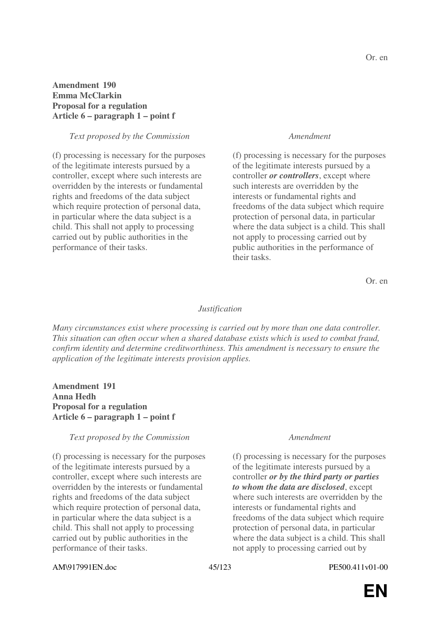# **Amendment 190 Emma McClarkin Proposal for a regulation Article 6 – paragraph 1 – point f**

### *Text proposed by the Commission* Amendment

(f) processing is necessary for the purposes of the legitimate interests pursued by a controller, except where such interests are overridden by the interests or fundamental rights and freedoms of the data subject which require protection of personal data, in particular where the data subject is a child. This shall not apply to processing carried out by public authorities in the performance of their tasks.

(f) processing is necessary for the purposes of the legitimate interests pursued by a controller *or controllers*, except where such interests are overridden by the interests or fundamental rights and freedoms of the data subject which require protection of personal data, in particular where the data subject is a child. This shall not apply to processing carried out by public authorities in the performance of their tasks.

Or. en

### *Justification*

*Many circumstances exist where processing is carried out by more than one data controller. This situation can often occur when a shared database exists which is used to combat fraud, confirm identity and determine creditworthiness. This amendment is necessary to ensure the application of the legitimate interests provision applies.*

### **Amendment 191 Anna Hedh Proposal for a regulation Article 6 – paragraph 1 – point f**

### *Text proposed by the Commission* Amendment

(f) processing is necessary for the purposes of the legitimate interests pursued by a controller, except where such interests are overridden by the interests or fundamental rights and freedoms of the data subject which require protection of personal data, in particular where the data subject is a child. This shall not apply to processing carried out by public authorities in the performance of their tasks.

(f) processing is necessary for the purposes of the legitimate interests pursued by a controller *or by the third party or parties to whom the data are disclosed*, except where such interests are overridden by the interests or fundamental rights and freedoms of the data subject which require protection of personal data, in particular where the data subject is a child. This shall not apply to processing carried out by

### AM\917991EN.doc 45/123 PE500.411v01-00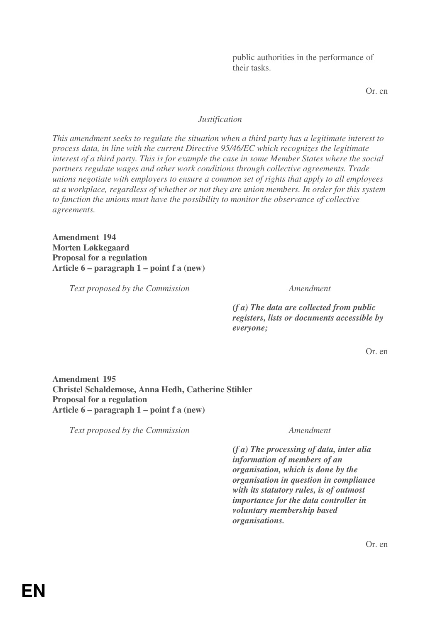public authorities in the performance of their tasks.

Or. en

### *Justification*

*This amendment seeks to regulate the situation when a third party has a legitimate interest to process data, in line with the current Directive 95/46/EC which recognizes the legitimate interest of a third party. This is for example the case in some Member States where the social partners regulate wages and other work conditions through collective agreements. Trade unions negotiate with employers to ensure a common set of rights that apply to all employees at a workplace, regardless of whether or not they are union members. In order for this system to function the unions must have the possibility to monitor the observance of collective agreements.*

**Amendment 194 Morten Løkkegaard Proposal for a regulation Article 6 – paragraph 1 – point f a (new)**

*Text proposed by the Commission Amendment*

*(f a) The data are collected from public registers, lists or documents accessible by everyone;*

Or. en

**Amendment 195 Christel Schaldemose, Anna Hedh, Catherine Stihler Proposal for a regulation Article 6 – paragraph 1 – point f a (new)**

*Text proposed by the Commission Amendment*

*(f a) The processing of data, inter alia information of members of an organisation, which is done by the organisation in question in compliance with its statutory rules, is of outmost importance for the data controller in voluntary membership based organisations.*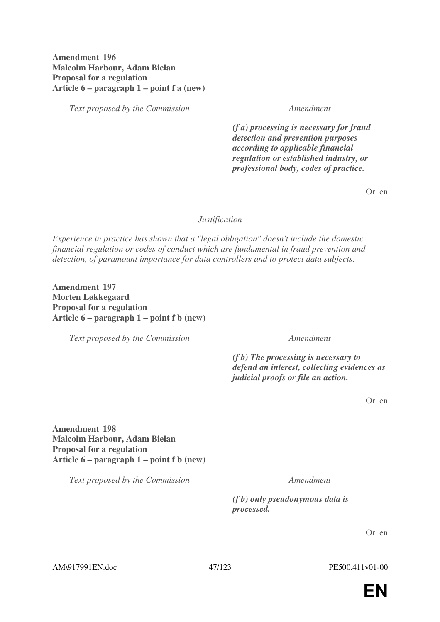# **Amendment 196 Malcolm Harbour, Adam Bielan Proposal for a regulation Article 6 – paragraph 1 – point f a (new)**

*Text proposed by the Commission Amendment*

*(f a) processing is necessary for fraud detection and prevention purposes according to applicable financial regulation or established industry, or professional body, codes of practice.*

Or. en

*Justification*

*Experience in practice has shown that a "legal obligation" doesn't include the domestic financial regulation or codes of conduct which are fundamental in fraud prevention and detection, of paramount importance for data controllers and to protect data subjects.*

**Amendment 197 Morten Løkkegaard Proposal for a regulation Article 6 – paragraph 1 – point f b (new)**

*Text proposed by the Commission Amendment*

*(f b) The processing is necessary to defend an interest, collecting evidences as judicial proofs or file an action.*

Or. en

**Amendment 198 Malcolm Harbour, Adam Bielan Proposal for a regulation Article 6 – paragraph 1 – point f b (new)**

*Text proposed by the Commission* Amendment

*(f b) only pseudonymous data is processed.*

Or. en

AM\917991EN.doc 47/123 PE500.411v01-00

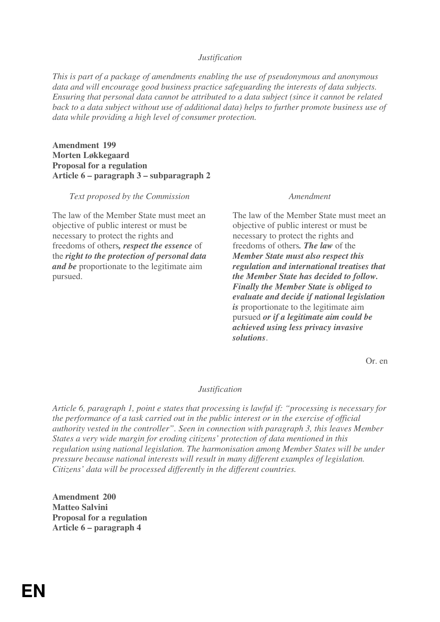# *Justification*

*This is part of a package of amendments enabling the use of pseudonymous and anonymous data and will encourage good business practice safeguarding the interests of data subjects. Ensuring that personal data cannot be attributed to a data subject (since it cannot be related back to a data subject without use of additional data) helps to further promote business use of data while providing a high level of consumer protection.*

### **Amendment 199 Morten Løkkegaard Proposal for a regulation Article 6 – paragraph 3 – subparagraph 2**

### *Text proposed by the Commission Amendment*

The law of the Member State must meet an objective of public interest or must be necessary to protect the rights and freedoms of others*, respect the essence* of the *right to the protection of personal data and be* proportionate to the legitimate aim pursued.

The law of the Member State must meet an objective of public interest or must be necessary to protect the rights and freedoms of others*. The law* of the *Member State must also respect this regulation and international treatises that the Member State has decided to follow. Finally the Member State is obliged to evaluate and decide if national legislation is* proportionate to the legitimate aim pursued *or if a legitimate aim could be achieved using less privacy invasive solutions*.

Or. en

### *Justification*

*Article 6, paragraph 1, point e states that processing is lawful if: "processing is necessary for the performance of a task carried out in the public interest or in the exercise of official authority vested in the controller". Seen in connection with paragraph 3, this leaves Member States a very wide margin for eroding citizens' protection of data mentioned in this regulation using national legislation. The harmonisation among Member States will be under pressure because national interests will result in many different examples of legislation. Citizens' data will be processed differently in the different countries.*

**Amendment 200 Matteo Salvini Proposal for a regulation Article 6 – paragraph 4**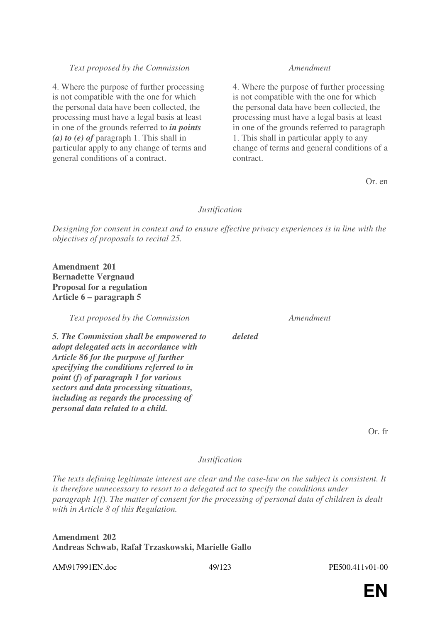### *Text proposed by the Commission* Amendment

4. Where the purpose of further processing is not compatible with the one for which the personal data have been collected, the processing must have a legal basis at least in one of the grounds referred to *in points (a) to (e) of* paragraph 1. This shall in particular apply to any change of terms and general conditions of a contract.

4. Where the purpose of further processing is not compatible with the one for which the personal data have been collected, the processing must have a legal basis at least in one of the grounds referred to paragraph 1. This shall in particular apply to any change of terms and general conditions of a contract.

Or. en

### *Justification*

*Designing for consent in context and to ensure effective privacy experiences is in line with the objectives of proposals to recital 25.*

**Amendment 201 Bernadette Vergnaud Proposal for a regulation Article 6 – paragraph 5**

*Text proposed by the Commission Amendment*

*5. The Commission shall be empowered to adopt delegated acts in accordance with Article 86 for the purpose of further specifying the conditions referred to in point (f) of paragraph 1 for various sectors and data processing situations, including as regards the processing of personal data related to a child.*

*deleted*

Or. fr

### *Justification*

*The texts defining legitimate interest are clear and the case-law on the subject is consistent. It is therefore unnecessary to resort to a delegated act to specify the conditions under paragraph 1(f). The matter of consent for the processing of personal data of children is dealt with in Article 8 of this Regulation.*

**Amendment 202 Andreas Schwab, Rafał Trzaskowski, Marielle Gallo**

AM\917991EN.doc 49/123 PE500.411v01-00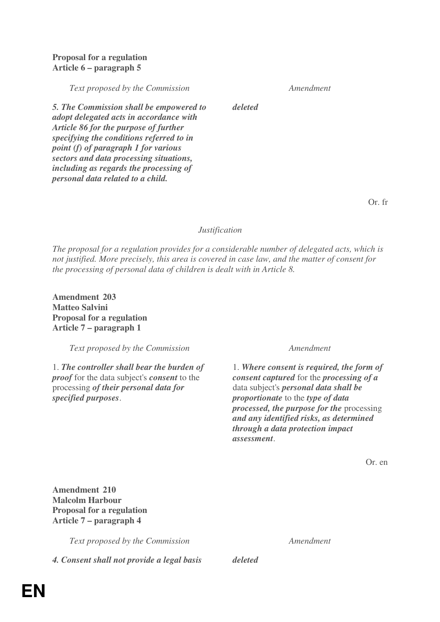*Text proposed by the Commission* Amendment

*5. The Commission shall be empowered to adopt delegated acts in accordance with Article 86 for the purpose of further specifying the conditions referred to in point (f) of paragraph 1 for various sectors and data processing situations, including as regards the processing of personal data related to a child.*

Or. fr

### *Justification*

*deleted*

*The proposal for a regulation provides for a considerable number of delegated acts, which is not justified. More precisely, this area is covered in case law, and the matter of consent for the processing of personal data of children is dealt with in Article 8.*

**Amendment 203 Matteo Salvini Proposal for a regulation Article 7 – paragraph 1**

*Text proposed by the Commission* Amendment

1. *The controller shall bear the burden of proof* for the data subject's *consent* to the processing *of their personal data for specified purposes*.

1. *Where consent is required, the form of consent captured* for the *processing of a*  data subject's *personal data shall be proportionate* to the *type of data processed, the purpose for the* processing *and any identified risks, as determined through a data protection impact assessment*.

Or. en

**Amendment 210 Malcolm Harbour Proposal for a regulation Article 7 – paragraph 4**

*Text proposed by the Commission Amendment*

*4. Consent shall not provide a legal basis deleted*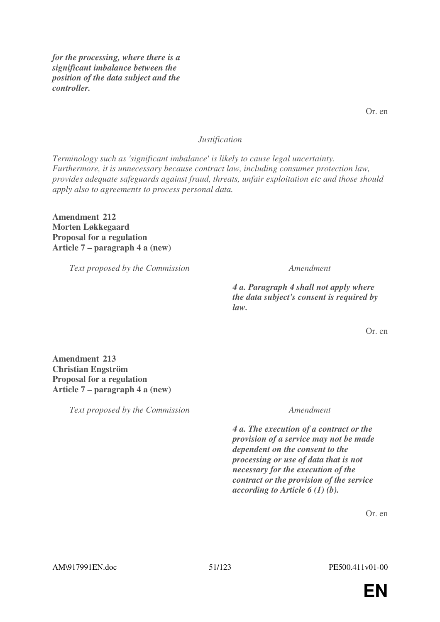*for the processing, where there is a significant imbalance between the position of the data subject and the controller.*

### *Justification*

*Terminology such as 'significant imbalance' is likely to cause legal uncertainty. Furthermore, it is unnecessary because contract law, including consumer protection law, provides adequate safeguards against fraud, threats, unfair exploitation etc and those should apply also to agreements to process personal data.*

**Amendment 212 Morten Løkkegaard Proposal for a regulation Article 7 – paragraph 4 a (new)**

*Text proposed by the Commission Amendment*

*4 a. Paragraph 4 shall not apply where the data subject's consent is required by law.*

Or. en

**Amendment 213 Christian Engström Proposal for a regulation Article 7 – paragraph 4 a (new)**

*Text proposed by the Commission* Amendment

*4 a. The execution of a contract or the provision of a service may not be made dependent on the consent to the processing or use of data that is not necessary for the execution of the contract or the provision of the service according to Article 6 (1) (b).*

Or. en

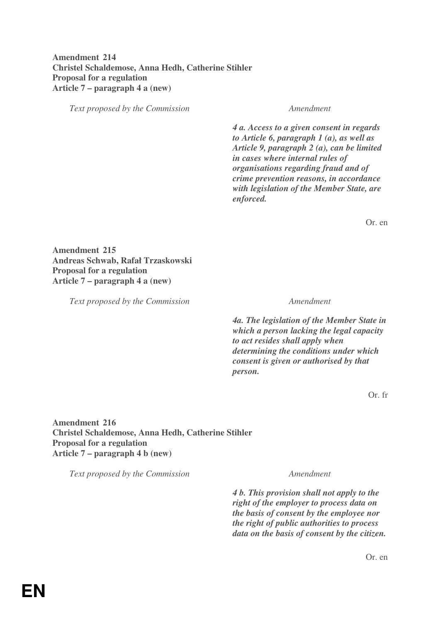# **Amendment 214 Christel Schaldemose, Anna Hedh, Catherine Stihler Proposal for a regulation Article 7 – paragraph 4 a (new)**

*Text proposed by the Commission Amendment*

*4 a. Access to a given consent in regards to Article 6, paragraph 1 (a), as well as Article 9, paragraph 2 (a), can be limited in cases where internal rules of organisations regarding fraud and of crime prevention reasons, in accordance with legislation of the Member State, are enforced.*

Or. en

**Amendment 215 Andreas Schwab, Rafał Trzaskowski Proposal for a regulation Article 7 – paragraph 4 a (new)**

*Text proposed by the Commission Amendment*

*4a. The legislation of the Member State in which a person lacking the legal capacity to act resides shall apply when determining the conditions under which consent is given or authorised by that person.*

Or. fr

**Amendment 216 Christel Schaldemose, Anna Hedh, Catherine Stihler Proposal for a regulation Article 7 – paragraph 4 b (new)**

*Text proposed by the Commission* Amendment

*4 b. This provision shall not apply to the right of the employer to process data on the basis of consent by the employee nor the right of public authorities to process data on the basis of consent by the citizen.*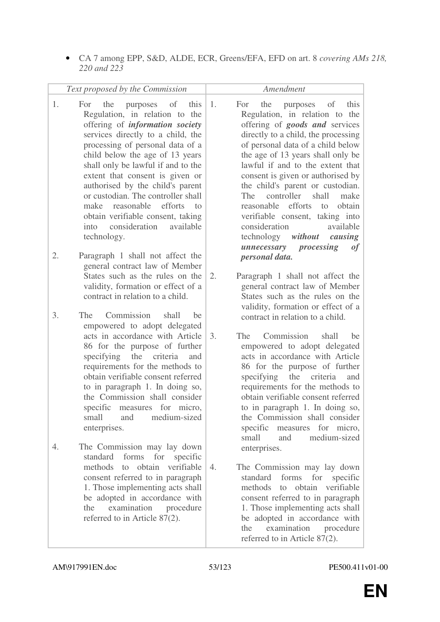• CA 7 among EPP, S&D, ALDE, ECR, Greens/EFA, EFD on art. 8 *covering AMs 218, 220 and 223*

|    | Text proposed by the Commission                                                                                                                                                                                                                                                                                                                                                                                                                                                                               | Amendment                                                                                                                                                                                                                                                                                                                                                                                                                                                                                                                                                                   |
|----|---------------------------------------------------------------------------------------------------------------------------------------------------------------------------------------------------------------------------------------------------------------------------------------------------------------------------------------------------------------------------------------------------------------------------------------------------------------------------------------------------------------|-----------------------------------------------------------------------------------------------------------------------------------------------------------------------------------------------------------------------------------------------------------------------------------------------------------------------------------------------------------------------------------------------------------------------------------------------------------------------------------------------------------------------------------------------------------------------------|
| 1. | this<br>purposes of<br>For<br>the<br>Regulation, in relation to the<br>offering of <i>information</i> society<br>services directly to a child, the<br>processing of personal data of a<br>child below the age of 13 years<br>shall only be lawful if and to the<br>extent that consent is given or<br>authorised by the child's parent<br>or custodian. The controller shall<br>efforts<br>make<br>reasonable<br>to<br>obtain verifiable consent, taking<br>consideration<br>available<br>into<br>technology. | 1.<br>the<br>For<br>purposes<br>of<br>this<br>Regulation, in relation to the<br>offering of <b>goods</b> and services<br>directly to a child, the processing<br>of personal data of a child below<br>the age of 13 years shall only be<br>lawful if and to the extent that<br>consent is given or authorised by<br>the child's parent or custodian.<br>controller<br>shall<br>make<br>The<br>efforts<br>reasonable<br>obtain<br>to<br>verifiable consent, taking into<br>consideration<br>available<br>technology <i>without</i><br>causing<br>unnecessary processing<br>of |
| 2. | Paragraph 1 shall not affect the<br>general contract law of Member<br>States such as the rules on the<br>validity, formation or effect of a<br>contract in relation to a child.                                                                                                                                                                                                                                                                                                                               | personal data.<br>2.<br>Paragraph 1 shall not affect the<br>general contract law of Member<br>States such as the rules on the<br>validity, formation or effect of a                                                                                                                                                                                                                                                                                                                                                                                                         |
| 3. | Commission<br>The<br>shall<br>be<br>empowered to adopt delegated<br>acts in accordance with Article<br>86 for the purpose of further<br>the<br>criteria<br>specifying<br>and<br>requirements for the methods to<br>obtain verifiable consent referred<br>to in paragraph 1. In doing so,<br>the Commission shall consider<br>specific measures for micro,<br>medium-sized<br>small<br>and<br>enterprises.                                                                                                     | contract in relation to a child.<br>Commission<br>3.<br>The<br>shall<br>be<br>empowered to adopt delegated<br>acts in accordance with Article<br>86 for the purpose of further<br>specifying<br>the criteria<br>and<br>requirements for the methods to<br>obtain verifiable consent referred<br>to in paragraph 1. In doing so,<br>the Commission shall consider<br>specific<br>measures for micro,<br>small<br>medium-sized<br>and                                                                                                                                         |
| 4. | The Commission may lay down<br>for<br>forms<br>standard<br>specific<br>methods<br>verifiable<br>obtain<br>to<br>consent referred to in paragraph<br>1. Those implementing acts shall<br>be adopted in accordance with<br>examination procedure<br>the<br>referred to in Article 87(2).                                                                                                                                                                                                                        | enterprises.<br>4.<br>The Commission may lay down<br>forms for<br>standard<br>specific<br>to obtain<br>methods<br>verifiable<br>consent referred to in paragraph<br>1. Those implementing acts shall<br>be adopted in accordance with<br>examination<br>the<br>procedure<br>referred to in Article $87(2)$ .                                                                                                                                                                                                                                                                |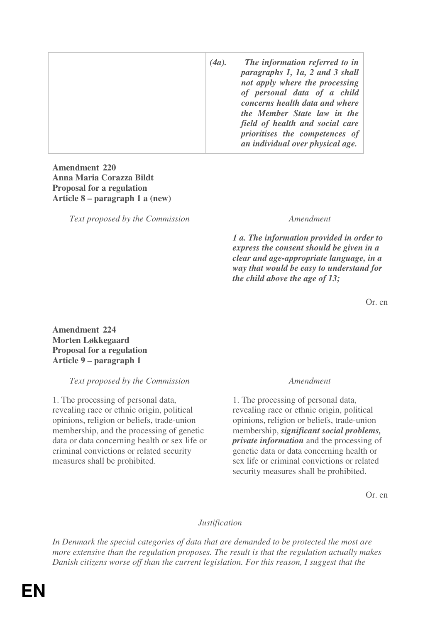| The information referred to in<br>$(4a)$ .<br>paragraphs 1, 1a, 2 and 3 shall<br>not apply where the processing<br>of personal data of a child<br>concerns health data and where<br>the Member State law in the<br>field of health and social care<br>prioritises the competences of |
|--------------------------------------------------------------------------------------------------------------------------------------------------------------------------------------------------------------------------------------------------------------------------------------|
| an individual over physical age.                                                                                                                                                                                                                                                     |

# **Amendment 220 Anna Maria Corazza Bildt Proposal for a regulation Article 8 – paragraph 1 a (new)**

*Text proposed by the Commission* Amendment

*1 a. The information provided in order to express the consent should be given in a clear and age-appropriate language, in a way that would be easy to understand for the child above the age of 13;*

Or. en

### **Amendment 224 Morten Løkkegaard Proposal for a regulation Article 9 – paragraph 1**

# *Text proposed by the Commission* Amendment

1. The processing of personal data, revealing race or ethnic origin, political opinions, religion or beliefs, trade-union membership, and the processing of genetic data or data concerning health or sex life or criminal convictions or related security measures shall be prohibited.

1. The processing of personal data, revealing race or ethnic origin, political opinions, religion or beliefs, trade-union membership, *significant social problems, private information* and the processing of genetic data or data concerning health or sex life or criminal convictions or related security measures shall be prohibited.

Or. en

# *Justification*

*In Denmark the special categories of data that are demanded to be protected the most are more extensive than the regulation proposes. The result is that the regulation actually makes Danish citizens worse off than the current legislation. For this reason, I suggest that the*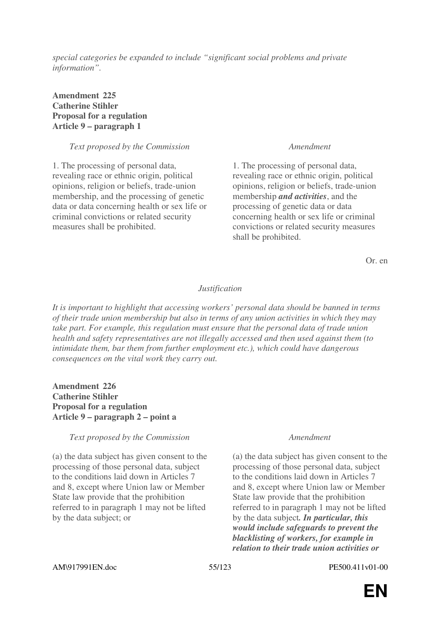*special categories be expanded to include "significant social problems and private information".*

# **Amendment 225 Catherine Stihler Proposal for a regulation Article 9 – paragraph 1**

### *Text proposed by the Commission* Amendment

1. The processing of personal data, revealing race or ethnic origin, political opinions, religion or beliefs, trade-union membership, and the processing of genetic data or data concerning health or sex life or criminal convictions or related security measures shall be prohibited.

1. The processing of personal data, revealing race or ethnic origin, political opinions, religion or beliefs, trade-union membership *and activities*, and the processing of genetic data or data concerning health or sex life or criminal convictions or related security measures shall be prohibited.

Or. en

### *Justification*

*It is important to highlight that accessing workers' personal data should be banned in terms of their trade union membership but also in terms of any union activities in which they may take part. For example, this regulation must ensure that the personal data of trade union health and safety representatives are not illegally accessed and then used against them (to intimidate them, bar them from further employment etc.), which could have dangerous consequences on the vital work they carry out.*

### **Amendment 226 Catherine Stihler Proposal for a regulation Article 9 – paragraph 2 – point a**

### *Text proposed by the Commission* Amendment

(a) the data subject has given consent to the processing of those personal data, subject to the conditions laid down in Articles 7 and 8, except where Union law or Member State law provide that the prohibition referred to in paragraph 1 may not be lifted by the data subject; or

(a) the data subject has given consent to the processing of those personal data, subject to the conditions laid down in Articles 7 and 8, except where Union law or Member State law provide that the prohibition referred to in paragraph 1 may not be lifted by the data subject*. In particular, this would include safeguards to prevent the blacklisting of workers, for example in relation to their trade union activities or* 

AM\917991EN.doc 55/123 PE500.411v01-00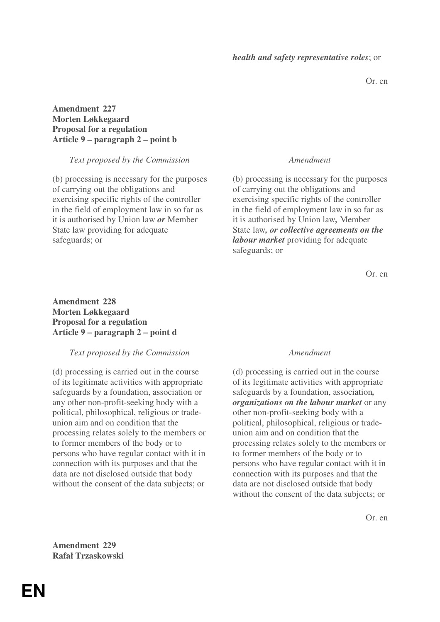Or. en

# **Amendment 227 Morten Løkkegaard Proposal for a regulation Article 9 – paragraph 2 – point b**

### *Text proposed by the Commission Amendment*

(b) processing is necessary for the purposes of carrying out the obligations and exercising specific rights of the controller in the field of employment law in so far as it is authorised by Union law *or* Member State law providing for adequate safeguards; or

(b) processing is necessary for the purposes of carrying out the obligations and exercising specific rights of the controller in the field of employment law in so far as it is authorised by Union law*,* Member State law*, or collective agreements on the labour market* providing for adequate safeguards; or

Or. en

### **Amendment 228 Morten Løkkegaard Proposal for a regulation Article 9 – paragraph 2 – point d**

### *Text proposed by the Commission* Amendment

(d) processing is carried out in the course of its legitimate activities with appropriate safeguards by a foundation, association or any other non-profit-seeking body with a political, philosophical, religious or tradeunion aim and on condition that the processing relates solely to the members or to former members of the body or to persons who have regular contact with it in connection with its purposes and that the data are not disclosed outside that body without the consent of the data subjects; or

(d) processing is carried out in the course of its legitimate activities with appropriate safeguards by a foundation, association*, organizations on the labour market* or any other non-profit-seeking body with a political, philosophical, religious or tradeunion aim and on condition that the processing relates solely to the members or to former members of the body or to persons who have regular contact with it in connection with its purposes and that the data are not disclosed outside that body without the consent of the data subjects; or

Or. en

**Amendment 229 Rafał Trzaskowski**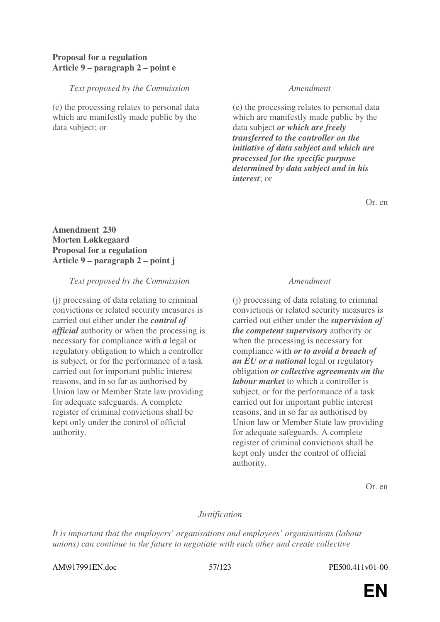# **Proposal for a regulation Article 9 – paragraph 2 – point e**

### *Text proposed by the Commission Amendment*

(e) the processing relates to personal data which are manifestly made public by the data subject; or

(e) the processing relates to personal data which are manifestly made public by the data subject *or which are freely transferred to the controller on the initiative of data subject and which are processed for the specific purpose determined by data subject and in his interest*; or

Or. en

# **Amendment 230 Morten Løkkegaard Proposal for a regulation Article 9 – paragraph 2 – point j**

### *Text proposed by the Commission* Amendment

(j) processing of data relating to criminal convictions or related security measures is carried out either under the *control of official* authority or when the processing is necessary for compliance with *a* legal or regulatory obligation to which a controller is subject, or for the performance of a task carried out for important public interest reasons, and in so far as authorised by Union law or Member State law providing for adequate safeguards. A complete register of criminal convictions shall be kept only under the control of official authority.

(j) processing of data relating to criminal convictions or related security measures is carried out either under the *supervision of the competent supervisory* authority or when the processing is necessary for compliance with *or to avoid a breach of an EU or a national* legal or regulatory obligation *or collective agreements on the labour market* to which a controller is subject, or for the performance of a task carried out for important public interest reasons, and in so far as authorised by Union law or Member State law providing for adequate safeguards. A complete register of criminal convictions shall be kept only under the control of official authority.

Or. en

### *Justification*

*It is important that the employers' organisations and employees' organisations (labour unions) can continue in the future to negotiate with each other and create collective* 

### AM\917991EN.doc 57/123 PE500.411v01-00

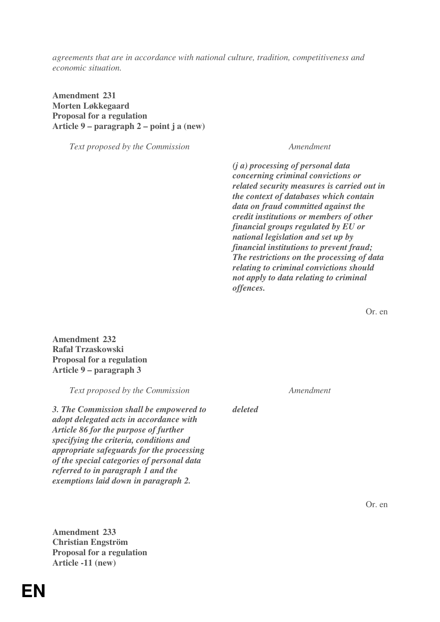*agreements that are in accordance with national culture, tradition, competitiveness and economic situation.*

### **Amendment 231 Morten Løkkegaard Proposal for a regulation Article 9 – paragraph 2 – point j a (new)**

*Text proposed by the Commission* Amendment

*(j a) processing of personal data concerning criminal convictions or related security measures is carried out in the context of databases which contain data on fraud committed against the credit institutions or members of other financial groups regulated by EU or national legislation and set up by financial institutions to prevent fraud; The restrictions on the processing of data relating to criminal convictions should not apply to data relating to criminal offences.*

Or. en

**Amendment 232 Rafał Trzaskowski Proposal for a regulation Article 9 – paragraph 3**

*Text proposed by the Commission* Amendment

*3. The Commission shall be empowered to adopt delegated acts in accordance with Article 86 for the purpose of further specifying the criteria, conditions and appropriate safeguards for the processing of the special categories of personal data referred to in paragraph 1 and the exemptions laid down in paragraph 2.*

**Amendment 233 Christian Engström Proposal for a regulation Article -11 (new)**

*deleted*

Or. en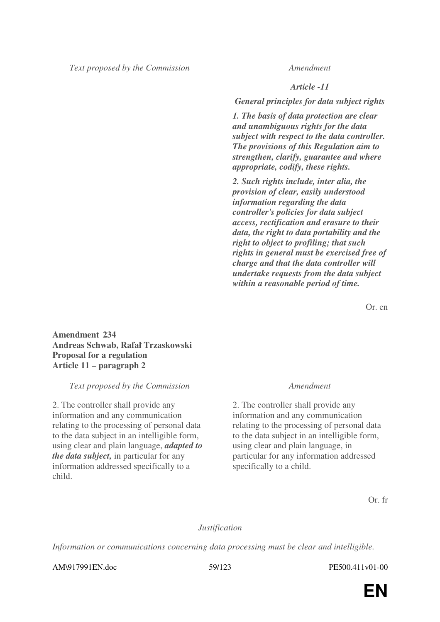# *Article -11*

*General principles for data subject rights*

*1. The basis of data protection are clear and unambiguous rights for the data subject with respect to the data controller. The provisions of this Regulation aim to strengthen, clarify, guarantee and where appropriate, codify, these rights.*

*2. Such rights include, inter alia, the provision of clear, easily understood information regarding the data controller's policies for data subject access, rectification and erasure to their data, the right to data portability and the right to object to profiling; that such rights in general must be exercised free of charge and that the data controller will undertake requests from the data subject within a reasonable period of time.*

Or. en

**Amendment 234 Andreas Schwab, Rafał Trzaskowski Proposal for a regulation Article 11 – paragraph 2**

### *Text proposed by the Commission Amendment*

2. The controller shall provide any information and any communication relating to the processing of personal data to the data subject in an intelligible form, using clear and plain language, *adapted to the data subject,* in particular for any information addressed specifically to a child.

2. The controller shall provide any information and any communication relating to the processing of personal data to the data subject in an intelligible form, using clear and plain language, in particular for any information addressed specifically to a child.

Or. fr

# *Justification*

*Information or communications concerning data processing must be clear and intelligible.* 

AM\917991EN.doc 59/123 PE500.411v01-00

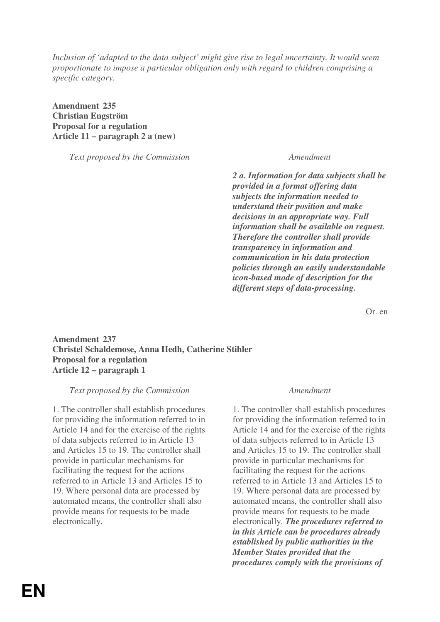*Inclusion of 'adapted to the data subject' might give rise to legal uncertainty. It would seem proportionate to impose a particular obligation only with regard to children comprising a specific category.*

**Amendment 235 Christian Engström Proposal for a regulation Article 11 – paragraph 2 a (new)**

*Text proposed by the Commission Amendment* 

*2 a. Information for data subjects shall be provided in a format offering data subjects the information needed to understand their position and make decisions in an appropriate way. Full information shall be available on request. Therefore the controller shall provide transparency in information and communication in his data protection policies through an easily understandable icon-based mode of description for the different steps of data-processing.*

Or. en

**Amendment 237 Christel Schaldemose, Anna Hedh, Catherine Stihler Proposal for a regulation Article 12 – paragraph 1**

### *Text proposed by the Commission* Amendment

1. The controller shall establish procedures for providing the information referred to in Article 14 and for the exercise of the rights of data subjects referred to in Article 13 and Articles 15 to 19. The controller shall provide in particular mechanisms for facilitating the request for the actions referred to in Article 13 and Articles 15 to 19. Where personal data are processed by automated means, the controller shall also provide means for requests to be made electronically.

1. The controller shall establish procedures for providing the information referred to in Article 14 and for the exercise of the rights of data subjects referred to in Article 13 and Articles 15 to 19. The controller shall provide in particular mechanisms for facilitating the request for the actions referred to in Article 13 and Articles 15 to 19. Where personal data are processed by automated means, the controller shall also provide means for requests to be made electronically. *The procedures referred to in this Article can be procedures already established by public authorities in the Member States provided that the procedures comply with the provisions of*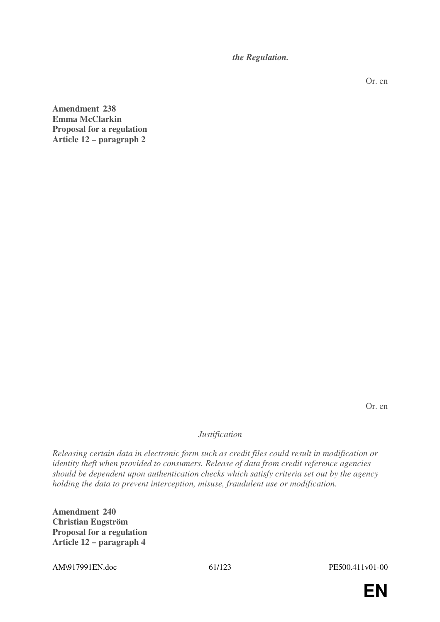*the Regulation.*

Or. en

**Amendment 238 Emma McClarkin Proposal for a regulation Article 12 – paragraph 2**

Or. en

*Justification*

*Releasing certain data in electronic form such as credit files could result in modification or identity theft when provided to consumers. Release of data from credit reference agencies should be dependent upon authentication checks which satisfy criteria set out by the agency holding the data to prevent interception, misuse, fraudulent use or modification.*

**Amendment 240 Christian Engström Proposal for a regulation Article 12 – paragraph 4**

AM\917991EN.doc 61/123 PE500.411v01-00

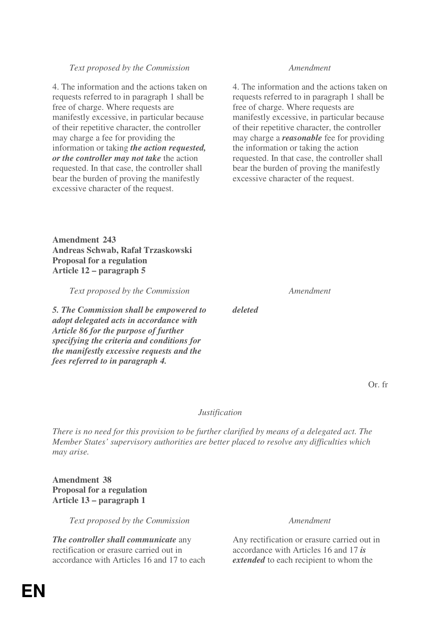### *Text proposed by the Commission* Amendment

4. The information and the actions taken on requests referred to in paragraph 1 shall be free of charge. Where requests are manifestly excessive, in particular because of their repetitive character, the controller may charge a fee for providing the information or taking *the action requested, or the controller may not take* the action requested. In that case, the controller shall bear the burden of proving the manifestly excessive character of the request.

4. The information and the actions taken on requests referred to in paragraph 1 shall be free of charge. Where requests are manifestly excessive, in particular because of their repetitive character, the controller may charge a *reasonable* fee for providing the information or taking the action requested. In that case, the controller shall bear the burden of proving the manifestly excessive character of the request.

**Amendment 243 Andreas Schwab, Rafał Trzaskowski Proposal for a regulation Article 12 – paragraph 5**

*Text proposed by the Commission Amendment*

*5. The Commission shall be empowered to adopt delegated acts in accordance with Article 86 for the purpose of further specifying the criteria and conditions for the manifestly excessive requests and the fees referred to in paragraph 4.*

*deleted*

Or. fr

### *Justification*

*There is no need for this provision to be further clarified by means of a delegated act. The Member States' supervisory authorities are better placed to resolve any difficulties which may arise.*

**Amendment 38 Proposal for a regulation Article 13 – paragraph 1**

*Text proposed by the Commission Amendment*

*The controller shall communicate* any rectification or erasure carried out in accordance with Articles 16 and 17 to each

Any rectification or erasure carried out in accordance with Articles 16 and 17 *is extended* to each recipient to whom the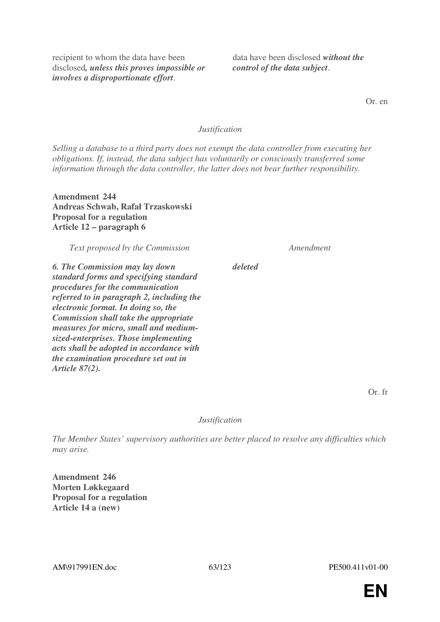recipient to whom the data have been disclosed*, unless this proves impossible or involves a disproportionate effort*.

data have been disclosed *without the control of the data subject*.

Or. en

### *Justification*

*Selling a database to a third party does not exempt the data controller from executing her obligations. If, instead, the data subject has voluntarily or consciously transferred some information through the data controller, the latter does not bear further responsibility.*

**Amendment 244 Andreas Schwab, Rafał Trzaskowski Proposal for a regulation Article 12 – paragraph 6**

*Text proposed by the Commission Amendment*

*deleted*

*6. The Commission may lay down standard forms and specifying standard procedures for the communication referred to in paragraph 2, including the electronic format. In doing so, the Commission shall take the appropriate measures for micro, small and mediumsized-enterprises. Those implementing acts shall be adopted in accordance with the examination procedure set out in Article 87(2).*

Or. fr

### *Justification*

*The Member States' supervisory authorities are better placed to resolve any difficulties which may arise.*

**Amendment 246 Morten Løkkegaard Proposal for a regulation Article 14 a (new)**

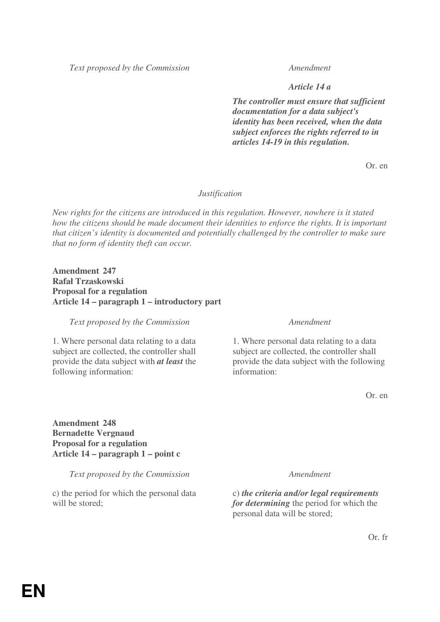*Text proposed by the Commission Amendment*

*Article 14 a*

*The controller must ensure that sufficient documentation for a data subject's identity has been received, when the data subject enforces the rights referred to in articles 14-19 in this regulation.*

Or. en

### *Justification*

*New rights for the citizens are introduced in this regulation. However, nowhere is it stated how the citizens should be made document their identities to enforce the rights. It is important that citizen's identity is documented and potentially challenged by the controller to make sure that no form of identity theft can occur.*

### **Amendment 247 Rafał Trzaskowski Proposal for a regulation Article 14 – paragraph 1 – introductory part**

### *Text proposed by the Commission Amendment*

1. Where personal data relating to a data subject are collected, the controller shall provide the data subject with *at least* the following information:

1. Where personal data relating to a data subject are collected, the controller shall provide the data subject with the following information:

Or. en

**Amendment 248 Bernadette Vergnaud Proposal for a regulation Article 14 – paragraph 1 – point c**

*Text proposed by the Commission Amendment*

c) the period for which the personal data will be stored;

c) *the criteria and/or legal requirements for determining* the period for which the personal data will be stored;

Or. fr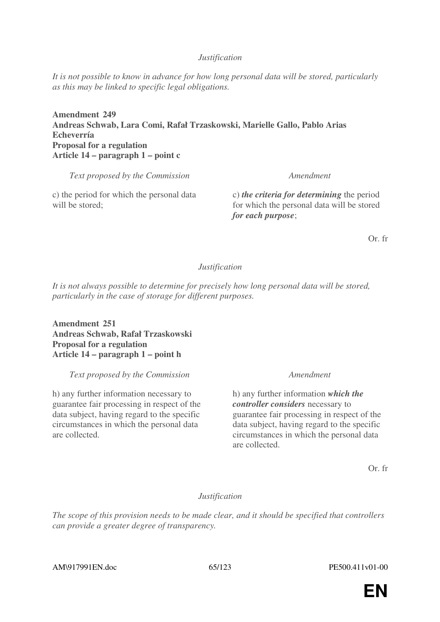# *Justification*

*It is not possible to know in advance for how long personal data will be stored, particularly as this may be linked to specific legal obligations.*

**Amendment 249 Andreas Schwab, Lara Comi, Rafał Trzaskowski, Marielle Gallo, Pablo Arias Echeverría Proposal for a regulation Article 14 – paragraph 1 – point c**

*Text proposed by the Commission* Amendment

c) the period for which the personal data will be stored:

c) *the criteria for determining* the period for which the personal data will be stored *for each purpose*;

Or. fr

# *Justification*

*It is not always possible to determine for precisely how long personal data will be stored, particularly in the case of storage for different purposes.*

**Amendment 251 Andreas Schwab, Rafał Trzaskowski Proposal for a regulation Article 14 – paragraph 1 – point h**

*Text proposed by the Commission Amendment*

h) any further information necessary to guarantee fair processing in respect of the data subject, having regard to the specific circumstances in which the personal data are collected.

h) any further information *which the controller considers* necessary to guarantee fair processing in respect of the data subject, having regard to the specific circumstances in which the personal data are collected.

Or. fr

*Justification*

*The scope of this provision needs to be made clear, and it should be specified that controllers can provide a greater degree of transparency.*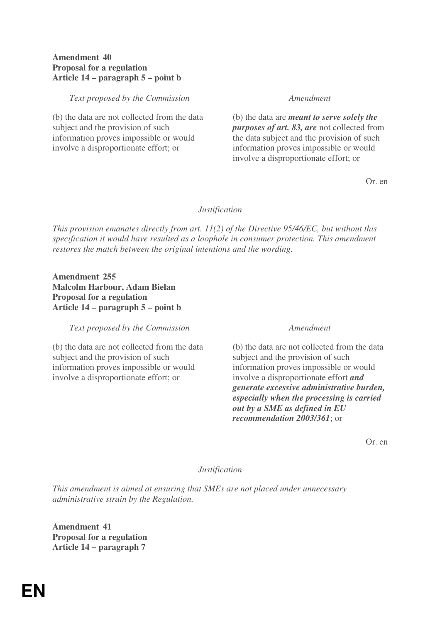# **Amendment 40 Proposal for a regulation Article 14 – paragraph 5 – point b**

### *Text proposed by the Commission Amendment*

(b) the data are not collected from the data subject and the provision of such information proves impossible or would involve a disproportionate effort; or

(b) the data are *meant to serve solely the purposes of art. 83, are* not collected from the data subject and the provision of such information proves impossible or would involve a disproportionate effort; or

Or. en

# *Justification*

*This provision emanates directly from art. 11(2) of the Directive 95/46/EC, but without this specification it would have resulted as a loophole in consumer protection. This amendment restores the match between the original intentions and the wording.*

**Amendment 255 Malcolm Harbour, Adam Bielan Proposal for a regulation Article 14 – paragraph 5 – point b**

# *Text proposed by the Commission* Amendment

(b) the data are not collected from the data subject and the provision of such information proves impossible or would involve a disproportionate effort; or

(b) the data are not collected from the data subject and the provision of such information proves impossible or would involve a disproportionate effort *and generate excessive administrative burden, especially when the processing is carried out by a SME as defined in EU recommendation 2003/361*; or

Or. en

### *Justification*

*This amendment is aimed at ensuring that SMEs are not placed under unnecessary administrative strain by the Regulation.*

**Amendment 41 Proposal for a regulation Article 14 – paragraph 7**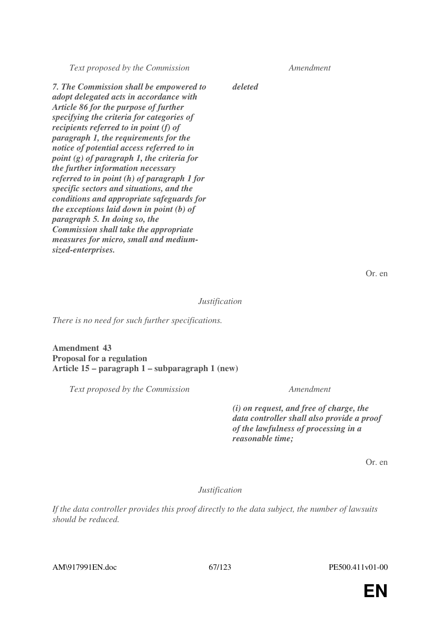*Text proposed by the Commission Amendment*

*7. The Commission shall be empowered to adopt delegated acts in accordance with Article 86 for the purpose of further specifying the criteria for categories of recipients referred to in point (f) of paragraph 1, the requirements for the notice of potential access referred to in point (g) of paragraph 1, the criteria for the further information necessary referred to in point (h) of paragraph 1 for specific sectors and situations, and the conditions and appropriate safeguards for the exceptions laid down in point (b) of paragraph 5. In doing so, the Commission shall take the appropriate measures for micro, small and mediumsized-enterprises.*

*deleted*

Or. en

*Justification*

*There is no need for such further specifications.*

**Amendment 43 Proposal for a regulation Article 15 – paragraph 1 – subparagraph 1 (new)**

*Text proposed by the Commission* Amendment

*(i) on request, and free of charge, the data controller shall also provide a proof of the lawfulness of processing in a reasonable time;*

Or. en

*Justification*

*If the data controller provides this proof directly to the data subject, the number of lawsuits should be reduced.*

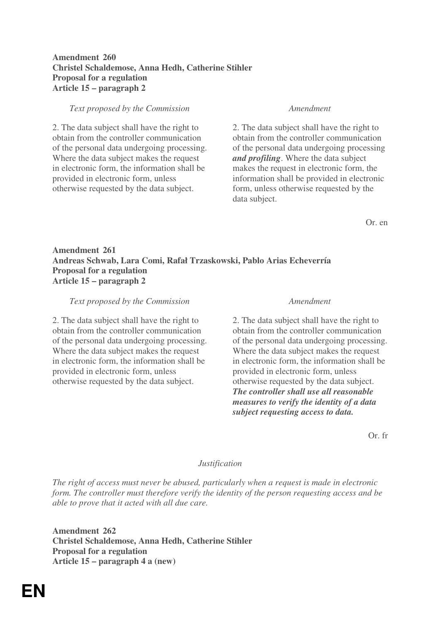# **Amendment 260 Christel Schaldemose, Anna Hedh, Catherine Stihler Proposal for a regulation Article 15 – paragraph 2**

### *Text proposed by the Commission Amendment*

2. The data subject shall have the right to obtain from the controller communication of the personal data undergoing processing. Where the data subject makes the request in electronic form, the information shall be provided in electronic form, unless otherwise requested by the data subject.

2. The data subject shall have the right to obtain from the controller communication of the personal data undergoing processing *and profiling*. Where the data subject makes the request in electronic form, the information shall be provided in electronic form, unless otherwise requested by the data subject.

Or. en

# **Amendment 261 Andreas Schwab, Lara Comi, Rafał Trzaskowski, Pablo Arias Echeverría Proposal for a regulation Article 15 – paragraph 2**

### *Text proposed by the Commission Amendment*

2. The data subject shall have the right to obtain from the controller communication of the personal data undergoing processing. Where the data subject makes the request in electronic form, the information shall be provided in electronic form, unless otherwise requested by the data subject.

2. The data subject shall have the right to obtain from the controller communication of the personal data undergoing processing. Where the data subject makes the request in electronic form, the information shall be provided in electronic form, unless otherwise requested by the data subject. *The controller shall use all reasonable measures to verify the identity of a data subject requesting access to data.*

Or. fr

### *Justification*

*The right of access must never be abused, particularly when a request is made in electronic form. The controller must therefore verify the identity of the person requesting access and be able to prove that it acted with all due care.*

**Amendment 262 Christel Schaldemose, Anna Hedh, Catherine Stihler Proposal for a regulation Article 15 – paragraph 4 a (new)**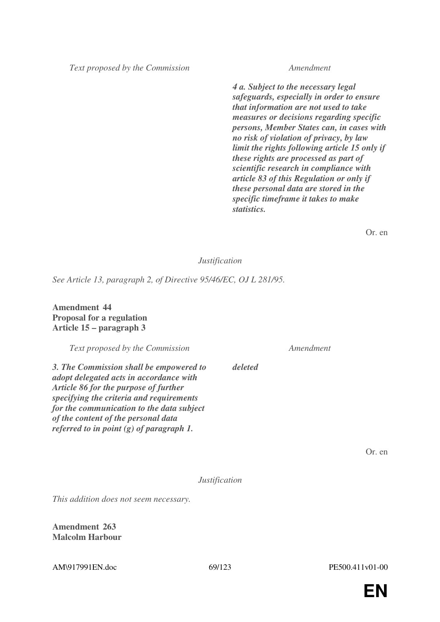*Text proposed by the Commission* Amendment

*4 a. Subject to the necessary legal safeguards, especially in order to ensure that information are not used to take measures or decisions regarding specific persons, Member States can, in cases with no risk of violation of privacy, by law limit the rights following article 15 only if these rights are processed as part of scientific research in compliance with article 83 of this Regulation or only if these personal data are stored in the specific timeframe it takes to make statistics.*

Or. en

# *Justification*

*deleted*

*See Article 13, paragraph 2, of Directive 95/46/EC, OJ L 281/95.*

**Amendment 44 Proposal for a regulation Article 15 – paragraph 3**

*Text proposed by the Commission Amendment*

*3. The Commission shall be empowered to adopt delegated acts in accordance with Article 86 for the purpose of further specifying the criteria and requirements for the communication to the data subject of the content of the personal data referred to in point (g) of paragraph 1.*

Or. en

*Justification*

*This addition does not seem necessary.*

**Amendment 263 Malcolm Harbour**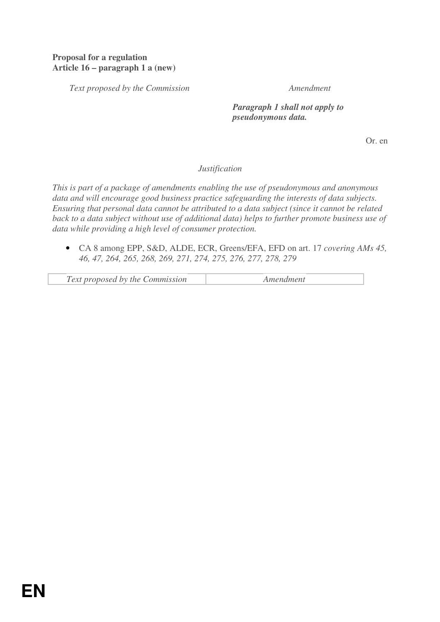# **Proposal for a regulation Article 16 – paragraph 1 a (new)**

*Text proposed by the Commission Amendment*

*Paragraph 1 shall not apply to pseudonymous data.*

Or. en

*Justification*

*This is part of a package of amendments enabling the use of pseudonymous and anonymous data and will encourage good business practice safeguarding the interests of data subjects. Ensuring that personal data cannot be attributed to a data subject (since it cannot be related back to a data subject without use of additional data) helps to further promote business use of data while providing a high level of consumer protection.*

• CA 8 among EPP, S&D, ALDE, ECR, Greens/EFA, EFD on art. 17 *covering AMs 45, 46, 47, 264, 265, 268, 269, 271, 274, 275, 276, 277, 278, 279*

*Text proposed by the Commission Amendment*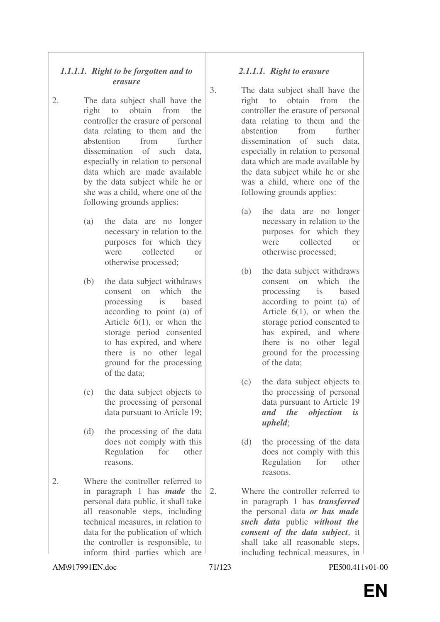# *1.1.1.1. Right to be forgotten and to erasure*

- 2. The data subject shall have the right to obtain from the controller the erasure of personal data relating to them and the abstention from further dissemination of such data, especially in relation to personal data which are made available by the data subject while he or she was a child, where one of the following grounds applies:
	- (a) the data are no longer necessary in relation to the purposes for which they were collected or otherwise processed;
	- (b) the data subject withdraws consent on which the processing is based according to point (a) of Article 6(1), or when the storage period consented to has expired, and where there is no other legal ground for the processing of the data;
	- (c) the data subject objects to the processing of personal data pursuant to Article 19;
	- (d) the processing of the data does not comply with this Regulation for other reasons.
- 2. Where the controller referred to in paragraph 1 has *made* the personal data public, it shall take all reasonable steps, including technical measures, in relation to data for the publication of which the controller is responsible, to inform third parties which are

# *2.1.1.1. Right to erasure*

- 3. The data subject shall have the right to obtain from the controller the erasure of personal data relating to them and the abstention from further dissemination of such data, especially in relation to personal data which are made available by the data subject while he or she was a child, where one of the following grounds applies:
	- (a) the data are no longer necessary in relation to the purposes for which they were collected or otherwise processed;
	- (b) the data subject withdraws consent on which the processing is based according to point (a) of Article 6(1), or when the storage period consented to has expired, and where there is no other legal ground for the processing of the data;
	- (c) the data subject objects to the processing of personal data pursuant to Article 19 *and the objection is upheld*;
	- (d) the processing of the data does not comply with this Regulation for other reasons.
- 2. Where the controller referred to in paragraph 1 has *transferred*  the personal data *or has made such data* public *without the consent of the data subject*, it shall take all reasonable steps, including technical measures, in

AM\917991EN.doc 71/123 PE500.411v01-00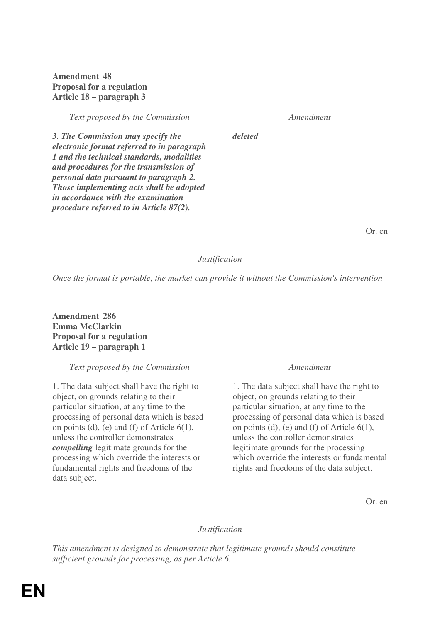**Amendment 48 Proposal for a regulation Article 18 – paragraph 3**

*Text proposed by the Commission* Amendment

*deleted*

*3. The Commission may specify the electronic format referred to in paragraph 1 and the technical standards, modalities and procedures for the transmission of personal data pursuant to paragraph 2. Those implementing acts shall be adopted in accordance with the examination procedure referred to in Article 87(2).*

Or. en

### *Justification*

*Once the format is portable, the market can provide it without the Commission's intervention*

**Amendment 286 Emma McClarkin Proposal for a regulation Article 19 – paragraph 1**

### *Text proposed by the Commission Amendment*

1. The data subject shall have the right to object, on grounds relating to their particular situation, at any time to the processing of personal data which is based on points (d), (e) and (f) of Article 6(1), unless the controller demonstrates *compelling* legitimate grounds for the processing which override the interests or fundamental rights and freedoms of the data subject.

1. The data subject shall have the right to object, on grounds relating to their particular situation, at any time to the processing of personal data which is based on points (d), (e) and (f) of Article 6(1), unless the controller demonstrates legitimate grounds for the processing which override the interests or fundamental rights and freedoms of the data subject.

Or. en

### *Justification*

*This amendment is designed to demonstrate that legitimate grounds should constitute sufficient grounds for processing, as per Article 6.*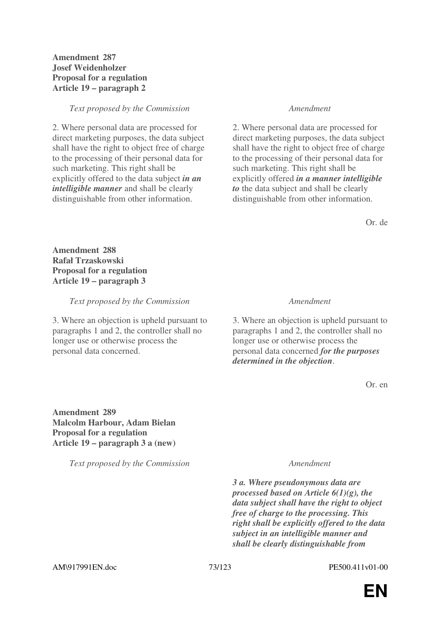# **Amendment 287 Josef Weidenholzer Proposal for a regulation Article 19 – paragraph 2**

### *Text proposed by the Commission* Amendment

2. Where personal data are processed for direct marketing purposes, the data subject shall have the right to object free of charge to the processing of their personal data for such marketing. This right shall be explicitly offered to the data subject *in an intelligible manner* and shall be clearly distinguishable from other information.

2. Where personal data are processed for direct marketing purposes, the data subject shall have the right to object free of charge to the processing of their personal data for such marketing. This right shall be explicitly offered *in a manner intelligible to* the data subject and shall be clearly distinguishable from other information.

Or. de

## **Amendment 288 Rafał Trzaskowski Proposal for a regulation Article 19 – paragraph 3**

### *Text proposed by the Commission Amendment*

3. Where an objection is upheld pursuant to paragraphs 1 and 2, the controller shall no longer use or otherwise process the personal data concerned.

3. Where an objection is upheld pursuant to paragraphs 1 and 2, the controller shall no longer use or otherwise process the personal data concerned *for the purposes determined in the objection*.

Or. en

**Amendment 289 Malcolm Harbour, Adam Bielan Proposal for a regulation Article 19 – paragraph 3 a (new)**

*Text proposed by the Commission* Amendment

*3 a. Where pseudonymous data are processed based on Article 6(1)(g), the data subject shall have the right to object free of charge to the processing. This right shall be explicitly offered to the data subject in an intelligible manner and shall be clearly distinguishable from* 

AM\917991EN.doc 73/123 PE500.411v01-00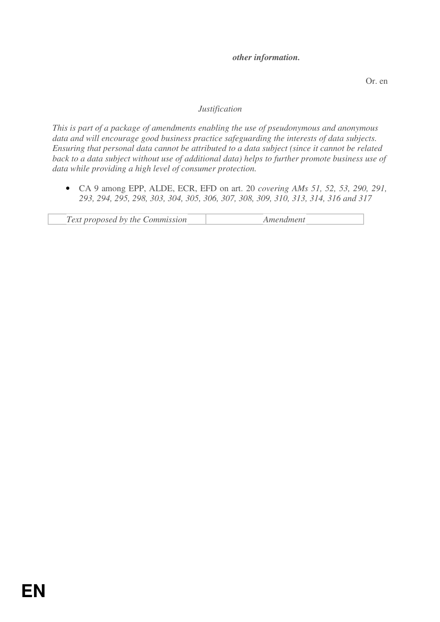# *other information.*

Or. en

# *Justification*

*This is part of a package of amendments enabling the use of pseudonymous and anonymous data and will encourage good business practice safeguarding the interests of data subjects. Ensuring that personal data cannot be attributed to a data subject (since it cannot be related back to a data subject without use of additional data) helps to further promote business use of data while providing a high level of consumer protection.*

• CA 9 among EPP, ALDE, ECR, EFD on art. 20 *covering AMs 51, 52, 53, 290, 291, 293, 294, 295, 298, 303, 304, 305, 306, 307, 308, 309, 310, 313, 314, 316 and 317*

| ᠇᠇<br>roposed by the Commission<br><i>lext pr</i> |  |
|---------------------------------------------------|--|
|---------------------------------------------------|--|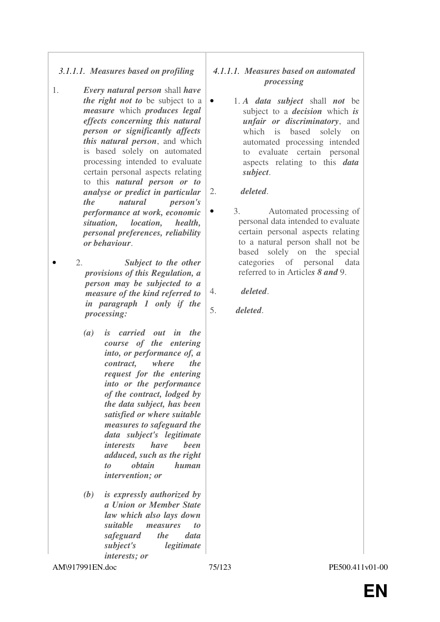*3.1.1.1. Measures based on profiling*

- 1. *Every natural person* shall *have the right not to* be subject to a *measure* which *produces legal effects concerning this natural person or significantly affects this natural person*, and which is based solely on automated processing intended to evaluate certain personal aspects relating to this *natural person or to analyse or predict in particular the natural person's performance at work, economic situation, location, health, personal preferences, reliability or behaviour*.
- 2. *Subject to the other provisions of this Regulation, a person may be subjected to a measure of the kind referred to in paragraph 1 only if the processing:*
	- *(a) is carried out in the course of the entering into, or performance of, a contract, where the request for the entering into or the performance of the contract, lodged by the data subject, has been satisfied or where suitable measures to safeguard the data subject's legitimate interests have been adduced, such as the right to obtain human intervention; or*
	- *(b) is expressly authorized by a Union or Member State law which also lays down suitable measures to safeguard the data subject's legitimate interests; or*

# *4.1.1.1. Measures based on automated processing*

- 1. *A data subject* shall *not* be subject to a *decision* which *is unfair or discriminatory*, and which is based solely on automated processing intended to evaluate certain personal aspects relating to this *data subject*.
- 2. *deleted*.
	- 3. Automated processing of personal data intended to evaluate certain personal aspects relating to a natural person shall not be based solely on the special categories of personal data referred to in Article*s 8 and* 9.
- 4. *deleted*.

5. *deleted*.

AM\917991EN.doc 75/123 PE500.411v01-00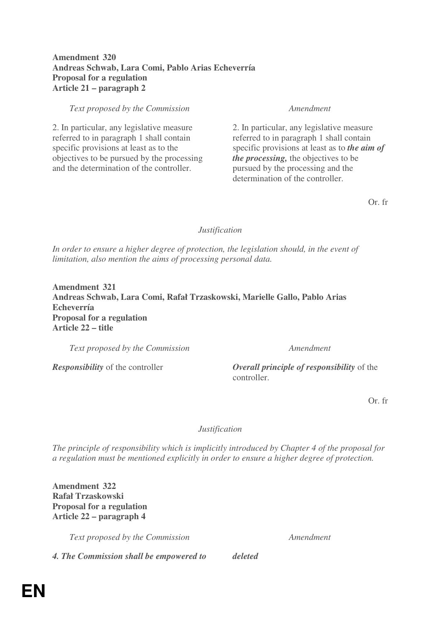# **Amendment 320 Andreas Schwab, Lara Comi, Pablo Arias Echeverría Proposal for a regulation Article 21 – paragraph 2**

*Text proposed by the Commission Amendment*

2. In particular, any legislative measure referred to in paragraph 1 shall contain specific provisions at least as to the objectives to be pursued by the processing and the determination of the controller.

2. In particular, any legislative measure referred to in paragraph 1 shall contain specific provisions at least as to *the aim of the processing,* the objectives to be pursued by the processing and the determination of the controller.

Or. fr

### *Justification*

*In order to ensure a higher degree of protection, the legislation should, in the event of limitation, also mention the aims of processing personal data.*

**Amendment 321 Andreas Schwab, Lara Comi, Rafał Trzaskowski, Marielle Gallo, Pablo Arias Echeverría Proposal for a regulation Article 22 – title**

*Text proposed by the Commission* Amendment

*Responsibility* of the controller *Overall principle of responsibility* of the controller.

Or. fr

*Justification*

*The principle of responsibility which is implicitly introduced by Chapter 4 of the proposal for a regulation must be mentioned explicitly in order to ensure a higher degree of protection.*

**Amendment 322 Rafał Trzaskowski Proposal for a regulation Article 22 – paragraph 4**

*Text proposed by the Commission Amendment*

*4. The Commission shall be empowered to deleted*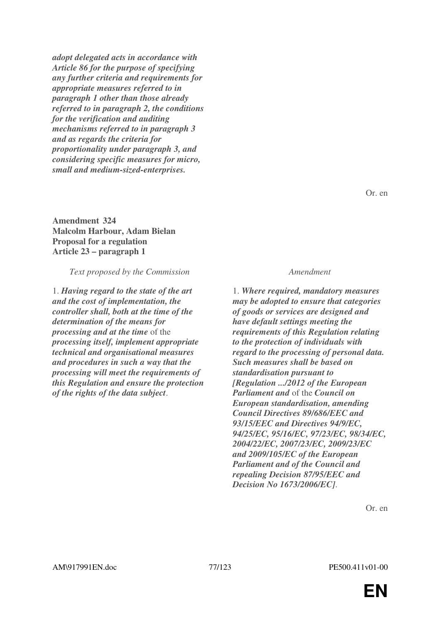*adopt delegated acts in accordance with Article 86 for the purpose of specifying any further criteria and requirements for appropriate measures referred to in paragraph 1 other than those already referred to in paragraph 2, the conditions for the verification and auditing mechanisms referred to in paragraph 3 and as regards the criteria for proportionality under paragraph 3, and considering specific measures for micro, small and medium-sized-enterprises.*

**Amendment 324 Malcolm Harbour, Adam Bielan Proposal for a regulation Article 23 – paragraph 1**

### *Text proposed by the Commission Amendment*

1. *Having regard to the state of the art and the cost of implementation, the controller shall, both at the time of the determination of the means for processing and at the time* of the *processing itself, implement appropriate technical and organisational measures and procedures in such a way that the processing will meet the requirements of this Regulation and ensure the protection of the rights of the data subject*.

Or. en

1. *Where required, mandatory measures may be adopted to ensure that categories of goods or services are designed and have default settings meeting the requirements of this Regulation relating to the protection of individuals with regard to the processing of personal data. Such measures shall be based on standardisation pursuant to [Regulation .../2012 of the European Parliament and* of the *Council on European standardisation, amending Council Directives 89/686/EEC and 93/15/EEC and Directives 94/9/EC, 94/25/EC, 95/16/EC, 97/23/EC, 98/34/EC, 2004/22/EC, 2007/23/EC, 2009/23/EC and 2009/105/EC of the European Parliament and of the Council and repealing Decision 87/95/EEC and Decision No 1673/2006/EC]*.

Or. en

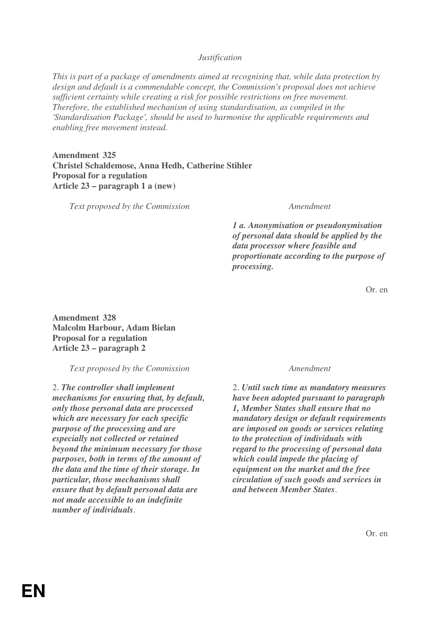*This is part of a package of amendments aimed at recognising that, while data protection by design and default is a commendable concept, the Commission's proposal does not achieve sufficient certainty while creating a risk for possible restrictions on free movement. Therefore, the established mechanism of using standardisation, as compiled in the 'Standardisation Package', should be used to harmonise the applicable requirements and enabling free movement instead.*

**Amendment 325 Christel Schaldemose, Anna Hedh, Catherine Stihler Proposal for a regulation Article 23 – paragraph 1 a (new)**

*Text proposed by the Commission* Amendment

*1 a. Anonymisation or pseudonymisation of personal data should be applied by the data processor where feasible and proportionate according to the purpose of processing.*

Or. en

**Amendment 328 Malcolm Harbour, Adam Bielan Proposal for a regulation Article 23 – paragraph 2**

*Text proposed by the Commission* Amendment

2. *The controller shall implement mechanisms for ensuring that, by default, only those personal data are processed which are necessary for each specific purpose of the processing and are especially not collected or retained beyond the minimum necessary for those purposes, both in terms of the amount of the data and the time of their storage. In particular, those mechanisms shall ensure that by default personal data are not made accessible to an indefinite number of individuals*.

2. *Until such time as mandatory measures have been adopted pursuant to paragraph 1, Member States shall ensure that no mandatory design or default requirements are imposed on goods or services relating to the protection of individuals with regard to the processing of personal data which could impede the placing of equipment on the market and the free circulation of such goods and services in and between Member States*.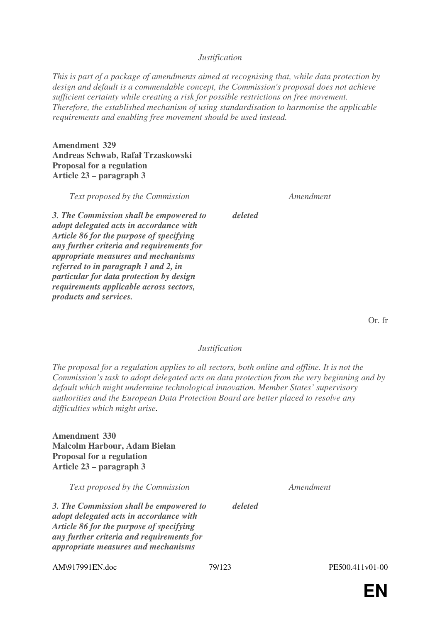*This is part of a package of amendments aimed at recognising that, while data protection by design and default is a commendable concept, the Commission's proposal does not achieve sufficient certainty while creating a risk for possible restrictions on free movement. Therefore, the established mechanism of using standardisation to harmonise the applicable requirements and enabling free movement should be used instead.*

**Amendment 329 Andreas Schwab, Rafał Trzaskowski Proposal for a regulation Article 23 – paragraph 3**

*Text proposed by the Commission Amendment*

*3. The Commission shall be empowered to adopt delegated acts in accordance with Article 86 for the purpose of specifying any further criteria and requirements for appropriate measures and mechanisms referred to in paragraph 1 and 2, in particular for data protection by design requirements applicable across sectors, products and services.*

### *Justification*

*deleted*

*The proposal for a regulation applies to all sectors, both online and offline. It is not the Commission's task to adopt delegated acts on data protection from the very beginning and by default which might undermine technological innovation. Member States' supervisory authorities and the European Data Protection Board are better placed to resolve any difficulties which might arise.*

**Amendment 330 Malcolm Harbour, Adam Bielan Proposal for a regulation Article 23 – paragraph 3**

*Text proposed by the Commission Amendment*

*3. The Commission shall be empowered to adopt delegated acts in accordance with Article 86 for the purpose of specifying any further criteria and requirements for appropriate measures and mechanisms* 

*deleted*

AM\917991EN.doc 79/123 PE500.411v01-00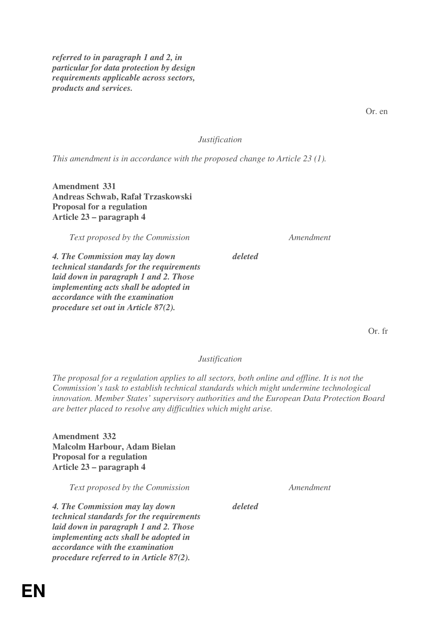*referred to in paragraph 1 and 2, in particular for data protection by design requirements applicable across sectors, products and services.*

**EN**

Or. en

# *Justification*

*This amendment is in accordance with the proposed change to Article 23 (1).*

**Amendment 331 Andreas Schwab, Rafał Trzaskowski Proposal for a regulation Article 23 – paragraph 4**

*Text proposed by the Commission Amendment*

*4. The Commission may lay down technical standards for the requirements laid down in paragraph 1 and 2. Those implementing acts shall be adopted in accordance with the examination procedure set out in Article 87(2).*

*deleted*

Or. fr

# *Justification*

*The proposal for a regulation applies to all sectors, both online and offline. It is not the Commission's task to establish technical standards which might undermine technological innovation. Member States' supervisory authorities and the European Data Protection Board are better placed to resolve any difficulties which might arise.*

**Amendment 332 Malcolm Harbour, Adam Bielan Proposal for a regulation Article 23 – paragraph 4**

*Text proposed by the Commission Amendment*

*4. The Commission may lay down technical standards for the requirements laid down in paragraph 1 and 2. Those implementing acts shall be adopted in accordance with the examination procedure referred to in Article 87(2).*

*deleted*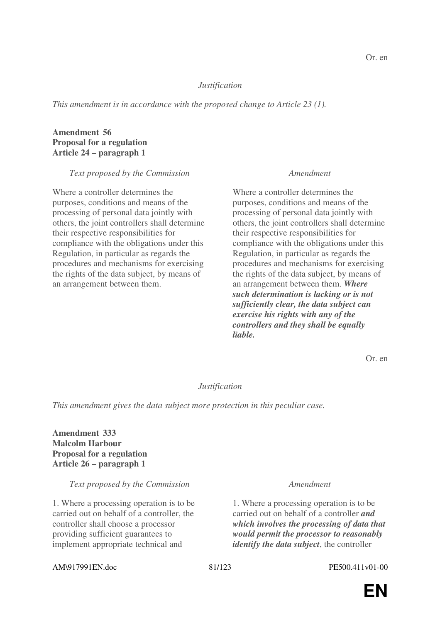*This amendment is in accordance with the proposed change to Article 23 (1).*

# **Amendment 56 Proposal for a regulation Article 24 – paragraph 1**

### *Text proposed by the Commission Amendment*

Where a controller determines the purposes, conditions and means of the processing of personal data jointly with others, the joint controllers shall determine their respective responsibilities for compliance with the obligations under this Regulation, in particular as regards the procedures and mechanisms for exercising the rights of the data subject, by means of an arrangement between them.

Where a controller determines the purposes, conditions and means of the processing of personal data jointly with others, the joint controllers shall determine their respective responsibilities for compliance with the obligations under this Regulation, in particular as regards the procedures and mechanisms for exercising the rights of the data subject, by means of an arrangement between them. *Where such determination is lacking or is not sufficiently clear, the data subject can exercise his rights with any of the controllers and they shall be equally liable.*

Or. en

### *Justification*

*This amendment gives the data subject more protection in this peculiar case.*

**Amendment 333 Malcolm Harbour Proposal for a regulation Article 26 – paragraph 1**

### *Text proposed by the Commission Amendment*

1. Where a processing operation is to be carried out on behalf of a controller, the controller shall choose a processor providing sufficient guarantees to implement appropriate technical and

1. Where a processing operation is to be carried out on behalf of a controller *and which involves the processing of data that would permit the processor to reasonably identify the data subject*, the controller

AM\917991EN.doc 81/123 PE500.411v01-00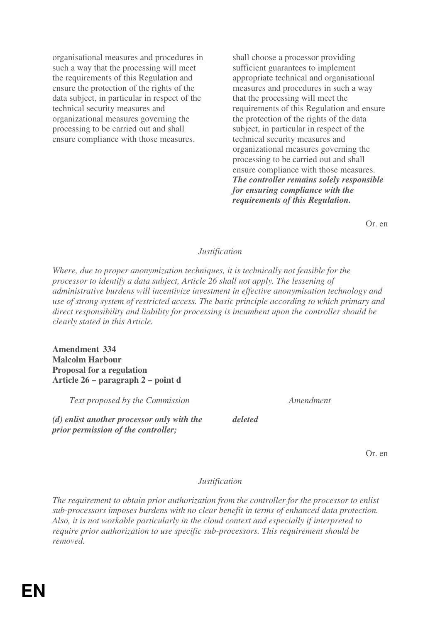organisational measures and procedures in such a way that the processing will meet the requirements of this Regulation and ensure the protection of the rights of the data subject, in particular in respect of the technical security measures and organizational measures governing the processing to be carried out and shall ensure compliance with those measures.

shall choose a processor providing sufficient guarantees to implement appropriate technical and organisational measures and procedures in such a way that the processing will meet the requirements of this Regulation and ensure the protection of the rights of the data subject, in particular in respect of the technical security measures and organizational measures governing the processing to be carried out and shall ensure compliance with those measures. *The controller remains solely responsible for ensuring compliance with the requirements of this Regulation.*

Or. en

### *Justification*

*Where, due to proper anonymization techniques, it is technically not feasible for the processor to identify a data subject, Article 26 shall not apply. The lessening of administrative burdens will incentivize investment in effective anonymisation technology and use of strong system of restricted access. The basic principle according to which primary and direct responsibility and liability for processing is incumbent upon the controller should be clearly stated in this Article.*

**Amendment 334 Malcolm Harbour Proposal for a regulation Article 26 – paragraph 2 – point d**

*Text proposed by the Commission* Amendment

*(d) enlist another processor only with the prior permission of the controller;*

Or. en

*Justification*

*deleted*

*The requirement to obtain prior authorization from the controller for the processor to enlist sub-processors imposes burdens with no clear benefit in terms of enhanced data protection. Also, it is not workable particularly in the cloud context and especially if interpreted to require prior authorization to use specific sub-processors. This requirement should be removed.*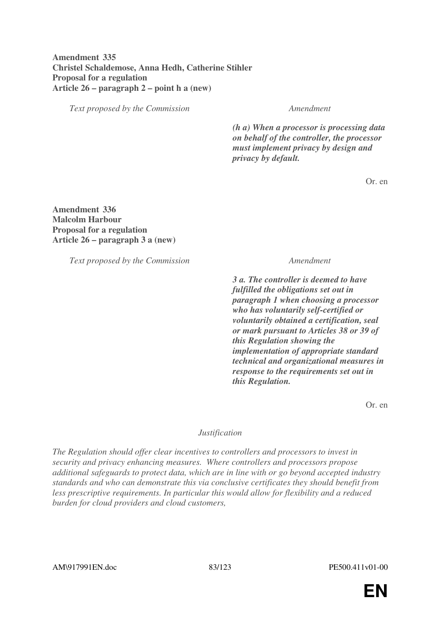# **Amendment 335 Christel Schaldemose, Anna Hedh, Catherine Stihler Proposal for a regulation Article 26 – paragraph 2 – point h a (new)**

*Text proposed by the Commission Amendment*

*(h a) When a processor is processing data on behalf of the controller, the processor must implement privacy by design and privacy by default.*

Or. en

# **Amendment 336 Malcolm Harbour Proposal for a regulation Article 26 – paragraph 3 a (new)**

*Text proposed by the Commission* Amendment

*3 a. The controller is deemed to have fulfilled the obligations set out in paragraph 1 when choosing a processor who has voluntarily self-certified or voluntarily obtained a certification, seal or mark pursuant to Articles 38 or 39 of this Regulation showing the implementation of appropriate standard technical and organizational measures in response to the requirements set out in this Regulation.*

Or. en

# *Justification*

*The Regulation should offer clear incentives to controllers and processors to invest in security and privacy enhancing measures. Where controllers and processors propose additional safeguards to protect data, which are in line with or go beyond accepted industry standards and who can demonstrate this via conclusive certificates they should benefit from less prescriptive requirements. In particular this would allow for flexibility and a reduced burden for cloud providers and cloud customers,*

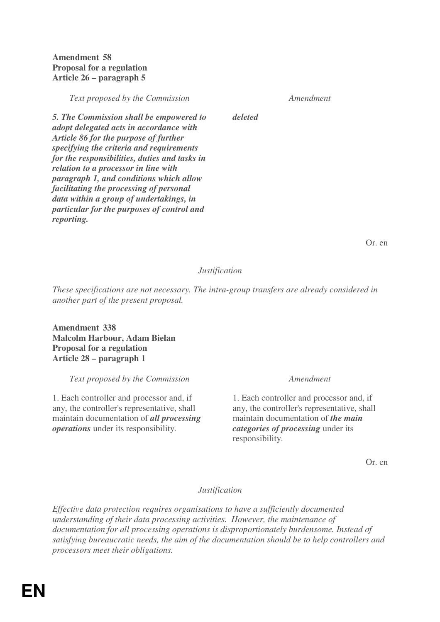# **Amendment 58 Proposal for a regulation Article 26 – paragraph 5**

*Text proposed by the Commission Amendment*

*5. The Commission shall be empowered to adopt delegated acts in accordance with Article 86 for the purpose of further specifying the criteria and requirements for the responsibilities, duties and tasks in relation to a processor in line with paragraph 1, and conditions which allow facilitating the processing of personal data within a group of undertakings, in particular for the purposes of control and reporting.*

Or. en

# *Justification*

*deleted*

*These specifications are not necessary. The intra-group transfers are already considered in another part of the present proposal.*

**Amendment 338 Malcolm Harbour, Adam Bielan Proposal for a regulation Article 28 – paragraph 1**

*Text proposed by the Commission Amendment*

1. Each controller and processor and, if any, the controller's representative, shall maintain documentation of *all processing operations* under its responsibility.

1. Each controller and processor and, if any, the controller's representative, shall maintain documentation of *the main categories of processing* under its responsibility.

Or. en

### *Justification*

*Effective data protection requires organisations to have a sufficiently documented understanding of their data processing activities. However, the maintenance of documentation for all processing operations is disproportionately burdensome. Instead of satisfying bureaucratic needs, the aim of the documentation should be to help controllers and processors meet their obligations.*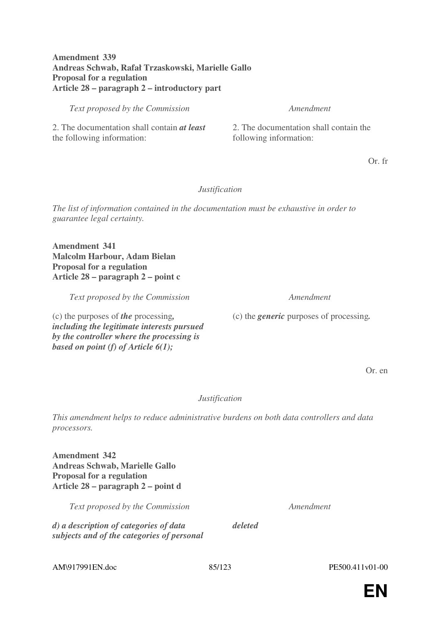# **Amendment 339 Andreas Schwab, Rafał Trzaskowski, Marielle Gallo Proposal for a regulation Article 28 – paragraph 2 – introductory part**

*Text proposed by the Commission Amendment*

2. The documentation shall contain *at least*  the following information:

2. The documentation shall contain the following information:

Or. fr

# *Justification*

*The list of information contained in the documentation must be exhaustive in order to guarantee legal certainty.*

**Amendment 341 Malcolm Harbour, Adam Bielan Proposal for a regulation Article 28 – paragraph 2 – point c**

*Text proposed by the Commission Amendment*

(c) the *generic* purposes of processing*.*

(c) the purposes of *the* processing*, including the legitimate interests pursued by the controller where the processing is based on point (f) of Article 6(1);*

Or. en

### *Justification*

*This amendment helps to reduce administrative burdens on both data controllers and data processors.*

**Amendment 342 Andreas Schwab, Marielle Gallo Proposal for a regulation Article 28 – paragraph 2 – point d**

*Text proposed by the Commission Amendment*

*d) a description of categories of data subjects and of the categories of personal* 

AM\917991EN.doc 85/123 PE500.411v01-00

*deleted*

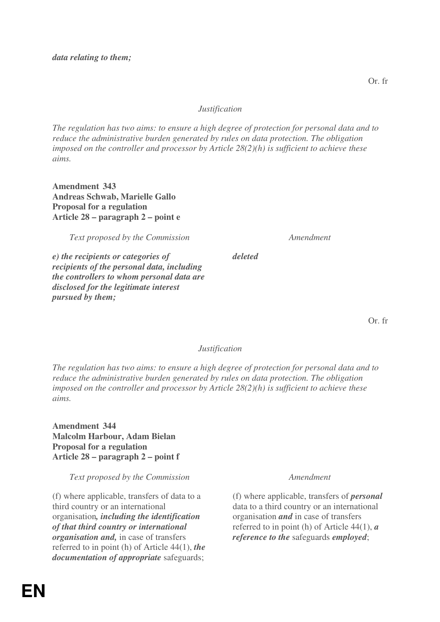*The regulation has two aims: to ensure a high degree of protection for personal data and to reduce the administrative burden generated by rules on data protection. The obligation imposed on the controller and processor by Article 28(2)(h) is sufficient to achieve these aims.*

**Amendment 343 Andreas Schwab, Marielle Gallo Proposal for a regulation Article 28 – paragraph 2 – point e**

*Text proposed by the Commission* Amendment

*e) the recipients or categories of recipients of the personal data, including the controllers to whom personal data are disclosed for the legitimate interest pursued by them;*

Or. fr

# *Justification*

*deleted*

*The regulation has two aims: to ensure a high degree of protection for personal data and to reduce the administrative burden generated by rules on data protection. The obligation imposed on the controller and processor by Article 28(2)(h) is sufficient to achieve these aims.*

**Amendment 344 Malcolm Harbour, Adam Bielan Proposal for a regulation Article 28 – paragraph 2 – point f**

*Text proposed by the Commission* Amendment

(f) where applicable, transfers of data to a third country or an international organisation*, including the identification of that third country or international organisation and,* in case of transfers referred to in point (h) of Article 44(1), *the documentation of appropriate* safeguards;

(f) where applicable, transfers of *personal*  data to a third country or an international organisation *and* in case of transfers referred to in point (h) of Article 44(1), *a reference to the* safeguards *employed*;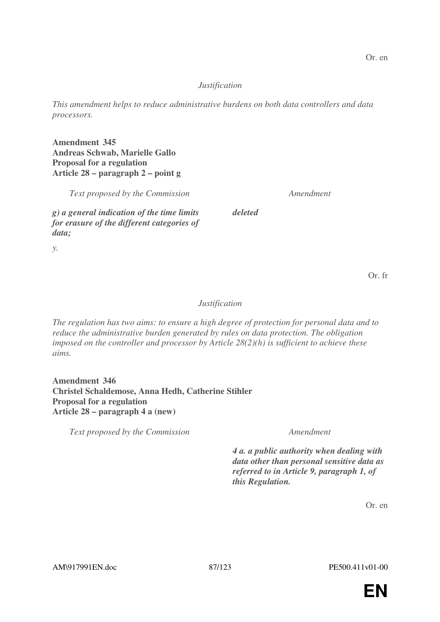*This amendment helps to reduce administrative burdens on both data controllers and data processors.*

**Amendment 345 Andreas Schwab, Marielle Gallo Proposal for a regulation Article 28 – paragraph 2 – point g**

*Text proposed by the Commission Amendment* 

*g) a general indication of the time limits for erasure of the different categories of data;*

*y.*

Or. fr

# *Justification*

*deleted*

*The regulation has two aims: to ensure a high degree of protection for personal data and to reduce the administrative burden generated by rules on data protection. The obligation imposed on the controller and processor by Article 28(2)(h) is sufficient to achieve these aims.*

**Amendment 346 Christel Schaldemose, Anna Hedh, Catherine Stihler Proposal for a regulation Article 28 – paragraph 4 a (new)**

*Text proposed by the Commission Amendment*

*4 a. a public authority when dealing with data other than personal sensitive data as referred to in Article 9, paragraph 1, of this Regulation.*

Or. en

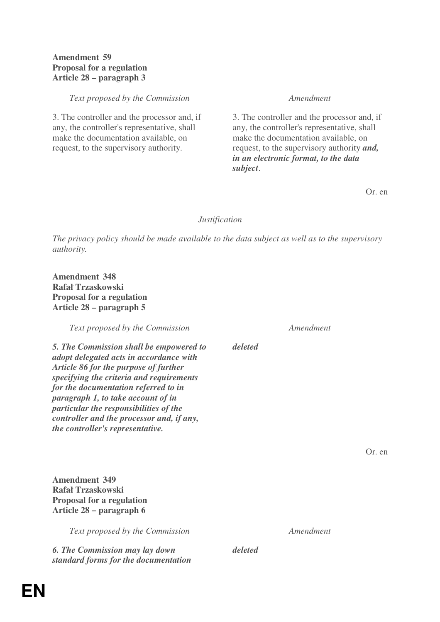# **Amendment 59 Proposal for a regulation Article 28 – paragraph 3**

### *Text proposed by the Commission Amendment*

3. The controller and the processor and, if any, the controller's representative, shall make the documentation available, on request, to the supervisory authority.

3. The controller and the processor and, if any, the controller's representative, shall make the documentation available, on request, to the supervisory authority *and, in an electronic format, to the data subject*.

Or. en

### *Justification*

*The privacy policy should be made available to the data subject as well as to the supervisory authority.*

**Amendment 348 Rafał Trzaskowski Proposal for a regulation Article 28 – paragraph 5**

*Text proposed by the Commission* Amendment

*5. The Commission shall be empowered to adopt delegated acts in accordance with Article 86 for the purpose of further* 

*specifying the criteria and requirements for the documentation referred to in paragraph 1, to take account of in particular the responsibilities of the controller and the processor and, if any, the controller's representative.*

Or. en

**Amendment 349 Rafał Trzaskowski Proposal for a regulation Article 28 – paragraph 6**

*Text proposed by the Commission* Amendment

*6. The Commission may lay down standard forms for the documentation*  *deleted*

*deleted*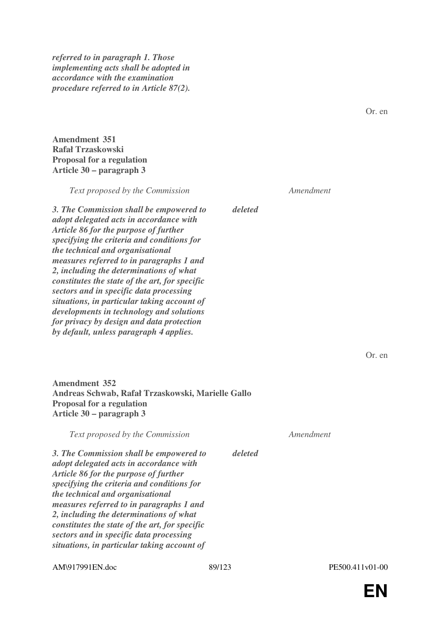*referred to in paragraph 1. Those implementing acts shall be adopted in accordance with the examination procedure referred to in Article 87(2).*

Or. en

**Amendment 351 Rafał Trzaskowski Proposal for a regulation Article 30 – paragraph 3**

*Text proposed by the Commission* Amendment

*3. The Commission shall be empowered to adopt delegated acts in accordance with Article 86 for the purpose of further specifying the criteria and conditions for the technical and organisational measures referred to in paragraphs 1 and 2, including the determinations of what constitutes the state of the art, for specific sectors and in specific data processing situations, in particular taking account of developments in technology and solutions for privacy by design and data protection by default, unless paragraph 4 applies.*

Or. en

**Amendment 352 Andreas Schwab, Rafał Trzaskowski, Marielle Gallo Proposal for a regulation Article 30 – paragraph 3**

*Text proposed by the Commission Amendment*

*deleted*

*deleted*

*3. The Commission shall be empowered to adopt delegated acts in accordance with Article 86 for the purpose of further specifying the criteria and conditions for the technical and organisational measures referred to in paragraphs 1 and 2, including the determinations of what constitutes the state of the art, for specific sectors and in specific data processing situations, in particular taking account of* 

AM\917991EN.doc 89/123 PE500.411v01-00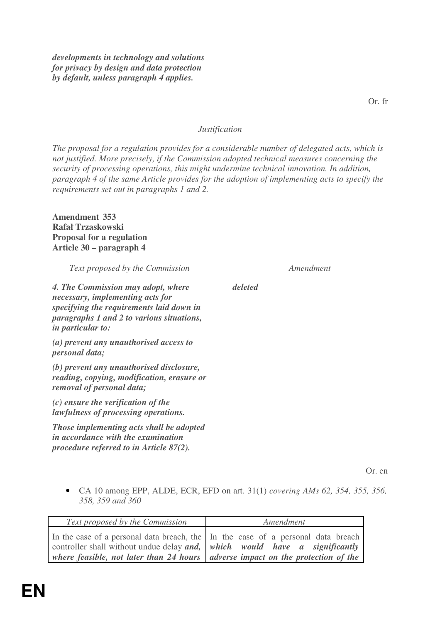*developments in technology and solutions for privacy by design and data protection by default, unless paragraph 4 applies.*

# *Justification*

*The proposal for a regulation provides for a considerable number of delegated acts, which is not justified. More precisely, if the Commission adopted technical measures concerning the security of processing operations, this might undermine technical innovation. In addition, paragraph 4 of the same Article provides for the adoption of implementing acts to specify the requirements set out in paragraphs 1 and 2.*

**Amendment 353 Rafał Trzaskowski Proposal for a regulation Article 30 – paragraph 4**

*Text proposed by the Commission Amendment*

*4. The Commission may adopt, where necessary, implementing acts for specifying the requirements laid down in paragraphs 1 and 2 to various situations, in particular to:*

*(a) prevent any unauthorised access to personal data;*

*(b) prevent any unauthorised disclosure, reading, copying, modification, erasure or removal of personal data;*

*(c) ensure the verification of the lawfulness of processing operations.*

*Those implementing acts shall be adopted in accordance with the examination procedure referred to in Article 87(2).*

*deleted*

Or. en

• CA 10 among EPP, ALDE, ECR, EFD on art. 31(1) *covering AMs 62, 354, 355, 356, 358, 359 and 360*

| Text proposed by the Commission                                                                                                                                                                                                                             | Amendment |
|-------------------------------------------------------------------------------------------------------------------------------------------------------------------------------------------------------------------------------------------------------------|-----------|
| In the case of a personal data breach, the   In the case of a personal data breach<br>controller shall without undue delay and, which would have a significantly<br>where feasible, not later than 24 hours $\vert$ adverse impact on the protection of the |           |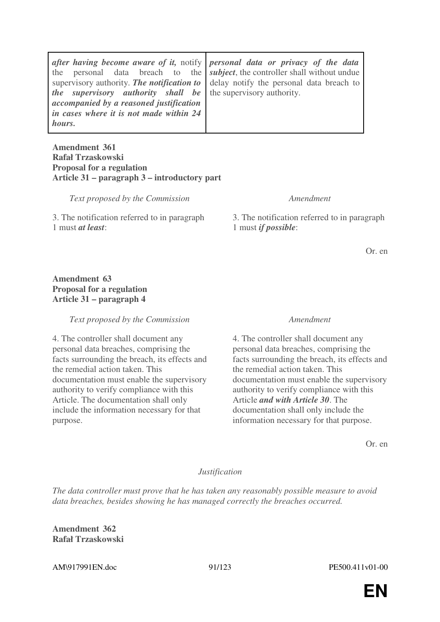*after having become aware of it,* notify the personal data breach to the supervisory authority. *The notification to the supervisory authority shall be accompanied by a reasoned justification in cases where it is not made within 24 hours.*

**Amendment 361 Rafał Trzaskowski Proposal for a regulation Article 31 – paragraph 3 – introductory part**

*personal data or privacy of the data subject*, the controller shall without undue delay notify the personal data breach to the supervisory authority.

*Text proposed by the Commission* Amendment

3. The notification referred to in paragraph 1 must *at least*:

3. The notification referred to in paragraph 1 must *if possible*:

Or. en

# **Amendment 63 Proposal for a regulation Article 31 – paragraph 4**

*Text proposed by the Commission* Amendment

4. The controller shall document any personal data breaches, comprising the facts surrounding the breach, its effects and the remedial action taken. This documentation must enable the supervisory authority to verify compliance with this Article. The documentation shall only include the information necessary for that purpose.

4. The controller shall document any personal data breaches, comprising the facts surrounding the breach, its effects and the remedial action taken. This documentation must enable the supervisory authority to verify compliance with this Article *and with Article 30*. The documentation shall only include the information necessary for that purpose.

Or. en

### *Justification*

*The data controller must prove that he has taken any reasonably possible measure to avoid data breaches, besides showing he has managed correctly the breaches occurred.*

**Amendment 362 Rafał Trzaskowski**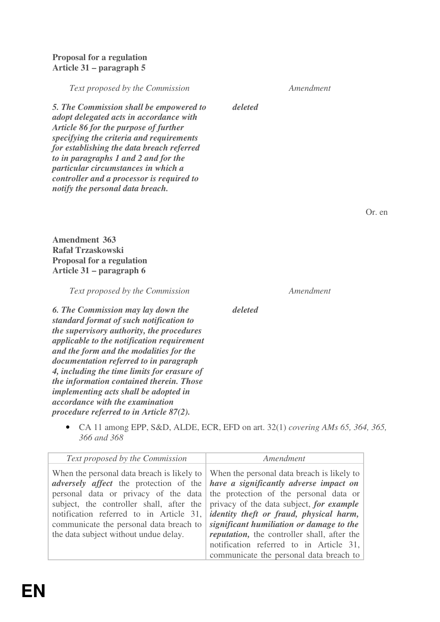*Text proposed by the Commission* Amendment

*5. The Commission shall be empowered to adopt delegated acts in accordance with Article 86 for the purpose of further specifying the criteria and requirements for establishing the data breach referred to in paragraphs 1 and 2 and for the particular circumstances in which a controller and a processor is required to notify the personal data breach.*

*deleted*

*deleted*

Or. en

**Amendment 363 Rafał Trzaskowski Proposal for a regulation Article 31 – paragraph 6**

*Text proposed by the Commission Amendment*

*6. The Commission may lay down the standard format of such notification to the supervisory authority, the procedures applicable to the notification requirement and the form and the modalities for the documentation referred to in paragraph 4, including the time limits for erasure of the information contained therein. Those implementing acts shall be adopted in accordance with the examination procedure referred to in Article 87(2).*

• CA 11 among EPP, S&D, ALDE, ECR, EFD on art. 32(1) *covering AMs 65, 364, 365, 366 and 368* 

| Text proposed by the Commission                                                                                             | Amendment                                                                                                                                                                                                                                                                                                                                                                                                                                                                                                                                                                                           |
|-----------------------------------------------------------------------------------------------------------------------------|-----------------------------------------------------------------------------------------------------------------------------------------------------------------------------------------------------------------------------------------------------------------------------------------------------------------------------------------------------------------------------------------------------------------------------------------------------------------------------------------------------------------------------------------------------------------------------------------------------|
| notification referred to in Article 31,<br>communicate the personal data breach to<br>the data subject without undue delay. | When the personal data breach is likely to When the personal data breach is likely to<br><i>adversely affect</i> the protection of the <i>have a significantly adverse impact on</i><br>personal data or privacy of the data the protection of the personal data or<br>subject, the controller shall, after the privacy of the data subject, for example<br><i>identity theft or fraud, physical harm,</i><br>significant humiliation or damage to the<br><i>reputation</i> , the controller shall, after the<br>notification referred to in Article 31,<br>communicate the personal data breach to |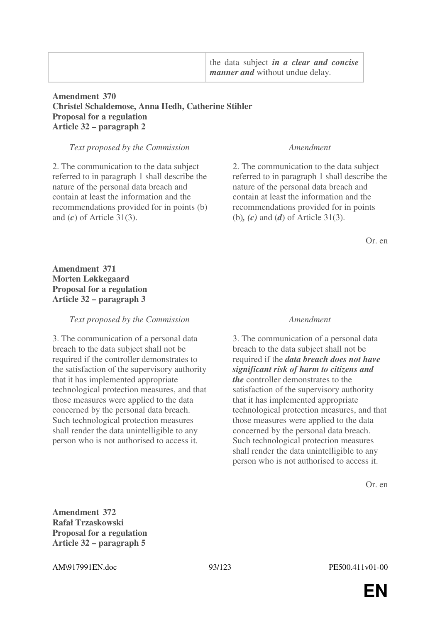# **Amendment 370 Christel Schaldemose, Anna Hedh, Catherine Stihler Proposal for a regulation Article 32 – paragraph 2**

### *Text proposed by the Commission* Amendment

2. The communication to the data subject referred to in paragraph 1 shall describe the nature of the personal data breach and contain at least the information and the recommendations provided for in points (b) and (*c*) of Article 31(3).

2. The communication to the data subject referred to in paragraph 1 shall describe the nature of the personal data breach and contain at least the information and the recommendations provided for in points (b)*, (c)* and (*d*) of Article 31(3).

Or. en

# **Amendment 371 Morten Løkkegaard Proposal for a regulation Article 32 – paragraph 3**

### *Text proposed by the Commission* Amendment

3. The communication of a personal data breach to the data subject shall not be required if the controller demonstrates to the satisfaction of the supervisory authority that it has implemented appropriate technological protection measures, and that those measures were applied to the data concerned by the personal data breach. Such technological protection measures shall render the data unintelligible to any person who is not authorised to access it.

3. The communication of a personal data breach to the data subject shall not be required if the *data breach does not have significant risk of harm to citizens and the* controller demonstrates to the satisfaction of the supervisory authority that it has implemented appropriate technological protection measures, and that those measures were applied to the data concerned by the personal data breach. Such technological protection measures shall render the data unintelligible to any person who is not authorised to access it.

Or. en

**Amendment 372 Rafał Trzaskowski Proposal for a regulation Article 32 – paragraph 5**

AM\917991EN.doc 93/123 PE500.411v01-00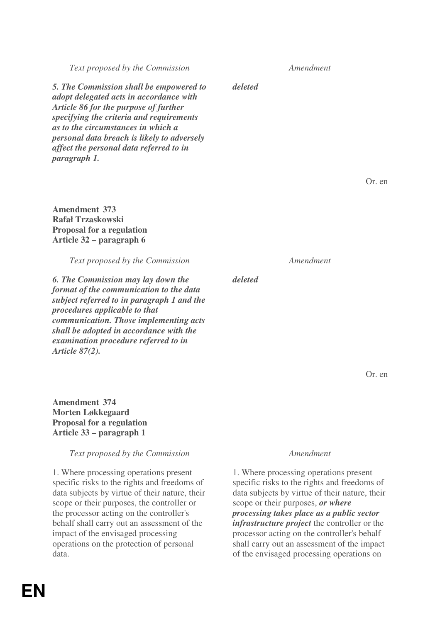*5. The Commission shall be empowered to adopt delegated acts in accordance with Article 86 for the purpose of further specifying the criteria and requirements as to the circumstances in which a personal data breach is likely to adversely affect the personal data referred to in paragraph 1.*

*Text proposed by the Commission* Amendment

**Amendment 373 Rafał Trzaskowski Proposal for a regulation Article 32 – paragraph 6**

*Text proposed by the Commission Amendment* 

*6. The Commission may lay down the format of the communication to the data subject referred to in paragraph 1 and the procedures applicable to that communication. Those implementing acts shall be adopted in accordance with the examination procedure referred to in Article 87(2).*

**Amendment 374 Morten Løkkegaard Proposal for a regulation Article 33 – paragraph 1**

*Text proposed by the Commission* Amendment

1. Where processing operations present specific risks to the rights and freedoms of data subjects by virtue of their nature, their scope or their purposes, the controller or the processor acting on the controller's behalf shall carry out an assessment of the impact of the envisaged processing operations on the protection of personal data.

1. Where processing operations present specific risks to the rights and freedoms of data subjects by virtue of their nature, their scope or their purposes, *or where processing takes place as a public sector infrastructure project* the controller or the processor acting on the controller's behalf shall carry out an assessment of the impact of the envisaged processing operations on

*deleted*

*deleted*

Or. en

Or. en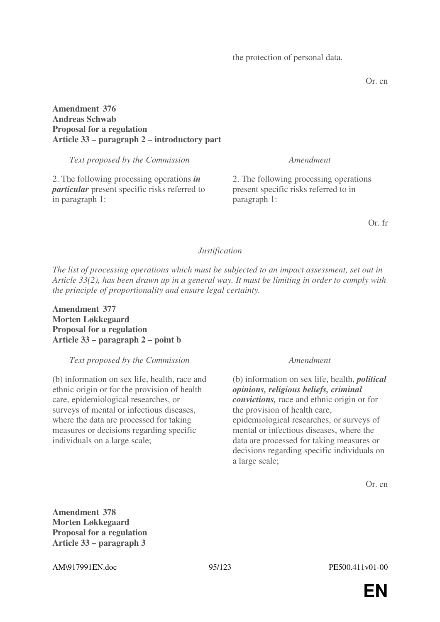the protection of personal data.

Or. en

# **Amendment 376 Andreas Schwab Proposal for a regulation Article 33 – paragraph 2 – introductory part**

*Text proposed by the Commission Amendment*

2. The following processing operations *in particular* present specific risks referred to in paragraph 1:

2. The following processing operations present specific risks referred to in paragraph 1:

Or. fr

# *Justification*

*The list of processing operations which must be subjected to an impact assessment, set out in Article 33(2), has been drawn up in a general way. It must be limiting in order to comply with the principle of proportionality and ensure legal certainty.*

**Amendment 377 Morten Løkkegaard Proposal for a regulation Article 33 – paragraph 2 – point b**

*Text proposed by the Commission* Amendment

(b) information on sex life, health, race and ethnic origin or for the provision of health care, epidemiological researches, or surveys of mental or infectious diseases, where the data are processed for taking measures or decisions regarding specific individuals on a large scale;

(b) information on sex life, health, *political opinions, religious beliefs, criminal convictions,* race and ethnic origin or for the provision of health care, epidemiological researches, or surveys of mental or infectious diseases, where the data are processed for taking measures or decisions regarding specific individuals on a large scale;

Or. en

**Amendment 378 Morten Løkkegaard Proposal for a regulation Article 33 – paragraph 3**

AM\917991EN.doc 95/123 PE500.411v01-00

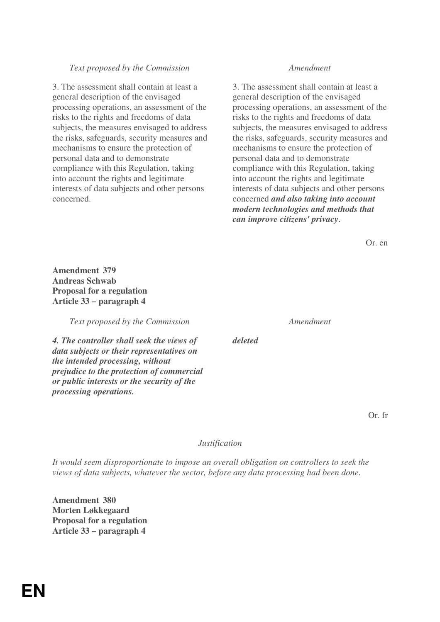# *Text proposed by the Commission* Amendment

3. The assessment shall contain at least a general description of the envisaged processing operations, an assessment of the risks to the rights and freedoms of data subjects, the measures envisaged to address the risks, safeguards, security measures and mechanisms to ensure the protection of personal data and to demonstrate compliance with this Regulation, taking into account the rights and legitimate interests of data subjects and other persons concerned.

3. The assessment shall contain at least a general description of the envisaged processing operations, an assessment of the risks to the rights and freedoms of data subjects, the measures envisaged to address the risks, safeguards, security measures and mechanisms to ensure the protection of personal data and to demonstrate compliance with this Regulation, taking into account the rights and legitimate interests of data subjects and other persons concerned *and also taking into account modern technologies and methods that can improve citizens' privacy*.

Or. en

**Amendment 379 Andreas Schwab Proposal for a regulation Article 33 – paragraph 4**

*Text proposed by the Commission Amendment*

*4. The controller shall seek the views of data subjects or their representatives on the intended processing, without prejudice to the protection of commercial or public interests or the security of the processing operations.*

*deleted*

Or. fr

### *Justification*

*It would seem disproportionate to impose an overall obligation on controllers to seek the views of data subjects, whatever the sector, before any data processing had been done.*

**Amendment 380 Morten Løkkegaard Proposal for a regulation Article 33 – paragraph 4**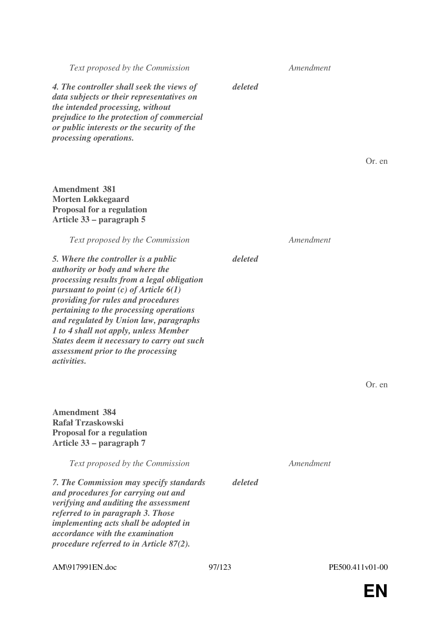| AM\917991EN.doc                                                                                                                                                                                                                                                                                                                                                                                                                                                                                                                                                                                               | 97/123  | PE500.411v01-00 |
|---------------------------------------------------------------------------------------------------------------------------------------------------------------------------------------------------------------------------------------------------------------------------------------------------------------------------------------------------------------------------------------------------------------------------------------------------------------------------------------------------------------------------------------------------------------------------------------------------------------|---------|-----------------|
| 7. The Commission may specify standards<br>and procedures for carrying out and<br>verifying and auditing the assessment<br>referred to in paragraph 3. Those<br>implementing acts shall be adopted in<br><i>accordance with the examination</i><br>procedure referred to in Article 87(2).                                                                                                                                                                                                                                                                                                                    | deleted |                 |
| Text proposed by the Commission                                                                                                                                                                                                                                                                                                                                                                                                                                                                                                                                                                               |         | Amendment       |
| <b>Amendment 384</b><br><b>Rafał Trzaskowski</b><br><b>Proposal for a regulation</b><br>Article 33 – paragraph 7                                                                                                                                                                                                                                                                                                                                                                                                                                                                                              |         |                 |
|                                                                                                                                                                                                                                                                                                                                                                                                                                                                                                                                                                                                               |         | Or. en          |
| <b>Amendment 381</b><br><b>Morten Løkkegaard</b><br><b>Proposal for a regulation</b><br>Article 33 – paragraph 5<br>Text proposed by the Commission<br>5. Where the controller is a public<br><i>authority or body and where the</i><br>processing results from a legal obligation<br>pursuant to point $(c)$ of Article $6(1)$<br>providing for rules and procedures<br>pertaining to the processing operations<br>and regulated by Union law, paragraphs<br>1 to 4 shall not apply, unless Member<br>States deem it necessary to carry out such<br>assessment prior to the processing<br><i>activities.</i> | deleted | Amendment       |
|                                                                                                                                                                                                                                                                                                                                                                                                                                                                                                                                                                                                               |         | Or. en          |
| 4. The controller shall seek the views of<br>data subjects or their representatives on<br>the intended processing, without<br>prejudice to the protection of commercial<br>or public interests or the security of the<br>processing operations.                                                                                                                                                                                                                                                                                                                                                               | deleted |                 |
| Text proposed by the Commission                                                                                                                                                                                                                                                                                                                                                                                                                                                                                                                                                                               |         | Amendment       |
|                                                                                                                                                                                                                                                                                                                                                                                                                                                                                                                                                                                                               |         |                 |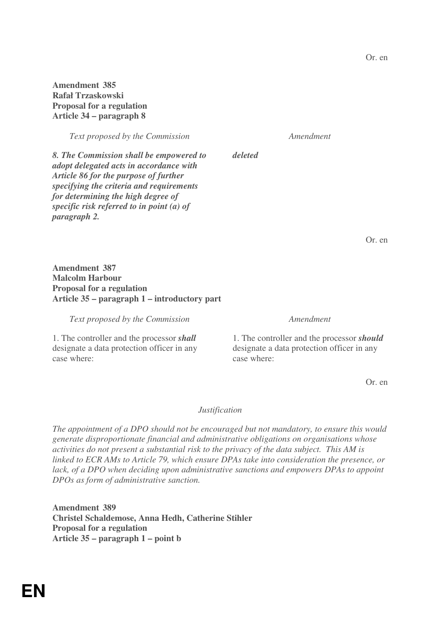# **Amendment 385 Rafał Trzaskowski Proposal for a regulation Article 34 – paragraph 8**

*Text proposed by the Commission* Amendment

*deleted*

*8. The Commission shall be empowered to adopt delegated acts in accordance with Article 86 for the purpose of further specifying the criteria and requirements for determining the high degree of specific risk referred to in point (a) of paragraph 2.*

Or. en

**Amendment 387 Malcolm Harbour Proposal for a regulation Article 35 – paragraph 1 – introductory part**

*Text proposed by the Commission* Amendment

1. The controller and the processor *shall*  designate a data protection officer in any case where:

1. The controller and the processor *should*  designate a data protection officer in any case where:

Or. en

# *Justification*

*The appointment of a DPO should not be encouraged but not mandatory, to ensure this would generate disproportionate financial and administrative obligations on organisations whose activities do not present a substantial risk to the privacy of the data subject. This AM is linked to ECR AMs to Article 79, which ensure DPAs take into consideration the presence, or*  lack, of a DPO when deciding upon administrative sanctions and empowers DPAs to appoint *DPOs as form of administrative sanction.*

**Amendment 389 Christel Schaldemose, Anna Hedh, Catherine Stihler Proposal for a regulation Article 35 – paragraph 1 – point b**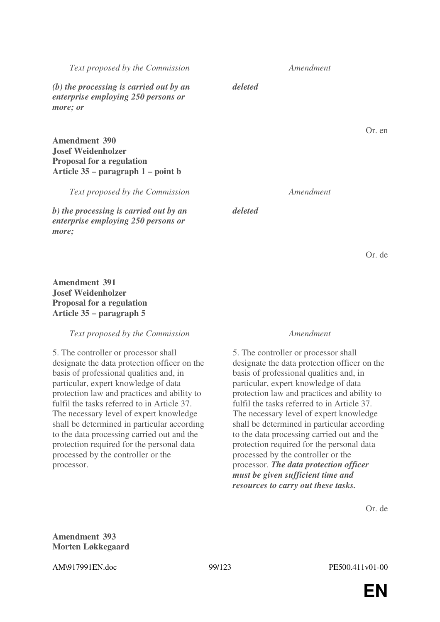AM\917991EN.doc 99/123 PE500.411v01-00

**Amendment 393**

processor.

# **EN**

Or. de

**Josef Weidenholzer Proposal for a regulation Article 35 – paragraph 1 – point b**

**Amendment 390**

**Amendment 391 Josef Weidenholzer**

**Proposal for a regulation Article 35 – paragraph 5**

5. The controller or processor shall

processed by the controller or the

designate the data protection officer on the basis of professional qualities and, in particular, expert knowledge of data protection law and practices and ability to fulfil the tasks referred to in Article 37. The necessary level of expert knowledge shall be determined in particular according to the data processing carried out and the protection required for the personal data

*Text proposed by the Commission* Amendment

*b) the processing is carried out by an enterprise employing 250 persons or more;*

*Text proposed by the Commission* Amendment

designate the data protection officer on the basis of professional qualities and, in particular, expert knowledge of data protection law and practices and ability to fulfil the tasks referred to in Article 37. The necessary level of expert knowledge shall be determined in particular according to the data processing carried out and the protection required for the personal data processed by the controller or the processor. *The data protection officer must be given sufficient time and resources to carry out these tasks.*

5. The controller or processor shall

Or. en

Or. de

*(b) the processing is carried out by an enterprise employing 250 persons or more; or*

*Text proposed by the Commission* Amendment

*deleted*

*deleted*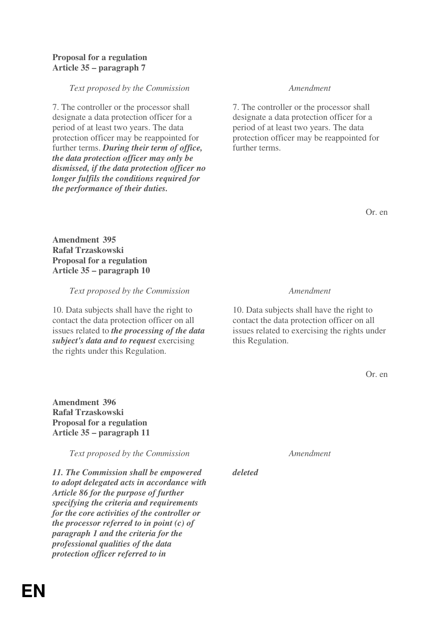# **Proposal for a regulation Article 35 – paragraph 7**

# *Text proposed by the Commission* Amendment

7. The controller or the processor shall designate a data protection officer for a period of at least two years. The data protection officer may be reappointed for further terms. *During their term of office, the data protection officer may only be dismissed, if the data protection officer no longer fulfils the conditions required for the performance of their duties.*

7. The controller or the processor shall designate a data protection officer for a period of at least two years. The data protection officer may be reappointed for further terms.

Or. en

# **Amendment 395 Rafał Trzaskowski Proposal for a regulation Article 35 – paragraph 10**

# *Text proposed by the Commission Amendment*

10. Data subjects shall have the right to contact the data protection officer on all issues related to *the processing of the data subject's data and to request* exercising the rights under this Regulation.

10. Data subjects shall have the right to contact the data protection officer on all issues related to exercising the rights under this Regulation.

Or. en

**Amendment 396 Rafał Trzaskowski Proposal for a regulation Article 35 – paragraph 11**

*Text proposed by the Commission Amendment*

*11. The Commission shall be empowered to adopt delegated acts in accordance with Article 86 for the purpose of further specifying the criteria and requirements for the core activities of the controller or the processor referred to in point (c) of paragraph 1 and the criteria for the professional qualities of the data protection officer referred to in* 

*deleted*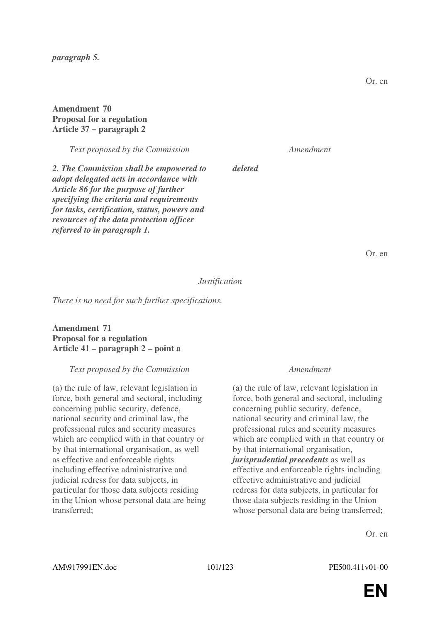*paragraph 5.*

**Amendment 70 Proposal for a regulation Article 37 – paragraph 2**

*Text proposed by the Commission* Amendment

*2. The Commission shall be empowered to adopt delegated acts in accordance with Article 86 for the purpose of further specifying the criteria and requirements for tasks, certification, status, powers and resources of the data protection officer referred to in paragraph 1.*

Or. en

### *Justification*

*deleted*

*There is no need for such further specifications.*

**Amendment 71 Proposal for a regulation Article 41 – paragraph 2 – point a**

### *Text proposed by the Commission Amendment*

(a) the rule of law, relevant legislation in force, both general and sectoral, including concerning public security, defence, national security and criminal law, the professional rules and security measures which are complied with in that country or by that international organisation, as well as effective and enforceable rights including effective administrative and judicial redress for data subjects, in particular for those data subjects residing in the Union whose personal data are being transferred;

(a) the rule of law, relevant legislation in force, both general and sectoral, including concerning public security, defence, national security and criminal law, the professional rules and security measures which are complied with in that country or by that international organisation, *jurisprudential precedents* as well as effective and enforceable rights including effective administrative and judicial redress for data subjects, in particular for those data subjects residing in the Union whose personal data are being transferred;

Or. en

AM\917991EN.doc 101/123 PE500.411v01-00

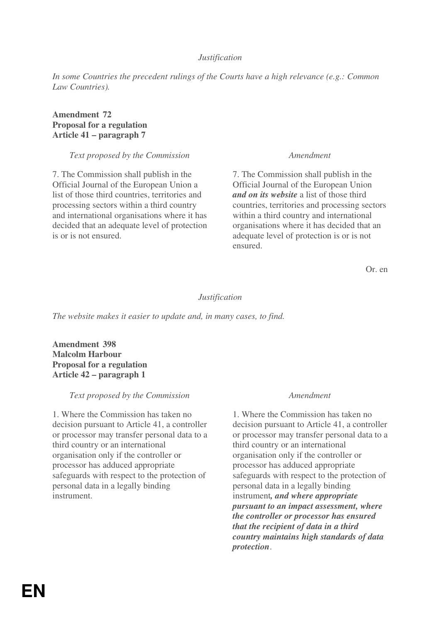*In some Countries the precedent rulings of the Courts have a high relevance (e.g.: Common Law Countries).*

**Amendment 72 Proposal for a regulation Article 41 – paragraph 7**

### *Text proposed by the Commission* Amendment

7. The Commission shall publish in the Official Journal of the European Union a list of those third countries, territories and processing sectors within a third country and international organisations where it has decided that an adequate level of protection is or is not ensured.

7. The Commission shall publish in the Official Journal of the European Union *and on its website* a list of those third countries, territories and processing sectors within a third country and international organisations where it has decided that an adequate level of protection is or is not ensured.

Or. en

### *Justification*

*The website makes it easier to update and, in many cases, to find.*

**Amendment 398 Malcolm Harbour Proposal for a regulation Article 42 – paragraph 1**

### *Text proposed by the Commission Amendment*

1. Where the Commission has taken no decision pursuant to Article 41, a controller or processor may transfer personal data to a third country or an international organisation only if the controller or processor has adduced appropriate safeguards with respect to the protection of personal data in a legally binding instrument.

1. Where the Commission has taken no decision pursuant to Article 41, a controller or processor may transfer personal data to a third country or an international organisation only if the controller or processor has adduced appropriate safeguards with respect to the protection of personal data in a legally binding instrument*, and where appropriate pursuant to an impact assessment, where the controller or processor has ensured that the recipient of data in a third country maintains high standards of data protection*.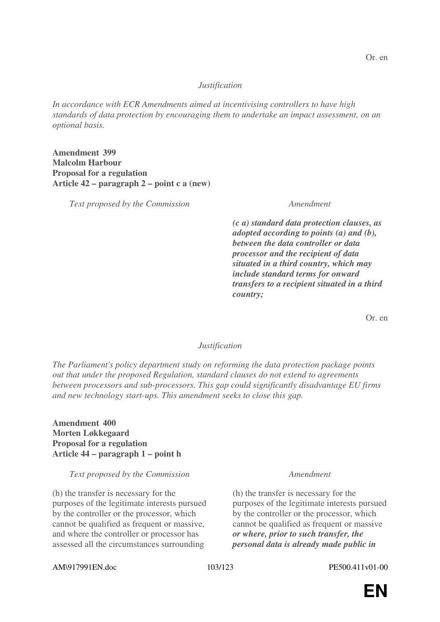*In accordance with ECR Amendments aimed at incentivising controllers to have high standards of data protection by encouraging them to undertake an impact assessment, on an optional basis.*

**Amendment 399 Malcolm Harbour Proposal for a regulation Article 42 – paragraph 2 – point c a (new)**

*Text proposed by the Commission* Amendment

*(c a) standard data protection clauses, as adopted according to points (a) and (b), between the data controller or data processor and the recipient of data situated in a third country, which may include standard terms for onward transfers to a recipient situated in a third country;*

Or. en

### *Justification*

*The Parliament's policy department study on reforming the data protection package points out that under the proposed Regulation, standard clauses do not extend to agreements between processors and sub-processors. This gap could significantly disadvantage EU firms and new technology start-ups. This amendment seeks to close this gap.*

**Amendment 400 Morten Løkkegaard Proposal for a regulation Article 44 – paragraph 1 – point h**

### *Text proposed by the Commission Amendment*

(h) the transfer is necessary for the purposes of the legitimate interests pursued by the controller or the processor, which cannot be qualified as frequent or massive, and where the controller or processor has assessed all the circumstances surrounding

(h) the transfer is necessary for the purposes of the legitimate interests pursued by the controller or the processor, which cannot be qualified as frequent or massive *or where, prior to such transfer, the personal data is already made public in* 

AM\917991EN.doc 103/123 PE500.411v01-00

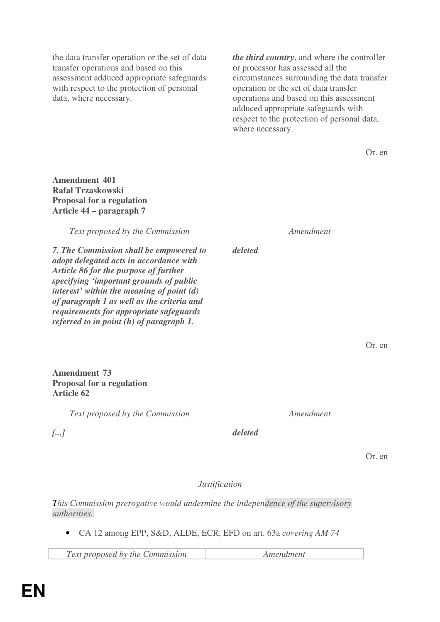the data transfer operation or the set of data transfer operations and based on this assessment adduced appropriate safeguards with respect to the protection of personal data, where necessary.

*the third country*, and where the controller or processor has assessed all the circumstances surrounding the data transfer operation or the set of data transfer operations and based on this assessment adduced appropriate safeguards with respect to the protection of personal data, where necessary.

|                                                                                                                                                                                                                                                                                                                                                              |         |           | Or. en |
|--------------------------------------------------------------------------------------------------------------------------------------------------------------------------------------------------------------------------------------------------------------------------------------------------------------------------------------------------------------|---------|-----------|--------|
| <b>Amendment 401</b><br><b>Rafał Trzaskowski</b><br><b>Proposal for a regulation</b><br>Article 44 – paragraph 7                                                                                                                                                                                                                                             |         |           |        |
| Text proposed by the Commission                                                                                                                                                                                                                                                                                                                              |         | Amendment |        |
| 7. The Commission shall be empowered to<br>adopt delegated acts in accordance with<br>Article 86 for the purpose of further<br>specifying 'important grounds of public<br>interest' within the meaning of point $(d)$<br>of paragraph 1 as well as the criteria and<br>requirements for appropriate safeguards<br>referred to in point $(h)$ of paragraph 1. | deleted |           |        |
|                                                                                                                                                                                                                                                                                                                                                              |         |           | Or. en |
| <b>Amendment 73</b><br><b>Proposal for a regulation</b><br><b>Article 62</b>                                                                                                                                                                                                                                                                                 |         |           |        |
| Text proposed by the Commission                                                                                                                                                                                                                                                                                                                              |         | Amendment |        |
| $\left[\ldots\right]$                                                                                                                                                                                                                                                                                                                                        | deleted |           |        |
|                                                                                                                                                                                                                                                                                                                                                              |         |           | Or. en |
| Justification                                                                                                                                                                                                                                                                                                                                                |         |           |        |
| This Commission prerogative would undermine the independence of the supervisory<br>authorities.                                                                                                                                                                                                                                                              |         |           |        |
| CA 12 among EPP, S&D, ALDE, ECR, EFD on art. 63a covering AM 74<br>$\bullet$                                                                                                                                                                                                                                                                                 |         |           |        |

| $\overline{ }$<br>Commission |
|------------------------------|
|------------------------------|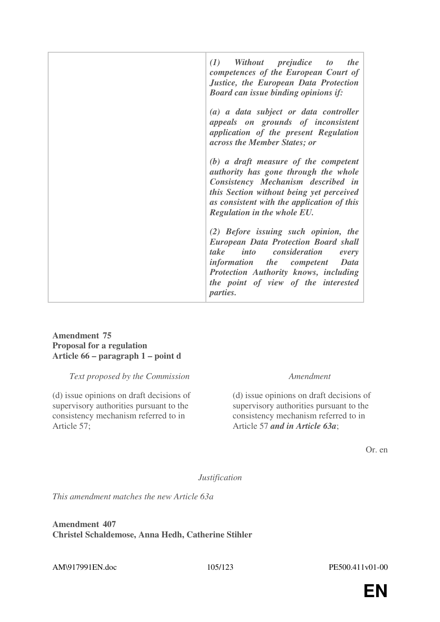| $(1)$ Without prejudice to the<br>competences of the European Court of<br>Justice, the European Data Protection<br><b>Board can issue binding opinions if:</b>                                                                                            |
|-----------------------------------------------------------------------------------------------------------------------------------------------------------------------------------------------------------------------------------------------------------|
| (a) a data subject or data controller<br><i>appeals</i> on grounds of inconsistent<br>application of the present Regulation<br><i>across the Member States; or</i>                                                                                        |
| $(b)$ a draft measure of the competent<br>authority has gone through the whole<br>Consistency Mechanism described in<br>this Section without being yet perceived<br>as consistent with the application of this<br>Regulation in the whole EU.             |
| (2) Before issuing such opinion, the<br><b>European Data Protection Board shall</b><br>take into consideration every<br>information the competent Data<br>Protection Authority knows, including<br>the point of view of the interested<br><i>parties.</i> |

# **Amendment 75 Proposal for a regulation Article 66 – paragraph 1 – point d**

### *Text proposed by the Commission* Amendment

(d) issue opinions on draft decisions of supervisory authorities pursuant to the consistency mechanism referred to in Article 57;

(d) issue opinions on draft decisions of supervisory authorities pursuant to the consistency mechanism referred to in Article 57 *and in Article 63a*;

Or. en

*Justification*

*This amendment matches the new Article 63a*

**Amendment 407 Christel Schaldemose, Anna Hedh, Catherine Stihler**

AM\917991EN.doc 105/123 PE500.411v01-00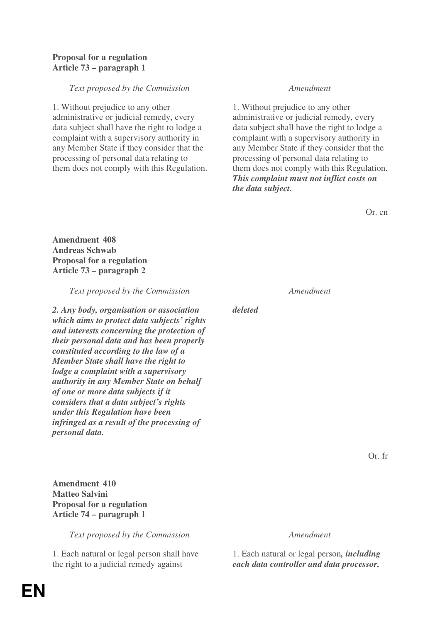# **Proposal for a regulation Article 73 – paragraph 1**

# *Text proposed by the Commission* Amendment

1. Without prejudice to any other administrative or judicial remedy, every data subject shall have the right to lodge a complaint with a supervisory authority in any Member State if they consider that the processing of personal data relating to them does not comply with this Regulation.

1. Without prejudice to any other administrative or judicial remedy, every data subject shall have the right to lodge a complaint with a supervisory authority in any Member State if they consider that the processing of personal data relating to them does not comply with this Regulation. *This complaint must not inflict costs on the data subject.*

Or. en

**Amendment 408 Andreas Schwab Proposal for a regulation Article 73 – paragraph 2**

*Text proposed by the Commission Amendment*

*2. Any body, organisation or association which aims to protect data subjects' rights and interests concerning the protection of their personal data and has been properly constituted according to the law of a Member State shall have the right to lodge a complaint with a supervisory authority in any Member State on behalf of one or more data subjects if it considers that a data subject's rights under this Regulation have been infringed as a result of the processing of personal data.*

**Amendment 410 Matteo Salvini Proposal for a regulation Article 74 – paragraph 1**

*Text proposed by the Commission Amendment*

1. Each natural or legal person shall have the right to a judicial remedy against

*deleted*

Or. fr

1. Each natural or legal person*, including each data controller and data processor,*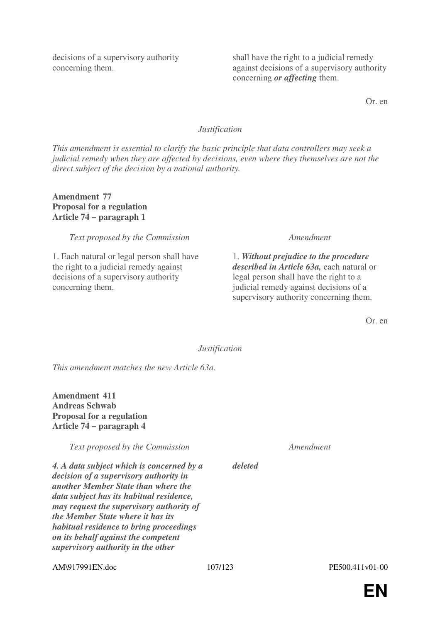decisions of a supervisory authority concerning them.

shall have the right to a judicial remedy against decisions of a supervisory authority concerning *or affecting* them.

Or. en

# *Justification*

*This amendment is essential to clarify the basic principle that data controllers may seek a judicial remedy when they are affected by decisions, even where they themselves are not the direct subject of the decision by a national authority.*

**Amendment 77 Proposal for a regulation Article 74 – paragraph 1**

*Text proposed by the Commission Amendment*

1. Each natural or legal person shall have the right to a judicial remedy against decisions of a supervisory authority concerning them.

1. *Without prejudice to the procedure described in Article 63a,* each natural or legal person shall have the right to a judicial remedy against decisions of a supervisory authority concerning them.

Or. en

### *Justification*

*This amendment matches the new Article 63a.*

**Amendment 411 Andreas Schwab Proposal for a regulation Article 74 – paragraph 4**

*Text proposed by the Commission Amendment*

*deleted*

*4. A data subject which is concerned by a decision of a supervisory authority in another Member State than where the data subject has its habitual residence, may request the supervisory authority of the Member State where it has its habitual residence to bring proceedings on its behalf against the competent supervisory authority in the other*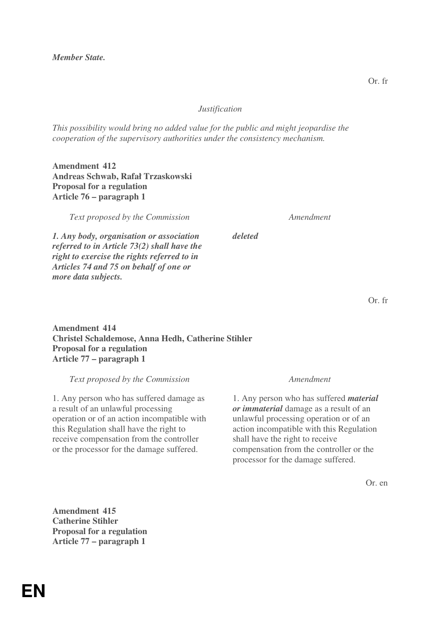*This possibility would bring no added value for the public and might jeopardise the cooperation of the supervisory authorities under the consistency mechanism.*

**Amendment 412 Andreas Schwab, Rafał Trzaskowski Proposal for a regulation Article 76 – paragraph 1**

*Text proposed by the Commission Amendment*

*1. Any body, organisation or association referred to in Article 73(2) shall have the right to exercise the rights referred to in Articles 74 and 75 on behalf of one or more data subjects.*

*deleted*

Or. fr

**Amendment 414 Christel Schaldemose, Anna Hedh, Catherine Stihler Proposal for a regulation Article 77 – paragraph 1**

### *Text proposed by the Commission Amendment*

1. Any person who has suffered damage as a result of an unlawful processing operation or of an action incompatible with this Regulation shall have the right to receive compensation from the controller or the processor for the damage suffered.

1. Any person who has suffered *material or immaterial* damage as a result of an unlawful processing operation or of an action incompatible with this Regulation shall have the right to receive compensation from the controller or the processor for the damage suffered.

Or. en

**Amendment 415 Catherine Stihler Proposal for a regulation Article 77 – paragraph 1**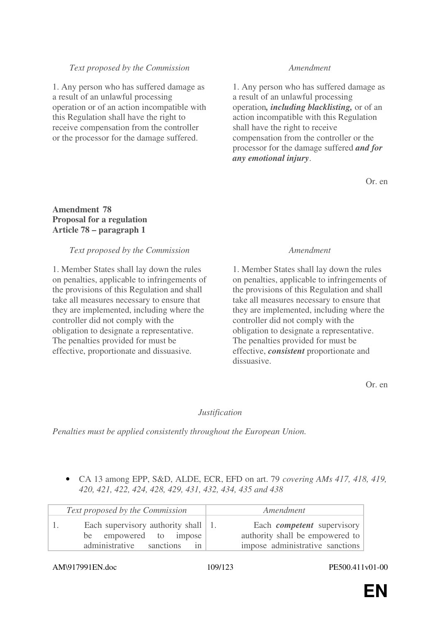### *Text proposed by the Commission* Amendment

1. Any person who has suffered damage as a result of an unlawful processing operation or of an action incompatible with this Regulation shall have the right to receive compensation from the controller or the processor for the damage suffered.

1. Any person who has suffered damage as a result of an unlawful processing operation*, including blacklisting,* or of an action incompatible with this Regulation shall have the right to receive compensation from the controller or the processor for the damage suffered *and for any emotional injury*.

Or. en

# **Amendment 78 Proposal for a regulation Article 78 – paragraph 1**

# *Text proposed by the Commission* Amendment

1. Member States shall lay down the rules on penalties, applicable to infringements of the provisions of this Regulation and shall take all measures necessary to ensure that they are implemented, including where the controller did not comply with the obligation to designate a representative. The penalties provided for must be effective, proportionate and dissuasive.

1. Member States shall lay down the rules on penalties, applicable to infringements of the provisions of this Regulation and shall take all measures necessary to ensure that they are implemented, including where the controller did not comply with the obligation to designate a representative. The penalties provided for must be effective, *consistent* proportionate and dissuasive.

Or. en

### *Justification*

*Penalties must be applied consistently throughout the European Union.*

• CA 13 among EPP, S&D, ALDE, ECR, EFD on art. 79 *covering AMs 417, 418, 419, 420, 421, 422, 424, 428, 429, 431, 432, 434, 435 and 438*

| Text proposed by the Commission |                                                                                                      |  | Amendment                                                                                               |
|---------------------------------|------------------------------------------------------------------------------------------------------|--|---------------------------------------------------------------------------------------------------------|
|                                 | Each supervisory authority shall $\vert$ 1.<br>be empowered to impose<br>administrative sanctions in |  | Each <i>competent</i> supervisory<br>authority shall be empowered to<br>impose administrative sanctions |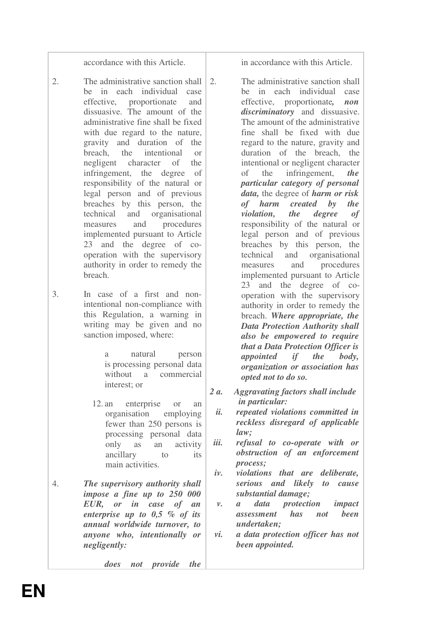accordance with this Article.

- 2. The administrative sanction shall be in each individual case effective, proportionate and dissuasive. The amount of the administrative fine shall be fixed with due regard to the nature, gravity and duration of the breach, the intentional or negligent character of the infringement, the degree of responsibility of the natural or legal person and of previous breaches by this person, the technical and organisational measures and procedures implemented pursuant to Article 23 and the degree of cooperation with the supervisory authority in order to remedy the breach.
- 3. In case of a first and nonintentional non-compliance with this Regulation, a warning in writing may be given and no sanction imposed, where:

a natural person is processing personal data without a commercial interest; or

- 12. an enterprise or an organisation employing fewer than 250 persons is processing personal data only as an activity ancillary to its main activities.
- 4. *The supervisory authority shall impose a fine up to 250 000 EUR, or in case of an enterprise up to 0,5 % of its annual worldwide turnover, to anyone who, intentionally or negligently:*

*does not provide the* 

in accordance with this Article.

- 2. The administrative sanction shall be in each individual case effective, proportionate*, non discriminatory* and dissuasive. The amount of the administrative fine shall be fixed with due regard to the nature, gravity and duration of the breach, the intentional or negligent character of the infringement, *the particular category of personal data,* the degree of *harm or risk of harm created by the violation, the degree of*  responsibility of the natural or legal person and of previous breaches by this person, the technical and organisational measures and procedures implemented pursuant to Article 23 and the degree of cooperation with the supervisory authority in order to remedy the breach. *Where appropriate, the Data Protection Authority shall also be empowered to require that a Data Protection Officer is appointed if the body, organization or association has opted not to do so.*
- *2 a. Aggravating factors shall include in particular:*
	- *ii. repeated violations committed in reckless disregard of applicable law;*
- *iii. refusal to co-operate with or obstruction of an enforcement process;*
- *iv. violations that are deliberate, serious and likely to cause substantial damage;*
- *v. a data protection impact assessment has not been undertaken;*
- *vi. a data protection officer has not been appointed.*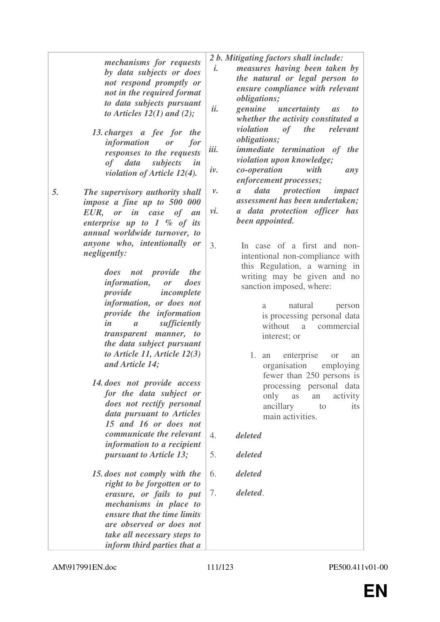| mechanisms for requests<br>by data subjects or does<br>not respond promptly or<br>not in the required format<br>to data subjects pursuant<br>to Articles $12(1)$ and $(2)$ ;<br>13. charges a fee for the<br><i>information</i> or<br>responses to the requests<br>of data<br>subjects<br><i>violation of Article 12(4).</i> | i.<br>ii.<br>for<br>iii.<br>in<br>iv. | 2 b. Mitigating factors shall include:<br>measures having been taken by<br>the natural or legal person to<br>ensure compliance with relevant<br><i>obligations;</i><br>genuine uncertainty<br>t <sub>0</sub><br><i>as</i><br>whether the activity constituted a<br><i>violation</i> of the<br>relevant<br><i>obligations;</i><br><i>immediate</i> termination of<br>the<br>violation upon knowledge;<br>co-operation<br>with<br>any<br>enforcement processes; |
|------------------------------------------------------------------------------------------------------------------------------------------------------------------------------------------------------------------------------------------------------------------------------------------------------------------------------|---------------------------------------|---------------------------------------------------------------------------------------------------------------------------------------------------------------------------------------------------------------------------------------------------------------------------------------------------------------------------------------------------------------------------------------------------------------------------------------------------------------|
| 5.<br>The supervisory authority shall                                                                                                                                                                                                                                                                                        | ν.                                    | data protection<br>impact<br>$\boldsymbol{a}$<br>assessment has been undertaken;                                                                                                                                                                                                                                                                                                                                                                              |
| impose a fine up to 500 000<br>EUR, or in case of an                                                                                                                                                                                                                                                                         | vi.                                   | a data protection officer has                                                                                                                                                                                                                                                                                                                                                                                                                                 |
| enterprise up to $1\%$ of its                                                                                                                                                                                                                                                                                                |                                       | been appointed.                                                                                                                                                                                                                                                                                                                                                                                                                                               |
| annual worldwide turnover, to                                                                                                                                                                                                                                                                                                |                                       |                                                                                                                                                                                                                                                                                                                                                                                                                                                               |
| anyone who, intentionally or                                                                                                                                                                                                                                                                                                 | 3.                                    | In case of a first and non-                                                                                                                                                                                                                                                                                                                                                                                                                                   |
| negligently:                                                                                                                                                                                                                                                                                                                 |                                       | intentional non-compliance with                                                                                                                                                                                                                                                                                                                                                                                                                               |
| does not provide the<br><i>information,</i><br>or<br>provide                                                                                                                                                                                                                                                                 | does<br>incomplete                    | this Regulation, a warning in<br>writing may be given and no<br>sanction imposed, where:                                                                                                                                                                                                                                                                                                                                                                      |
| information, or does not<br>provide the information<br>in<br>$\boldsymbol{a}$<br>transparent manner, to<br>the data subject pursuant<br>to Article 11, Article $12(3)$                                                                                                                                                       | sufficiently                          | natural<br>person<br>a<br>is processing personal data<br>without a<br>commercial<br>interest; or<br>1. an enterprise<br><sub>or</sub><br>an                                                                                                                                                                                                                                                                                                                   |
| and Article 14;<br>14. does not provide access                                                                                                                                                                                                                                                                               |                                       | organisation employing<br>fewer than 250 persons is<br>processing personal data                                                                                                                                                                                                                                                                                                                                                                               |
| for the data subject or<br>does not rectify personal<br>data pursuant to Articles                                                                                                                                                                                                                                            |                                       | only<br>activity<br>as<br>an<br>ancillary<br>to<br>its<br>main activities.                                                                                                                                                                                                                                                                                                                                                                                    |
| 15 and 16 or does not                                                                                                                                                                                                                                                                                                        |                                       |                                                                                                                                                                                                                                                                                                                                                                                                                                                               |
| communicate the relevant<br>information to a recipient                                                                                                                                                                                                                                                                       | $4_{\cdot}$                           | deleted                                                                                                                                                                                                                                                                                                                                                                                                                                                       |
| <i>pursuant to Article 13;</i>                                                                                                                                                                                                                                                                                               | 5.                                    | deleted                                                                                                                                                                                                                                                                                                                                                                                                                                                       |
| 15. does not comply with the<br>right to be forgotten or to                                                                                                                                                                                                                                                                  | 6.                                    | deleted                                                                                                                                                                                                                                                                                                                                                                                                                                                       |
| erasure, or fails to put<br>mechanisms in place to<br>ensure that the time limits<br>are observed or does not<br>take all necessary steps to<br>inform third parties that a                                                                                                                                                  | 7.                                    | deleted.                                                                                                                                                                                                                                                                                                                                                                                                                                                      |

AM\917991EN.doc 111/123 PE500.411v01-00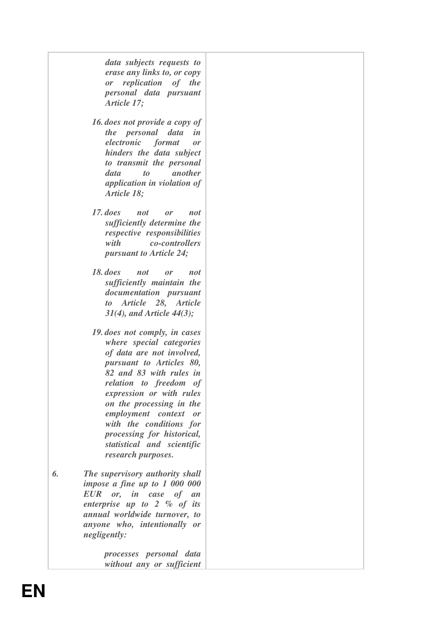*data subjects requests to erase any links to, or copy or replication of the personal data pursuant Article 17;*

- *16. does not provide a copy of the personal data in electronic format or hinders the data subject to transmit the personal data to another application in violation of Article 18;*
- *17. does not or not sufficiently determine the respective responsibilities with co-controllers pursuant to Article 24;*
- *18. does not or not sufficiently maintain the documentation pursuant to Article 28, Article 31(4), and Article 44(3);*
- *19. does not comply, in cases where special categories of data are not involved, pursuant to Articles 80, 82 and 83 with rules in relation to freedom of expression or with rules on the processing in the employment context or with the conditions for processing for historical, statistical and scientific research purposes.*
- *6. The supervisory authority shall impose a fine up to 1 000 000 EUR or, in case of an enterprise up to 2 % of its annual worldwide turnover, to anyone who, intentionally or negligently:*

*processes personal data without any or sufficient*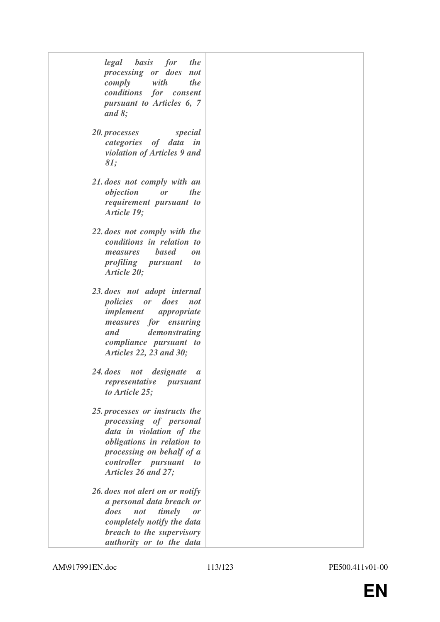*legal basis for the processing or does not comply with the conditions for consent pursuant to Articles 6, 7 and 8;*

- *20. processes special categories of data in violation of Articles 9 and 81;*
- *21. does not comply with an objection or the requirement pursuant to Article 19;*
- *22. does not comply with the conditions in relation to measures based on profiling pursuant to Article 20;*
- *23. does not adopt internal policies or does not implement appropriate measures for ensuring and demonstrating compliance pursuant to Articles 22, 23 and 30;*
- *24. does not designate a representative pursuant to Article 25;*
- *25. processes or instructs the processing of personal data in violation of the obligations in relation to processing on behalf of a controller pursuant to Articles 26 and 27;*
- *26. does not alert on or notify a personal data breach or does not timely or completely notify the data breach to the supervisory authority or to the data*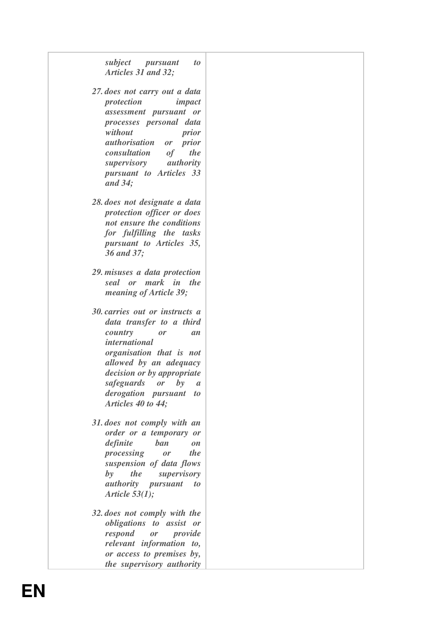*subject pursuant to Articles 31 and 32;*

- *27. does not carry out a data protection impact assessment pursuant or processes personal data without prior authorisation or prior consultation of the supervisory authority pursuant to Articles 33 and 34;*
- *28. does not designate a data protection officer or does not ensure the conditions for fulfilling the tasks pursuant to Articles 35, 36 and 37;*
- *29. misuses a data protection seal or mark in the meaning of Article 39;*
- *30. carries out or instructs a data transfer to a third country or an international organisation that is not allowed by an adequacy decision or by appropriate safeguards or by a derogation pursuant to Articles 40 to 44;*
- *31. does not comply with an order or a temporary or definite ban on processing or the suspension of data flows by the supervisory authority pursuant to Article 53(1);*
- *32. does not comply with the obligations to assist or respond or provide relevant information to, or access to premises by, the supervisory authority*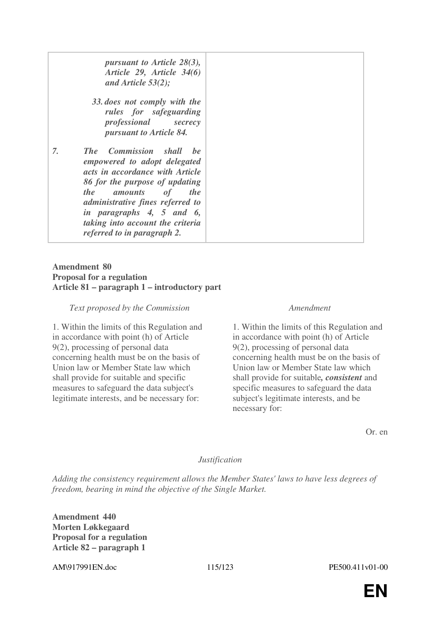*freedom, bearing in mind the objective of the Single Market.*

**Amendment 440 Morten Løkkegaard Proposal for a regulation Article 82 – paragraph 1**

**EN**

*Justification*

*Adding the consistency requirement allows the Member States' laws to have less degrees of* 

9(2), processing of personal data Union law or Member State law which specific measures to safeguard the data subject's legitimate interests, and be necessary for:

*pursuant to Article 84. 7. The Commission shall be empowered to adopt delegated acts in accordance with Article 86 for the purpose of updating the amounts of the administrative fines referred to in paragraphs 4, 5 and 6,* 

### **Amendment 80 Proposal for a regulation Article 81 – paragraph 1 – introductory part**

*taking into account the criteria referred to in paragraph 2.*

# *Text proposed by the Commission Amendment*

1. Within the limits of this Regulation and in accordance with point (h) of Article 9(2), processing of personal data concerning health must be on the basis of Union law or Member State law which shall provide for suitable and specific measures to safeguard the data subject's legitimate interests, and be necessary for:

1. Within the limits of this Regulation and in accordance with point (h) of Article concerning health must be on the basis of shall provide for suitable*, consistent* and

Or. en

*pursuant to Article 28(3), Article 29, Article 34(6) and Article 53(2);*

*33. does not comply with the rules for safeguarding professional secrecy*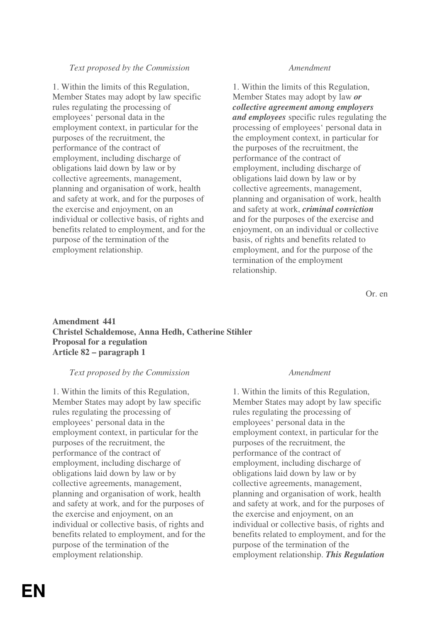# *Text proposed by the Commission* Amendment

1. Within the limits of this Regulation, Member States may adopt by law specific rules regulating the processing of employees' personal data in the employment context, in particular for the purposes of the recruitment, the performance of the contract of employment, including discharge of obligations laid down by law or by collective agreements, management, planning and organisation of work, health and safety at work, and for the purposes of the exercise and enjoyment, on an individual or collective basis, of rights and benefits related to employment, and for the purpose of the termination of the employment relationship.

1. Within the limits of this Regulation, Member States may adopt by law *or collective agreement among employers and employees* specific rules regulating the processing of employees' personal data in the employment context, in particular for the purposes of the recruitment, the performance of the contract of employment, including discharge of obligations laid down by law or by collective agreements, management, planning and organisation of work, health and safety at work, *criminal conviction*  and for the purposes of the exercise and enjoyment, on an individual or collective basis, of rights and benefits related to employment, and for the purpose of the termination of the employment relationship.

Or. en

# **Amendment 441 Christel Schaldemose, Anna Hedh, Catherine Stihler Proposal for a regulation Article 82 – paragraph 1**

### *Text proposed by the Commission* Amendment

1. Within the limits of this Regulation, Member States may adopt by law specific rules regulating the processing of employees' personal data in the employment context, in particular for the purposes of the recruitment, the performance of the contract of employment, including discharge of obligations laid down by law or by collective agreements, management, planning and organisation of work, health and safety at work, and for the purposes of the exercise and enjoyment, on an individual or collective basis, of rights and benefits related to employment, and for the purpose of the termination of the employment relationship.

1. Within the limits of this Regulation, Member States may adopt by law specific rules regulating the processing of employees' personal data in the employment context, in particular for the purposes of the recruitment, the performance of the contract of employment, including discharge of obligations laid down by law or by collective agreements, management, planning and organisation of work, health and safety at work, and for the purposes of the exercise and enjoyment, on an individual or collective basis, of rights and benefits related to employment, and for the purpose of the termination of the employment relationship. *This Regulation*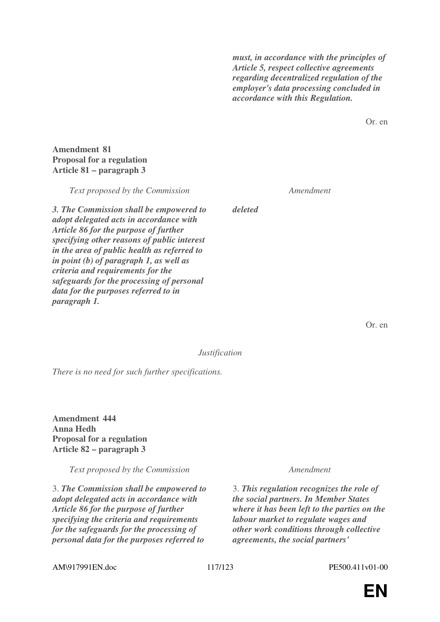*must, in accordance with the principles of Article 5, respect collective agreements regarding decentralized regulation of the employer's data processing concluded in accordance with this Regulation.*

Or. en

# **Amendment 81 Proposal for a regulation Article 81 – paragraph 3**

*Text proposed by the Commission* Amendment

*3. The Commission shall be empowered to adopt delegated acts in accordance with Article 86 for the purpose of further specifying other reasons of public interest in the area of public health as referred to in point (b) of paragraph 1, as well as criteria and requirements for the safeguards for the processing of personal data for the purposes referred to in paragraph 1.*

*deleted*

Or. en

*Justification*

*There is no need for such further specifications.*

**Amendment 444 Anna Hedh Proposal for a regulation Article 82 – paragraph 3**

*Text proposed by the Commission Amendment*

3. *The Commission shall be empowered to adopt delegated acts in accordance with Article 86 for the purpose of further specifying the criteria and requirements for the safeguards for the processing of personal data for the purposes referred to* 

3. *This regulation recognizes the role of the social partners. In Member States where it has been left to the parties on the labour market to regulate wages and other work conditions through collective agreements, the social partners'* 

AM\917991EN.doc 117/123 PE500.411v01-00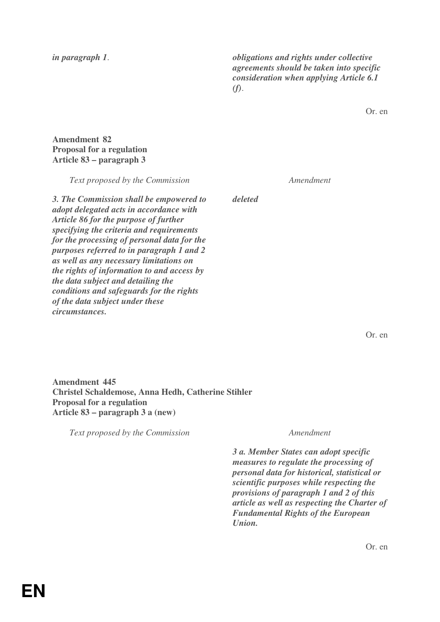*in paragraph 1*. *obligations and rights under collective agreements should be taken into specific consideration when applying Article 6.1 (f)*.

Or. en

# **Amendment 82 Proposal for a regulation Article 83 – paragraph 3**

*Text proposed by the Commission Amendment*

*3. The Commission shall be empowered to adopt delegated acts in accordance with Article 86 for the purpose of further specifying the criteria and requirements for the processing of personal data for the purposes referred to in paragraph 1 and 2 as well as any necessary limitations on the rights of information to and access by the data subject and detailing the conditions and safeguards for the rights of the data subject under these circumstances.*

*deleted*

Or. en

**Amendment 445 Christel Schaldemose, Anna Hedh, Catherine Stihler Proposal for a regulation Article 83 – paragraph 3 a (new)**

*Text proposed by the Commission* Amendment

*3 a. Member States can adopt specific measures to regulate the processing of personal data for historical, statistical or scientific purposes while respecting the provisions of paragraph 1 and 2 of this article as well as respecting the Charter of Fundamental Rights of the European Union.*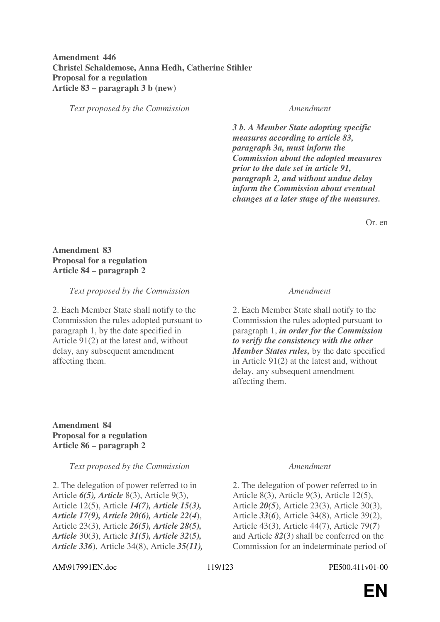# **Amendment 446 Christel Schaldemose, Anna Hedh, Catherine Stihler Proposal for a regulation Article 83 – paragraph 3 b (new)**

*Text proposed by the Commission Amendment*

*3 b. A Member State adopting specific measures according to article 83, paragraph 3a, must inform the Commission about the adopted measures prior to the date set in article 91, paragraph 2, and without undue delay inform the Commission about eventual changes at a later stage of the measures.*

Or. en

### **Amendment 83 Proposal for a regulation Article 84 – paragraph 2**

*Text proposed by the Commission* Amendment

2. Each Member State shall notify to the Commission the rules adopted pursuant to paragraph 1, by the date specified in Article 91(2) at the latest and, without delay, any subsequent amendment affecting them.

2. Each Member State shall notify to the Commission the rules adopted pursuant to paragraph 1, *in order for the Commission to verify the consistency with the other Member States rules,* by the date specified in Article 91(2) at the latest and, without delay, any subsequent amendment affecting them.

### **Amendment 84 Proposal for a regulation Article 86 – paragraph 2**

*Text proposed by the Commission* Amendment

2. The delegation of power referred to in Article *6(5), Article* 8(3), Article 9(3), Article 12(5), Article *14(7), Article 15(3), Article 17(9), Article 20(6), Article 22(4*), Article 23(3), Article *26(5), Article 28(5), Article* 30(3), Article *31(5), Article 32*(*5), Article 336*), Article 34(8), Article *35(11),* 

2. The delegation of power referred to in Article 8(3), Article 9(3), Article 12(5), Article *20(5*), Article 23(3), Article 30(3), Article *33*(*6*), Article 34(8), Article 39(2), Article 43(3), Article 44(7), Article 79(*7*) and Article *82*(3) shall be conferred on the Commission for an indeterminate period of

AM\917991EN.doc 119/123 PE500.411v01-00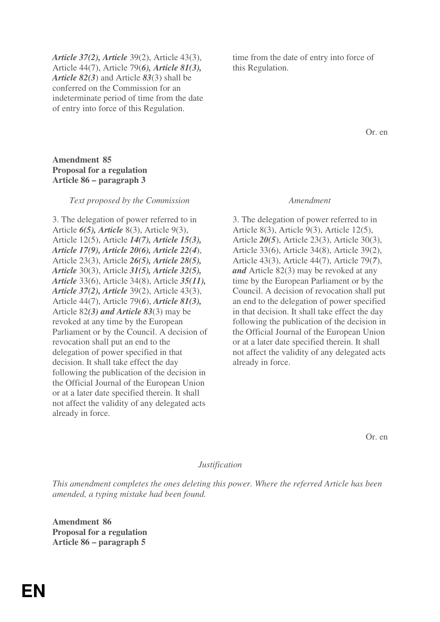*Article 37(2), Article* 39(2), Article 43(3), Article 44(7), Article 79(*6), Article 81(3), Article 82(3*) and Article *83*(3) shall be conferred on the Commission for an indeterminate period of time from the date of entry into force of this Regulation.

time from the date of entry into force of this Regulation.

Or. en

# **Amendment 85 Proposal for a regulation Article 86 – paragraph 3**

### *Text proposed by the Commission* Amendment

3. The delegation of power referred to in Article *6(5), Article* 8(3), Article 9(3), Article 12(5), Article *14(7), Article 15(3), Article 17(9), Article 20(6), Article 22(4*), Article 23(3), Article *26(5), Article 28(5), Article* 30(3), Article *31(5), Article 32(5), Article* 33(6), Article 34(8), Article *35(11), Article 37(2), Article* 39(2), Article 43(3), Article 44(7), Article 79(*6*), *Article 81(3),*  Article 82*(3) and Article 83*(3) may be revoked at any time by the European Parliament or by the Council. A decision of revocation shall put an end to the delegation of power specified in that decision. It shall take effect the day following the publication of the decision in the Official Journal of the European Union or at a later date specified therein. It shall not affect the validity of any delegated acts already in force.

3. The delegation of power referred to in Article 8(3), Article 9(3), Article 12(5), Article *20(5*), Article 23(3), Article 30(3), Article 33(6), Article 34(8), Article 39(2), Article 43(3), Article 44(7), Article 79(*7*), *and* Article 82(3) may be revoked at any time by the European Parliament or by the Council. A decision of revocation shall put an end to the delegation of power specified in that decision. It shall take effect the day following the publication of the decision in the Official Journal of the European Union or at a later date specified therein. It shall not affect the validity of any delegated acts already in force.

Or. en

### *Justification*

*This amendment completes the ones deleting this power. Where the referred Article has been amended, a typing mistake had been found.*

**Amendment 86 Proposal for a regulation Article 86 – paragraph 5**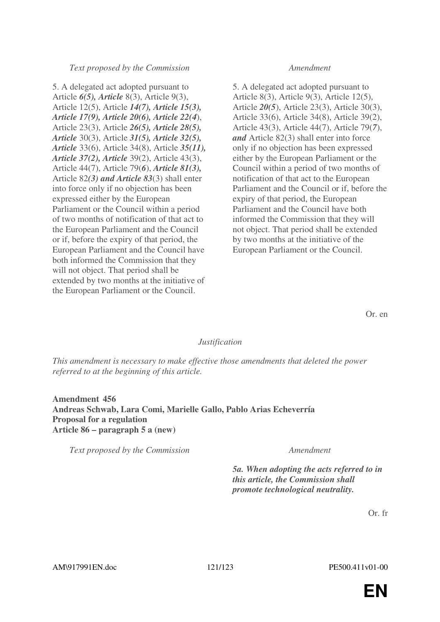**Amendment 456**

**Proposal for a regulation**

# AM\917991EN.doc 121/123 PE500.411v01-00

**Article 86 – paragraph 5 a (new)** *Text proposed by the Commission* Amendment

# *Justification*

*referred to at the beginning of this article.*

*This amendment is necessary to make effective those amendments that deleted the power* 

*5a. When adopting the acts referred to in* 

**Andreas Schwab, Lara Comi, Marielle Gallo, Pablo Arias Echeverría**

*this article, the Commission shall promote technological neutrality.*

5. A delegated act adopted pursuant to Article 8(3), Article 9(3), Article 12(5), Article *20(5*), Article 23(3), Article 30(3), Article 33(6), Article 34(8), Article 39(2), Article 43(3), Article 44(7), Article 79(*7*), *and* Article 82(3) shall enter into force only if no objection has been expressed either by the European Parliament or the Council within a period of two months of notification of that act to the European Parliament and the Council or if, before the expiry of that period, the European Parliament and the Council have both informed the Commission that they will not object. That period shall be extended by two months at the initiative of the European Parliament or the Council.

# *Text proposed by the Commission* Amendment

5. A delegated act adopted pursuant to Article *6(5), Article* 8(3), Article 9(3), Article 12(5), Article *14(7), Article 15(3), Article 17(9), Article 20(6), Article 22(4*), Article 23(3), Article *26(5), Article 28(5), Article* 30(3), Article *31(5), Article 32(5), Article* 33(6), Article 34(8), Article *35(11), Article 37(2), Article* 39(2), Article 43(3), Article 44(7), Article 79(*6*), *Article 81(3),*  Article 82*(3) and Article 83*(3) shall enter into force only if no objection has been

expressed either by the European

Parliament or the Council within a period of two months of notification of that act to the European Parliament and the Council or if, before the expiry of that period, the European Parliament and the Council have both informed the Commission that they will not object. That period shall be

extended by two months at the initiative of the European Parliament or the Council.



Or. fr

Or. en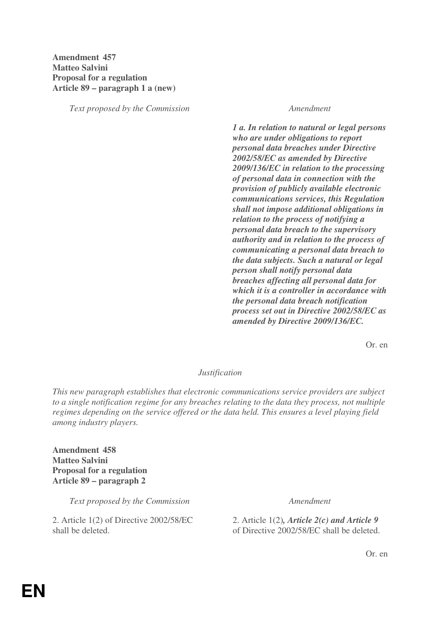**Amendment 457 Matteo Salvini Proposal for a regulation Article 89 – paragraph 1 a (new)**

*Text proposed by the Commission Amendment*

*1 a. In relation to natural or legal persons who are under obligations to report personal data breaches under Directive 2002/58/EC as amended by Directive 2009/136/EC in relation to the processing of personal data in connection with the provision of publicly available electronic communications services, this Regulation shall not impose additional obligations in relation to the process of notifying a personal data breach to the supervisory authority and in relation to the process of communicating a personal data breach to the data subjects. Such a natural or legal person shall notify personal data breaches affecting all personal data for which it is a controller in accordance with the personal data breach notification process set out in Directive 2002/58/EC as amended by Directive 2009/136/EC.* 

Or. en

### *Justification*

*This new paragraph establishes that electronic communications service providers are subject to a single notification regime for any breaches relating to the data they process, not multiple regimes depending on the service offered or the data held. This ensures a level playing field among industry players.*

**Amendment 458 Matteo Salvini Proposal for a regulation Article 89 – paragraph 2**

*Text proposed by the Commission* Amendment

2. Article 1(2) of Directive 2002/58/EC shall be deleted.

2. Article 1(2)*, Article 2(c) and Article 9*  of Directive 2002/58/EC shall be deleted.